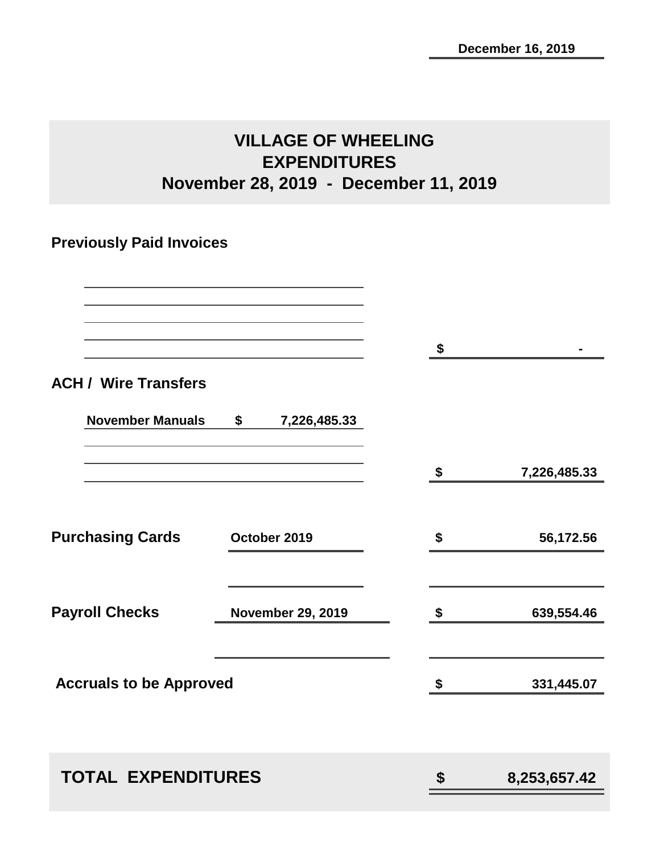# **VILLAGE OF WHEELING EXPENDITURES November 28, 2019 - December 11, 2019**

## **Previously Paid Invoices**

|                                |                          | \$                 |
|--------------------------------|--------------------------|--------------------|
| <b>ACH / Wire Transfers</b>    |                          |                    |
| <b>November Manuals</b>        | \$<br>7,226,485.33       |                    |
|                                |                          | \$<br>7,226,485.33 |
| <b>Purchasing Cards</b>        | October 2019             | \$<br>56,172.56    |
| <b>Payroll Checks</b>          | <b>November 29, 2019</b> | \$<br>639,554.46   |
| <b>Accruals to be Approved</b> |                          | \$<br>331,445.07   |
|                                |                          |                    |
| <b>TOTAL EXPENDITURES</b>      |                          | \$<br>8,253,657.42 |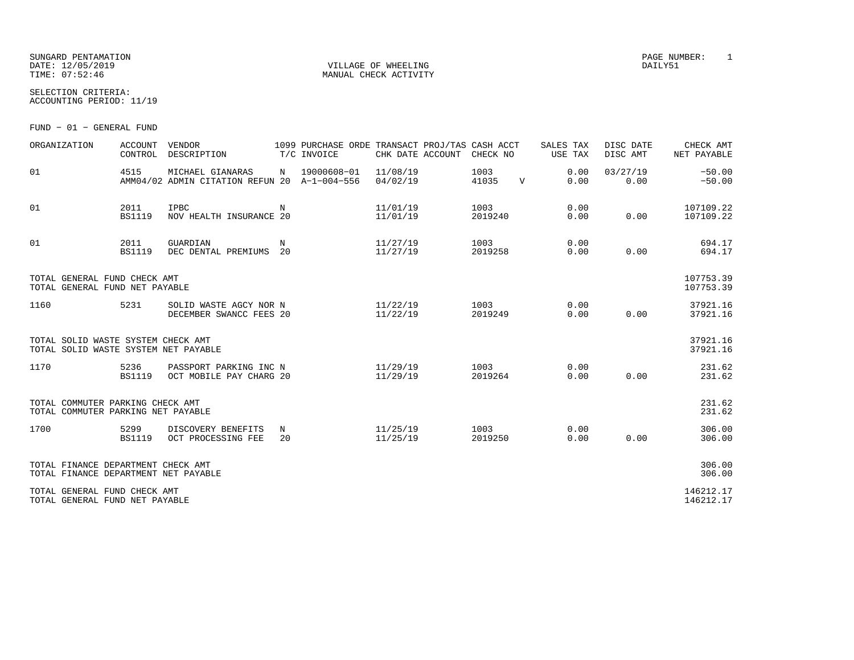SUNGARD PENTAMATION PAGE NUMBER: 1DATE: 12/05/2019 VILLAGE OF WHEELING DAILY51

MANUAL CHECK ACTIVITY

SELECTION CRITERIA:ACCOUNTING PERIOD: 11/19

FUND − 01 − GENERAL FUND

| ORGANIZATION                                                               | <b>ACCOUNT</b><br>CONTROL | VENDOR<br>DESCRIPTION                                            |                  | 1099 PURCHASE ORDE TRANSACT PROJ/TAS CASH ACCT<br>T/C INVOICE | CHK DATE ACCOUNT     | CHECK NO        |             | SALES TAX<br>USE TAX | DISC DATE<br>DISC AMT | CHECK AMT<br>NET PAYABLE |
|----------------------------------------------------------------------------|---------------------------|------------------------------------------------------------------|------------------|---------------------------------------------------------------|----------------------|-----------------|-------------|----------------------|-----------------------|--------------------------|
| 01                                                                         | 4515                      | MICHAEL GIANARAS<br>AMM04/02 ADMIN CITATION REFUN 20 A-1-004-556 | N                | 19000608-01                                                   | 11/08/19<br>04/02/19 | 1003<br>41035   | $\mathbf v$ | 0.00<br>0.00         | 03/27/19<br>0.00      | $-50.00$<br>$-50.00$     |
| 01                                                                         | 2011<br><b>BS1119</b>     | IPBC<br>NOV HEALTH INSURANCE 20                                  | N                |                                                               | 11/01/19<br>11/01/19 | 1003<br>2019240 |             | 0.00<br>0.00         | 0.00                  | 107109.22<br>107109.22   |
| 01                                                                         | 2011<br><b>BS1119</b>     | GUARDIAN<br>DEC DENTAL PREMIUMS                                  | N<br>20          |                                                               | 11/27/19<br>11/27/19 | 1003<br>2019258 |             | 0.00<br>0.00         | 0.00                  | 694.17<br>694.17         |
| TOTAL GENERAL FUND CHECK AMT<br>TOTAL GENERAL FUND NET PAYABLE             |                           |                                                                  |                  |                                                               |                      |                 |             |                      |                       | 107753.39<br>107753.39   |
| 1160                                                                       | 5231                      | SOLID WASTE AGCY NOR N<br>DECEMBER SWANCC FEES 20                |                  |                                                               | 11/22/19<br>11/22/19 | 1003<br>2019249 |             | 0.00<br>0.00         | 0.00                  | 37921.16<br>37921.16     |
| TOTAL SOLID WASTE SYSTEM CHECK AMT<br>TOTAL SOLID WASTE SYSTEM NET PAYABLE |                           |                                                                  |                  |                                                               |                      |                 |             |                      |                       | 37921.16<br>37921.16     |
| 1170                                                                       | 5236<br><b>BS1119</b>     | PASSPORT PARKING INC N<br>OCT MOBILE PAY CHARG 20                |                  |                                                               | 11/29/19<br>11/29/19 | 1003<br>2019264 |             | 0.00<br>0.00         | 0.00                  | 231.62<br>231.62         |
| TOTAL COMMUTER PARKING CHECK AMT<br>TOTAL COMMUTER PARKING NET PAYABLE     |                           |                                                                  |                  |                                                               |                      |                 |             |                      |                       | 231.62<br>231.62         |
| 1700                                                                       | 5299<br><b>BS1119</b>     | DISCOVERY BENEFITS<br>OCT PROCESSING FEE                         | $_{\rm N}$<br>20 |                                                               | 11/25/19<br>11/25/19 | 1003<br>2019250 |             | 0.00<br>0.00         | 0.00                  | 306.00<br>306.00         |
| TOTAL FINANCE DEPARTMENT CHECK AMT<br>TOTAL FINANCE DEPARTMENT NET PAYABLE |                           |                                                                  |                  |                                                               |                      |                 |             |                      |                       | 306.00<br>306.00         |
| TOTAL GENERAL FUND CHECK AMT<br>TOTAL GENERAL FUND NET PAYABLE             |                           |                                                                  |                  |                                                               |                      |                 |             |                      |                       | 146212.17<br>146212.17   |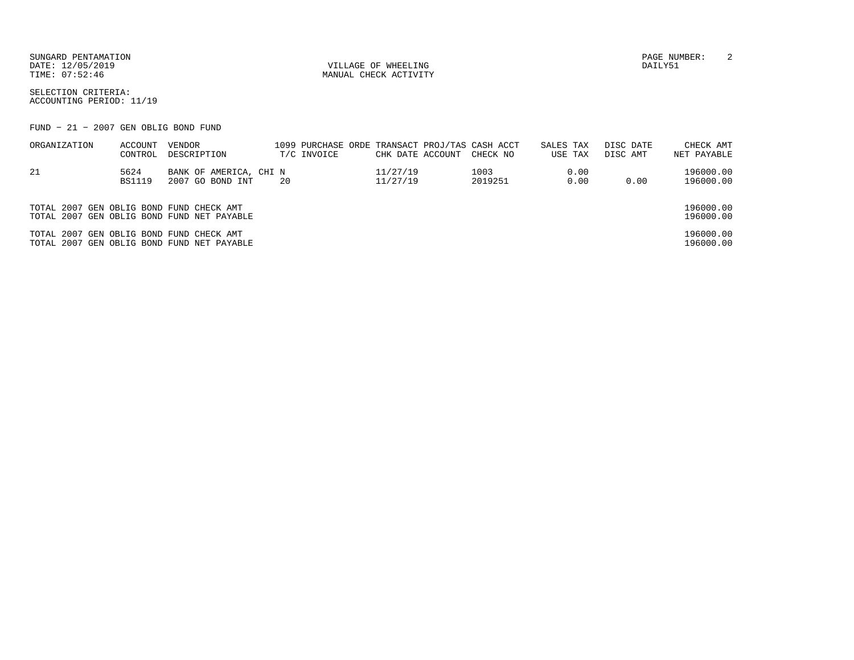SUNGARD PENTAMATION PAGE NUMBER: 2DATE: 12/05/2019 VILLAGE OF WHEELING DAILY51

MANUAL CHECK ACTIVITY

SELECTION CRITERIA:ACCOUNTING PERIOD: 11/19

FUND − 21 − 2007 GEN OBLIG BOND FUND

| ORGANIZATION                             | ACCOUNT<br>CONTROL    | VENDOR<br>DESCRIPTION                      | T/C INVOICE |                      | 1099 PURCHASE ORDE TRANSACT PROJ/TAS CASH ACCT<br>CHK DATE ACCOUNT<br>CHECK NO | SALES TAX<br>USE TAX | DISC DATE<br>DISC AMT | CHECK AMT<br>NET PAYABLE |
|------------------------------------------|-----------------------|--------------------------------------------|-------------|----------------------|--------------------------------------------------------------------------------|----------------------|-----------------------|--------------------------|
| -21                                      | 5624<br><b>BS1119</b> | BANK OF AMERICA, CHI N<br>2007 GO BOND INT | 20          | 11/27/19<br>11/27/19 | 1003<br>2019251                                                                | 0.00<br>0.00         | 0.00                  | 196000.00<br>196000.00   |
| TOTAL 2007 GEN OBLIG BOND FUND CHECK AMT |                       | TOTAL 2007 GEN OBLIG BOND FUND NET PAYABLE |             |                      |                                                                                |                      |                       | 196000.00<br>196000.00   |
| TOTAL 2007 GEN OBLIG BOND FUND CHECK AMT |                       | TOTAL 2007 GEN OBLIG BOND FUND NET PAYABLE |             |                      |                                                                                |                      |                       | 196000.00<br>196000.00   |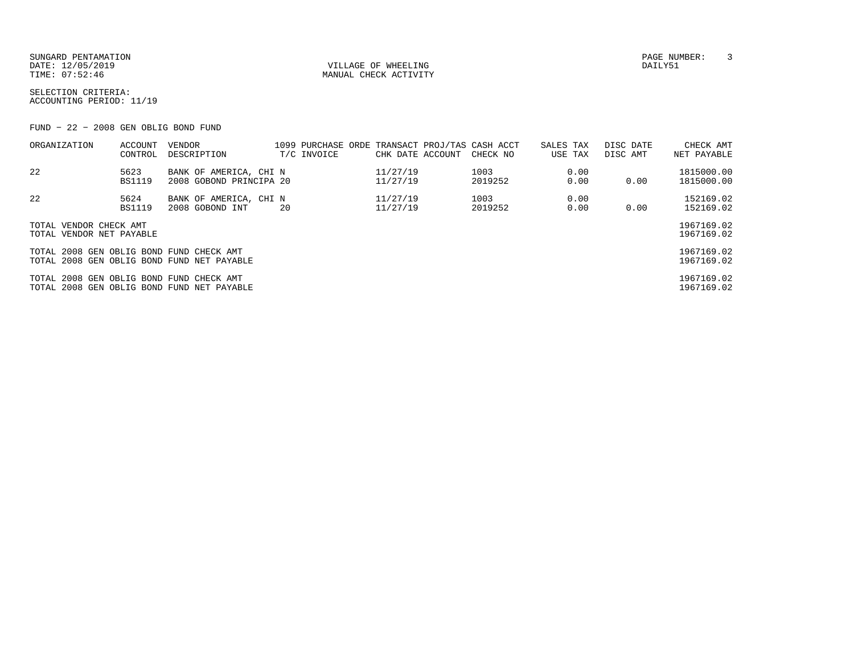SUNGARD PENTAMATION<br>
SATE: 12/05/2019<br>
DATE: 12/05/2019 DATE: 12/05/2019 VILLAGE OF WHEELING DAILY51

MANUAL CHECK ACTIVITY

SELECTION CRITERIA:ACCOUNTING PERIOD: 11/19

FUND − 22 − 2008 GEN OBLIG BOND FUND

| 22<br>11/27/19<br>1003<br>5623<br>BANK OF AMERICA, CHI N<br>0.00<br><b>BS1119</b><br>2019252<br>0.00<br>2008 GOBOND PRINCIPA 20<br>11/27/19<br>0.00<br>22<br>11/27/19<br>1003<br>5624<br>BANK OF AMERICA, CHI N<br>0.00<br><b>BS1119</b><br>11/27/19<br>2019252<br>0.00<br>2008 GOBOND INT<br>0.00<br>20<br>TOTAL VENDOR CHECK AMT<br>TOTAL VENDOR NET PAYABLE<br>TOTAL 2008 GEN OBLIG BOND FUND CHECK AMT<br>TOTAL 2008 GEN OBLIG BOND FUND NET PAYABLE<br>TOTAL 2008 GEN OBLIG BOND FUND CHECK AMT<br>TOTAL 2008 GEN OBLIG BOND FUND NET PAYABLE | ORGANIZATION | <b>ACCOUNT</b><br>CONTROL | VENDOR<br>DESCRIPTION |  | 1099 PURCHASE ORDE TRANSACT PROJ/TAS CASH ACCT<br>T/C INVOICE | CHK DATE ACCOUNT | CHECK NO | SALES TAX<br>USE TAX | DISC DATE<br>DISC AMT | CHECK AMT<br>NET PAYABLE |
|----------------------------------------------------------------------------------------------------------------------------------------------------------------------------------------------------------------------------------------------------------------------------------------------------------------------------------------------------------------------------------------------------------------------------------------------------------------------------------------------------------------------------------------------------|--------------|---------------------------|-----------------------|--|---------------------------------------------------------------|------------------|----------|----------------------|-----------------------|--------------------------|
|                                                                                                                                                                                                                                                                                                                                                                                                                                                                                                                                                    |              |                           |                       |  |                                                               |                  |          |                      |                       | 1815000.00<br>1815000.00 |
|                                                                                                                                                                                                                                                                                                                                                                                                                                                                                                                                                    |              |                           |                       |  |                                                               |                  |          |                      |                       | 152169.02<br>152169.02   |
|                                                                                                                                                                                                                                                                                                                                                                                                                                                                                                                                                    |              |                           |                       |  |                                                               |                  |          |                      |                       | 1967169.02<br>1967169.02 |
|                                                                                                                                                                                                                                                                                                                                                                                                                                                                                                                                                    |              |                           |                       |  |                                                               |                  |          |                      |                       | 1967169.02<br>1967169.02 |
|                                                                                                                                                                                                                                                                                                                                                                                                                                                                                                                                                    |              |                           |                       |  |                                                               |                  |          |                      |                       | 1967169.02<br>1967169.02 |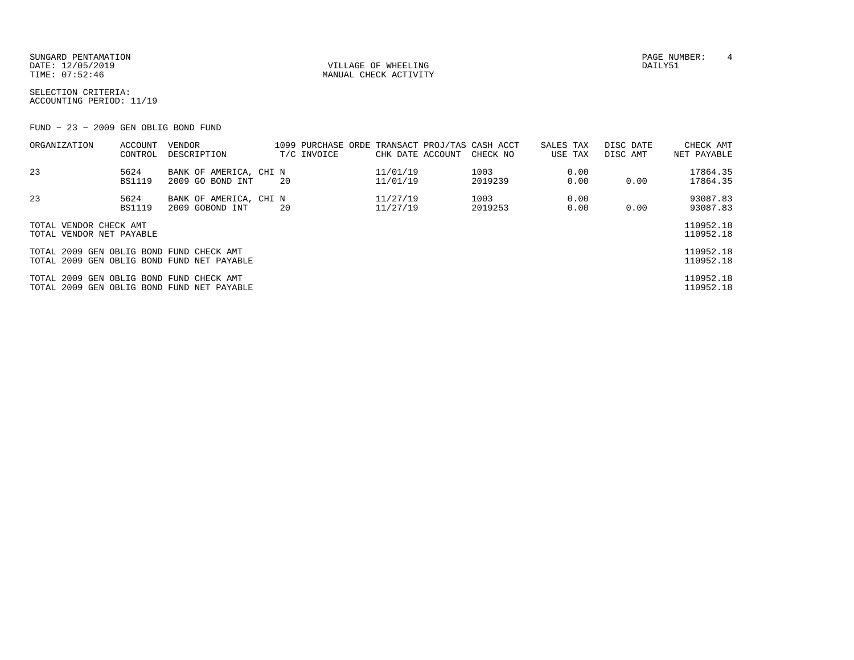SUNGARD PENTAMATION SUNGARD PENTAMATION SUNGARD PAGE NUMBER: 4 SECOND PAGE NUMBER: 4 SECOND PAGE NUMBER: 4 SECOND PAGE NUMBER: 4 SECOND PAGE NUMBER: 4 SECOND PAGE NUMBER: 4 SECOND PAGE NUMBER: 4 SECOND PAGE NUMBER: 4 SECON DATE: 12/05/2019 VILLAGE OF WHEELING DAILY51

MANUAL CHECK ACTIVITY

SELECTION CRITERIA:ACCOUNTING PERIOD: 11/19

FUND − 23 − 2009 GEN OBLIG BOND FUND

| ORGANIZATION                                       | <b>ACCOUNT</b><br>CONTROL | <b>VENDOR</b><br>DESCRIPTION               |    | 1099 PURCHASE ORDE TRANSACT PROJ/TAS CASH ACCT<br>T/C INVOICE | CHK DATE ACCOUNT     | CHECK NO        | SALES TAX<br>USE TAX | DISC DATE<br>DISC AMT | CHECK AMT<br>NET PAYABLE |
|----------------------------------------------------|---------------------------|--------------------------------------------|----|---------------------------------------------------------------|----------------------|-----------------|----------------------|-----------------------|--------------------------|
| 23                                                 | 5624                      | BANK OF AMERICA, CHI N                     |    |                                                               | 11/01/19             | 1003            | 0.00                 |                       | 17864.35                 |
| 23                                                 | <b>BS1119</b><br>5624     | 2009 GO BOND INT<br>BANK OF AMERICA, CHI N | 20 |                                                               | 11/01/19<br>11/27/19 | 2019239<br>1003 | 0.00<br>0.00         | 0.00                  | 17864.35<br>93087.83     |
|                                                    | <b>BS1119</b>             | 2009 GOBOND INT                            | 20 |                                                               | 11/27/19             | 2019253         | 0.00                 | 0.00                  | 93087.83                 |
| TOTAL VENDOR CHECK AMT<br>TOTAL VENDOR NET PAYABLE |                           |                                            |    |                                                               |                      |                 |                      |                       | 110952.18<br>110952.18   |
| TOTAL 2009 GEN OBLIG BOND FUND CHECK AMT           |                           | TOTAL 2009 GEN OBLIG BOND FUND NET PAYABLE |    |                                                               |                      |                 |                      |                       | 110952.18<br>110952.18   |
| TOTAL 2009 GEN OBLIG BOND FUND CHECK AMT           |                           | TOTAL 2009 GEN OBLIG BOND FUND NET PAYABLE |    |                                                               |                      |                 |                      |                       | 110952.18<br>110952.18   |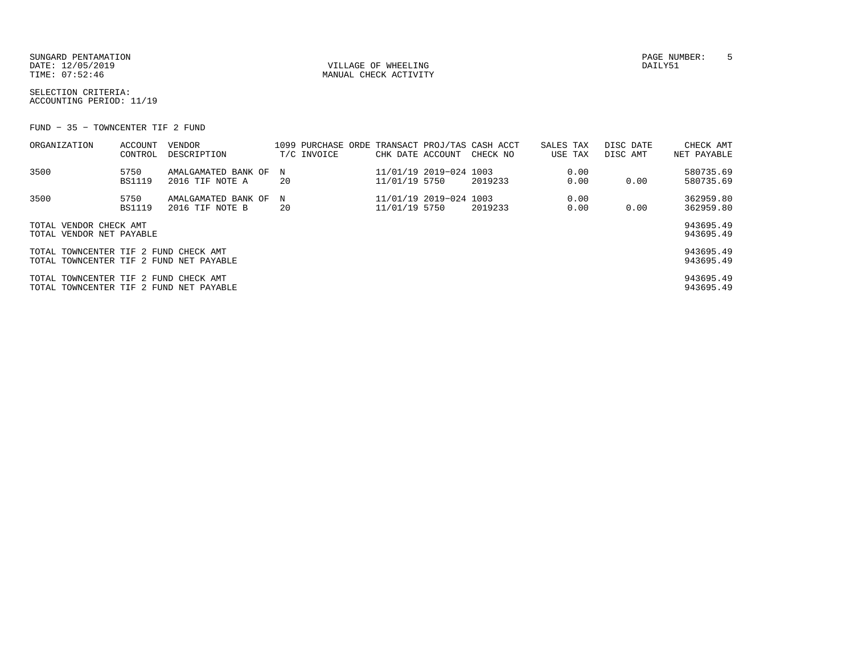SUNGARD PENTAMATION PAGE NUMBER: 5DATE: 12/05/2019 VILLAGE OF WHEELING DAILY51

MANUAL CHECK ACTIVITY

SELECTION CRITERIA:ACCOUNTING PERIOD: 11/19

FUND − 35 − TOWNCENTER TIF 2 FUND

| ORGANIZATION                                                                     | ACCOUNT<br>CONTROL    | VENDOR<br>DESCRIPTION                  |         | T/C INVOICE | CHK DATE ACCOUNT |                        | 1099 PURCHASE ORDE TRANSACT PROJ/TAS CASH ACCT<br>CHECK NO | SALES TAX<br>USE TAX | DISC DATE<br>DISC AMT | CHECK AMT<br>NET PAYABLE |
|----------------------------------------------------------------------------------|-----------------------|----------------------------------------|---------|-------------|------------------|------------------------|------------------------------------------------------------|----------------------|-----------------------|--------------------------|
| 3500                                                                             | 5750<br><b>BS1119</b> | AMALGAMATED BANK OF<br>2016 TIF NOTE A | N<br>20 |             | 11/01/19 5750    | 11/01/19 2019-024 1003 | 2019233                                                    | 0.00<br>0.00         | 0.00                  | 580735.69<br>580735.69   |
| 3500                                                                             | 5750<br><b>BS1119</b> | AMALGAMATED BANK OF<br>2016 TIF NOTE B | N<br>20 |             | 11/01/19 5750    | 11/01/19 2019-024 1003 | 2019233                                                    | 0.00<br>0.00         | 0.00                  | 362959.80<br>362959.80   |
| TOTAL VENDOR CHECK AMT<br>TOTAL VENDOR NET PAYABLE                               |                       |                                        |         |             |                  |                        |                                                            |                      |                       | 943695.49<br>943695.49   |
| TOTAL TOWNCENTER TIF 2 FUND CHECK AMT<br>TOTAL TOWNCENTER TIF 2 FUND NET PAYABLE |                       |                                        |         |             |                  |                        |                                                            |                      |                       | 943695.49<br>943695.49   |
| TOTAL TOWNCENTER TIF 2 FUND CHECK AMT<br>TOTAL TOWNCENTER TIF 2 FUND NET PAYABLE |                       |                                        |         |             |                  |                        |                                                            |                      |                       | 943695.49<br>943695.49   |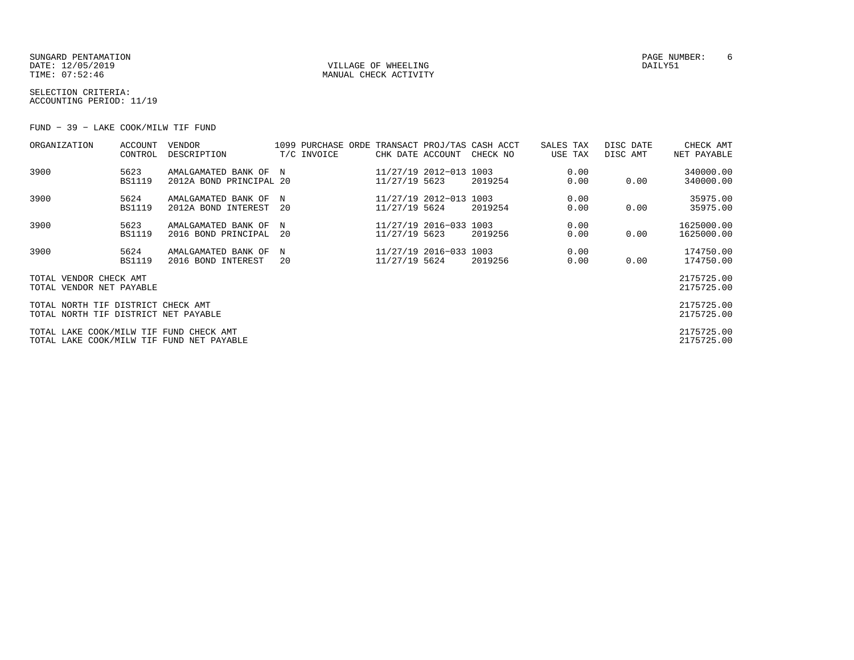SUNGARD PENTAMATION PAGE NUMBER: 6DATE: 12/05/2019 VILLAGE OF WHEELING DAILY51

MANUAL CHECK ACTIVITY

SELECTION CRITERIA:ACCOUNTING PERIOD: 11/19

FUND − 39 − LAKE COOK/MILW TIF FUND

| ORGANIZATION                                                                         | <b>ACCOUNT</b><br>CONTROL | <b>VENDOR</b><br>DESCRIPTION                     |           | T/C INVOICE | CHK DATE ACCOUNT                        |                        | 1099 PURCHASE ORDE TRANSACT PROJ/TAS CASH ACCT<br>CHECK NO | SALES TAX<br>USE TAX | DISC DATE<br>DISC AMT | CHECK AMT<br>NET PAYABLE |
|--------------------------------------------------------------------------------------|---------------------------|--------------------------------------------------|-----------|-------------|-----------------------------------------|------------------------|------------------------------------------------------------|----------------------|-----------------------|--------------------------|
| 3900                                                                                 | 5623<br><b>BS1119</b>     | AMALGAMATED BANK OF N<br>2012A BOND PRINCIPAL 20 |           |             | 11/27/19 5623                           | 11/27/19 2012-013 1003 | 2019254                                                    | 0.00<br>0.00         | 0.00                  | 340000.00<br>340000.00   |
| 3900                                                                                 | 5624<br><b>BS1119</b>     | AMALGAMATED BANK OF<br>2012A BOND INTEREST       | N<br>- 20 |             | 11/27/19 5624                           | 11/27/19 2012-013 1003 | 2019254                                                    | 0.00<br>0.00         | 0.00                  | 35975.00<br>35975.00     |
| 3900                                                                                 | 5623<br><b>BS1119</b>     | AMALGAMATED BANK OF<br>2016 BOND PRINCIPAL       | N<br>-20  |             | 11/27/19 2016-033 1003<br>11/27/19 5623 |                        | 2019256                                                    | 0.00<br>0.00         | 0.00                  | 1625000.00<br>1625000.00 |
| 3900                                                                                 | 5624<br><b>BS1119</b>     | AMALGAMATED BANK OF<br>2016 BOND INTEREST        | N<br>20   |             | 11/27/19 5624                           | 11/27/19 2016-033 1003 | 2019256                                                    | 0.00<br>0.00         | 0.00                  | 174750.00<br>174750.00   |
| TOTAL VENDOR CHECK AMT<br>TOTAL VENDOR NET PAYABLE                                   |                           |                                                  |           |             |                                         |                        |                                                            |                      |                       | 2175725.00<br>2175725.00 |
| TOTAL NORTH TIF DISTRICT CHECK AMT<br>TOTAL NORTH TIF DISTRICT NET PAYABLE           |                           |                                                  |           |             |                                         |                        |                                                            |                      |                       | 2175725.00<br>2175725.00 |
| TOTAL LAKE COOK/MILW TIF FUND CHECK AMT<br>TOTAL LAKE COOK/MILW TIF FUND NET PAYABLE |                           |                                                  |           |             |                                         |                        |                                                            |                      |                       | 2175725.00<br>2175725.00 |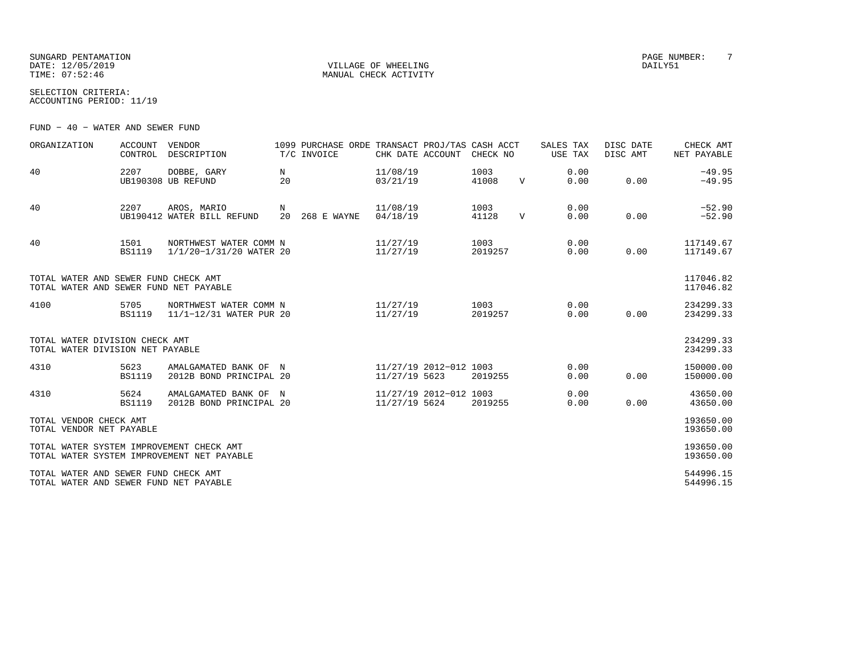SUNGARD PENTAMATION PAGE NUMBER: 7DATE: 12/05/2019 VILLAGE OF WHEELING DAILY51

MANUAL CHECK ACTIVITY

SELECTION CRITERIA:ACCOUNTING PERIOD: 11/19

FUND − 40 − WATER AND SEWER FUND

| ORGANIZATION                                                                   | <b>ACCOUNT</b><br>CONTROL | VENDOR<br>DESCRIPTION                             |         | 1099 PURCHASE ORDE TRANSACT PROJ/TAS CASH ACCT<br>T/C INVOICE | CHK DATE ACCOUNT     |                        | CHECK NO        |              | SALES TAX<br>USE TAX | DISC DATE<br>DISC AMT | CHECK AMT<br>NET PAYABLE |
|--------------------------------------------------------------------------------|---------------------------|---------------------------------------------------|---------|---------------------------------------------------------------|----------------------|------------------------|-----------------|--------------|----------------------|-----------------------|--------------------------|
| 40                                                                             | 2207                      | DOBBE, GARY<br>UB190308 UB REFUND                 | N<br>20 |                                                               | 11/08/19<br>03/21/19 |                        | 1003<br>41008   | $\mathbf{V}$ | 0.00<br>0.00         | 0.00                  | $-49.95$<br>$-49.95$     |
| 40                                                                             | 2207                      | AROS, MARIO<br>UB190412 WATER BILL REFUND         | N       | 20 268 E WAYNE                                                | 11/08/19<br>04/18/19 |                        | 1003<br>41128   | $\mathbf{V}$ | 0.00<br>0.00         | 0.00                  | $-52.90$<br>$-52.90$     |
| 40                                                                             | 1501<br><b>BS1119</b>     | NORTHWEST WATER COMM N<br>1/1/20-1/31/20 WATER 20 |         |                                                               | 11/27/19<br>11/27/19 |                        | 1003<br>2019257 |              | 0.00<br>0.00         | 0.00                  | 117149.67<br>117149.67   |
| TOTAL WATER AND SEWER FUND CHECK AMT<br>TOTAL WATER AND SEWER FUND NET PAYABLE |                           |                                                   |         |                                                               |                      |                        |                 |              |                      |                       | 117046.82<br>117046.82   |
| 4100                                                                           | 5705<br><b>BS1119</b>     | NORTHWEST WATER COMM N<br>11/1-12/31 WATER PUR 20 |         |                                                               | 11/27/19<br>11/27/19 |                        | 1003<br>2019257 |              | 0.00<br>0.00         | 0.00                  | 234299.33<br>234299.33   |
| TOTAL WATER DIVISION CHECK AMT<br>TOTAL WATER DIVISION NET PAYABLE             |                           |                                                   |         |                                                               |                      |                        |                 |              |                      |                       | 234299.33<br>234299.33   |
| 4310                                                                           | 5623<br><b>BS1119</b>     | AMALGAMATED BANK OF N<br>2012B BOND PRINCIPAL 20  |         |                                                               | 11/27/19 5623        | 11/27/19 2012-012 1003 | 2019255         |              | 0.00<br>0.00         | 0.00                  | 150000.00<br>150000.00   |
| 4310                                                                           | 5624<br><b>BS1119</b>     | AMALGAMATED BANK OF N<br>2012B BOND PRINCIPAL 20  |         |                                                               | 11/27/19 5624        | 11/27/19 2012-012 1003 | 2019255         |              | 0.00<br>0.00         | 0.00                  | 43650.00<br>43650.00     |
| TOTAL VENDOR CHECK AMT<br>TOTAL VENDOR NET PAYABLE                             |                           |                                                   |         |                                                               |                      |                        |                 |              |                      |                       | 193650.00<br>193650.00   |
| TOTAL WATER SYSTEM IMPROVEMENT CHECK AMT                                       |                           | TOTAL WATER SYSTEM IMPROVEMENT NET PAYABLE        |         |                                                               |                      |                        |                 |              |                      |                       | 193650.00<br>193650.00   |
| TOTAL WATER AND SEWER FUND CHECK AMT<br>TOTAL WATER AND SEWER FUND NET PAYABLE |                           |                                                   |         |                                                               |                      |                        |                 |              |                      |                       | 544996.15<br>544996.15   |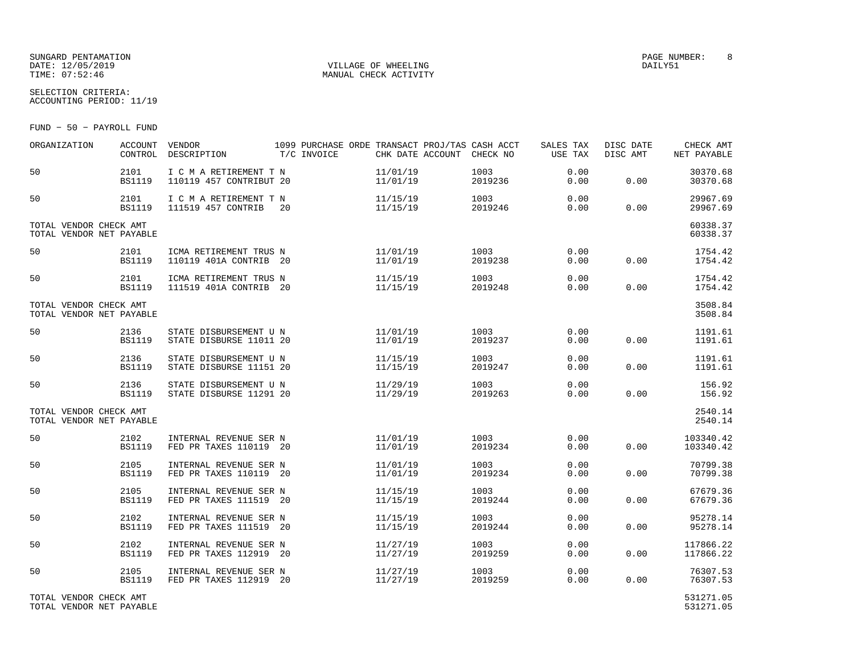#### SUNGARD PENTAMATION PAGE NUMBER: 8DATE:  $12/05/2019$  DAILY51 TIME:  $07:52:46$  MANUAL CHECK ACTIVITY

SELECTION CRITERIA:ACCOUNTING PERIOD: 11/19

FUND − 50 − PAYROLL FUND

| ORGANIZATION                                       | <b>ACCOUNT</b><br>CONTROL | <b>VENDOR</b><br>DESCRIPTION                      | 1099 PURCHASE ORDE TRANSACT PROJ/TAS CASH ACCT<br>T/C INVOICE |                      | CHK DATE ACCOUNT CHECK NO | SALES TAX<br>USE TAX | DISC DATE<br>DISC AMT | CHECK AMT<br>NET PAYABLE |
|----------------------------------------------------|---------------------------|---------------------------------------------------|---------------------------------------------------------------|----------------------|---------------------------|----------------------|-----------------------|--------------------------|
| 50                                                 | 2101<br><b>BS1119</b>     | I C M A RETIREMENT T N<br>110119 457 CONTRIBUT 20 |                                                               | 11/01/19<br>11/01/19 | 1003<br>2019236           | 0.00<br>0.00         | 0.00                  | 30370.68<br>30370.68     |
| 50                                                 | 2101<br><b>BS1119</b>     | I C M A RETIREMENT T N<br>111519 457 CONTRIB      | 20                                                            | 11/15/19<br>11/15/19 | 1003<br>2019246           | 0.00<br>0.00         | 0.00                  | 29967.69<br>29967.69     |
| TOTAL VENDOR CHECK AMT<br>TOTAL VENDOR NET PAYABLE |                           |                                                   |                                                               |                      |                           |                      |                       | 60338.37<br>60338.37     |
| 50                                                 | 2101<br><b>BS1119</b>     | ICMA RETIREMENT TRUS N<br>110119 401A CONTRIB 20  |                                                               | 11/01/19<br>11/01/19 | 1003<br>2019238           | 0.00<br>0.00         | 0.00                  | 1754.42<br>1754.42       |
| 50                                                 | 2101<br><b>BS1119</b>     | ICMA RETIREMENT TRUS N<br>111519 401A CONTRIB 20  |                                                               | 11/15/19<br>11/15/19 | 1003<br>2019248           | 0.00<br>0.00         | 0.00                  | 1754.42<br>1754.42       |
| TOTAL VENDOR CHECK AMT<br>TOTAL VENDOR NET PAYABLE |                           |                                                   |                                                               |                      |                           |                      |                       | 3508.84<br>3508.84       |
| 50                                                 | 2136<br><b>BS1119</b>     | STATE DISBURSEMENT U N<br>STATE DISBURSE 11011 20 |                                                               | 11/01/19<br>11/01/19 | 1003<br>2019237           | 0.00<br>0.00         | 0.00                  | 1191.61<br>1191.61       |
| 50                                                 | 2136<br><b>BS1119</b>     | STATE DISBURSEMENT U N<br>STATE DISBURSE 11151 20 |                                                               | 11/15/19<br>11/15/19 | 1003<br>2019247           | 0.00<br>0.00         | 0.00                  | 1191.61<br>1191.61       |
| 50                                                 | 2136<br><b>BS1119</b>     | STATE DISBURSEMENT U N<br>STATE DISBURSE 11291 20 |                                                               | 11/29/19<br>11/29/19 | 1003<br>2019263           | 0.00<br>0.00         | 0.00                  | 156.92<br>156.92         |
| TOTAL VENDOR CHECK AMT<br>TOTAL VENDOR NET PAYABLE |                           |                                                   |                                                               |                      |                           |                      |                       | 2540.14<br>2540.14       |
| 50                                                 | 2102<br><b>BS1119</b>     | INTERNAL REVENUE SER N<br>FED PR TAXES 110119 20  |                                                               | 11/01/19<br>11/01/19 | 1003<br>2019234           | 0.00<br>0.00         | 0.00                  | 103340.42<br>103340.42   |
| 50                                                 | 2105<br><b>BS1119</b>     | INTERNAL REVENUE SER N<br>FED PR TAXES 110119 20  |                                                               | 11/01/19<br>11/01/19 | 1003<br>2019234           | 0.00<br>0.00         | 0.00                  | 70799.38<br>70799.38     |
| 50                                                 | 2105<br><b>BS1119</b>     | INTERNAL REVENUE SER N<br>FED PR TAXES 111519 20  |                                                               | 11/15/19<br>11/15/19 | 1003<br>2019244           | 0.00<br>0.00         | 0.00                  | 67679.36<br>67679.36     |
| 50                                                 | 2102<br><b>BS1119</b>     | INTERNAL REVENUE SER N<br>FED PR TAXES 111519 20  |                                                               | 11/15/19<br>11/15/19 | 1003<br>2019244           | 0.00<br>0.00         | 0.00                  | 95278.14<br>95278.14     |
| 50                                                 | 2102<br><b>BS1119</b>     | INTERNAL REVENUE SER N<br>FED PR TAXES 112919 20  |                                                               | 11/27/19<br>11/27/19 | 1003<br>2019259           | 0.00<br>0.00         | 0.00                  | 117866.22<br>117866.22   |
| 50                                                 | 2105<br><b>BS1119</b>     | INTERNAL REVENUE SER N<br>FED PR TAXES 112919 20  |                                                               | 11/27/19<br>11/27/19 | 1003<br>2019259           | 0.00<br>0.00         | 0.00                  | 76307.53<br>76307.53     |
| TOTAL VENDOR CHECK AMT                             |                           |                                                   |                                                               |                      |                           |                      |                       | 531271.05                |

TOTAL VENDOR NET PAYABLE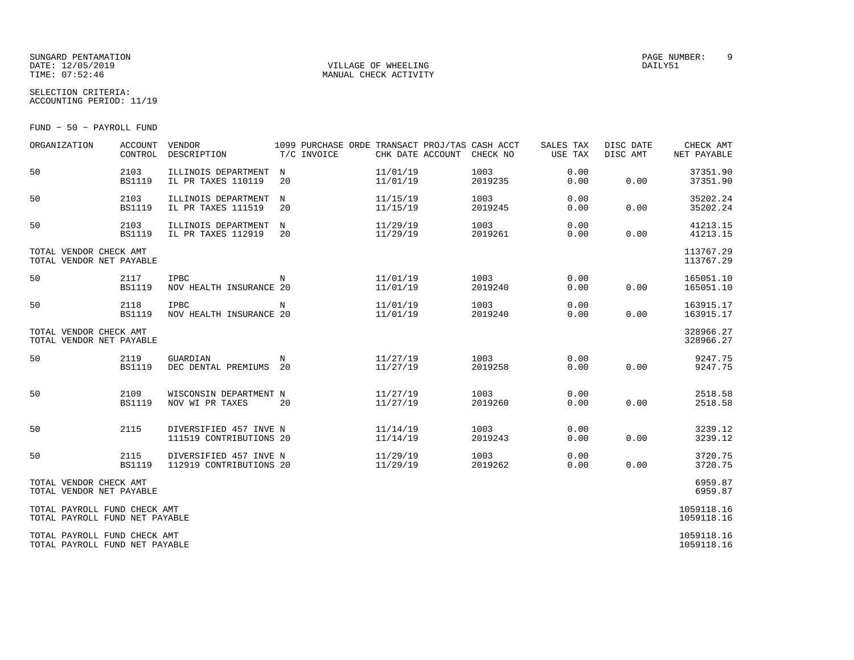## SUNGARD PENTAMATION PAGE NUMBER: 9DATE: 12/05/2019 VILLAGE OF WHEELING DAILY51

MANUAL CHECK ACTIVITY

SELECTION CRITERIA:ACCOUNTING PERIOD: 11/19

FUND − 50 − PAYROLL FUND

| ORGANIZATION                                                   | <b>ACCOUNT</b><br>CONTROL | VENDOR<br>DESCRIPTION                             | T/C INVOICE | CHK DATE ACCOUNT     | 1099 PURCHASE ORDE TRANSACT PROJ/TAS CASH ACCT<br>CHECK NO | SALES TAX<br>USE TAX | DISC DATE<br>DISC AMT | CHECK AMT<br>NET PAYABLE |
|----------------------------------------------------------------|---------------------------|---------------------------------------------------|-------------|----------------------|------------------------------------------------------------|----------------------|-----------------------|--------------------------|
| 50                                                             | 2103<br><b>BS1119</b>     | ILLINOIS DEPARTMENT<br>IL PR TAXES 110119         | N<br>20     | 11/01/19<br>11/01/19 | 1003<br>2019235                                            | 0.00<br>0.00         | 0.00                  | 37351.90<br>37351.90     |
| 50                                                             | 2103<br><b>BS1119</b>     | ILLINOIS DEPARTMENT<br>IL PR TAXES 111519         | N<br>20     | 11/15/19<br>11/15/19 | 1003<br>2019245                                            | 0.00<br>0.00         | 0.00                  | 35202.24<br>35202.24     |
| 50                                                             | 2103<br><b>BS1119</b>     | ILLINOIS DEPARTMENT<br>IL PR TAXES 112919         | N<br>20     | 11/29/19<br>11/29/19 | 1003<br>2019261                                            | 0.00<br>0.00         | 0.00                  | 41213.15<br>41213.15     |
| TOTAL VENDOR CHECK AMT<br>TOTAL VENDOR NET PAYABLE             |                           |                                                   |             |                      |                                                            |                      |                       | 113767.29<br>113767.29   |
| 50                                                             | 2117<br><b>BS1119</b>     | <b>IPBC</b><br>NOV HEALTH INSURANCE 20            | N           | 11/01/19<br>11/01/19 | 1003<br>2019240                                            | 0.00<br>0.00         | 0.00                  | 165051.10<br>165051.10   |
| 50                                                             | 2118<br><b>BS1119</b>     | IPBC<br>NOV HEALTH INSURANCE 20                   | N           | 11/01/19<br>11/01/19 | 1003<br>2019240                                            | 0.00<br>0.00         | 0.00                  | 163915.17<br>163915.17   |
| TOTAL VENDOR CHECK AMT<br>TOTAL VENDOR NET PAYABLE             |                           |                                                   |             |                      |                                                            |                      |                       | 328966.27<br>328966.27   |
| 50                                                             | 2119<br><b>BS1119</b>     | GUARDIAN<br>DEC DENTAL PREMIUMS                   | N<br>20     | 11/27/19<br>11/27/19 | 1003<br>2019258                                            | 0.00<br>0.00         | 0.00                  | 9247.75<br>9247.75       |
| 50                                                             | 2109<br><b>BS1119</b>     | WISCONSIN DEPARTMENT N<br>NOV WI PR TAXES         | 20          | 11/27/19<br>11/27/19 | 1003<br>2019260                                            | 0.00<br>0.00         | 0.00                  | 2518.58<br>2518.58       |
| 50                                                             | 2115                      | DIVERSIFIED 457 INVE N<br>111519 CONTRIBUTIONS 20 |             | 11/14/19<br>11/14/19 | 1003<br>2019243                                            | 0.00<br>0.00         | 0.00                  | 3239.12<br>3239.12       |
| 50                                                             | 2115<br><b>BS1119</b>     | DIVERSIFIED 457 INVE N<br>112919 CONTRIBUTIONS 20 |             | 11/29/19<br>11/29/19 | 1003<br>2019262                                            | 0.00<br>0.00         | 0.00                  | 3720.75<br>3720.75       |
| TOTAL VENDOR CHECK AMT<br>TOTAL VENDOR NET PAYABLE             |                           |                                                   |             |                      |                                                            |                      |                       | 6959.87<br>6959.87       |
| TOTAL PAYROLL FUND CHECK AMT<br>TOTAL PAYROLL FUND NET PAYABLE |                           |                                                   |             |                      |                                                            |                      |                       | 1059118.16<br>1059118.16 |
| TOTAL PAYROLL FUND CHECK AMT<br>TOTAL PAYROLL FUND NET PAYABLE |                           |                                                   |             |                      |                                                            |                      |                       | 1059118.16<br>1059118.16 |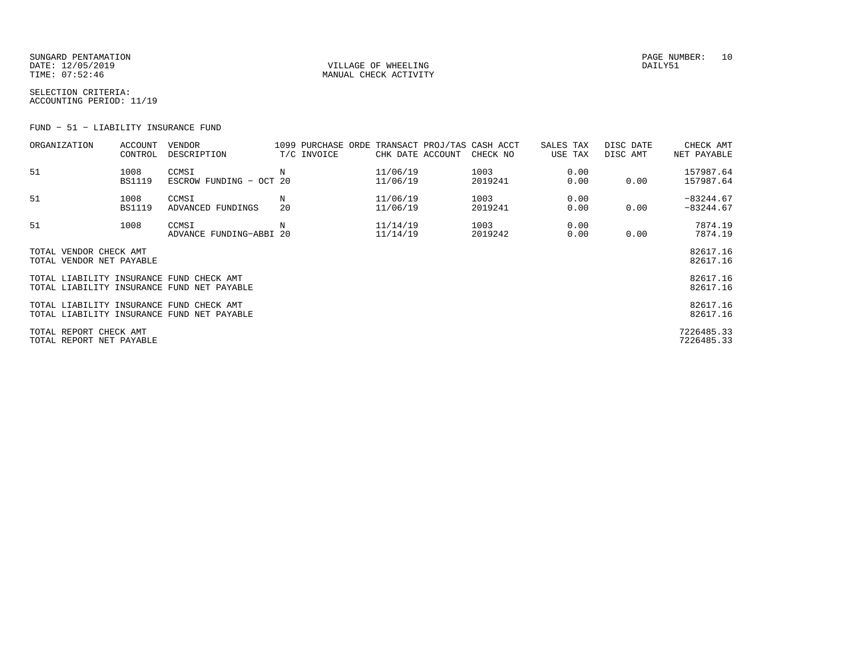SUNGARD PENTAMATION SUNGARD PENTAMATION SUNGARD PAGE NUMBER: 10 DATE: 12/05/2019 VILLAGE OF WHEELING DAILY51

MANUAL CHECK ACTIVITY

SELECTION CRITERIA:ACCOUNTING PERIOD: 11/19

FUND − 51 − LIABILITY INSURANCE FUND

| ORGANIZATION                                       | <b>ACCOUNT</b><br>CONTROL | <b>VENDOR</b><br>DESCRIPTION                            |         | T/C INVOICE | CHK DATE ACCOUNT     | 1099 PURCHASE ORDE TRANSACT PROJ/TAS CASH ACCT<br>CHECK NO | SALES TAX<br>USE TAX | DISC DATE<br>DISC AMT | CHECK AMT<br>NET PAYABLE |
|----------------------------------------------------|---------------------------|---------------------------------------------------------|---------|-------------|----------------------|------------------------------------------------------------|----------------------|-----------------------|--------------------------|
| 51                                                 | 1008<br><b>BS1119</b>     | CCMSI<br>ESCROW FUNDING - OCT 20                        | Ν       |             | 11/06/19<br>11/06/19 | 1003<br>2019241                                            | 0.00<br>0.00         | 0.00                  | 157987.64<br>157987.64   |
| 51                                                 | 1008                      | CCMSI                                                   | N<br>20 |             | 11/06/19             | 1003                                                       | 0.00                 |                       | $-83244.67$              |
| 51                                                 | <b>BS1119</b><br>1008     | ADVANCED FUNDINGS<br>CCMSI                              | Ν       |             | 11/06/19<br>11/14/19 | 2019241<br>1003                                            | 0.00<br>0.00         | 0.00                  | $-83244.67$<br>7874.19   |
|                                                    |                           | ADVANCE FUNDING-ABBI 20                                 |         |             | 11/14/19             | 2019242                                                    | 0.00                 | 0.00                  | 7874.19                  |
| TOTAL VENDOR CHECK AMT<br>TOTAL VENDOR NET PAYABLE |                           |                                                         |         |             |                      |                                                            |                      |                       | 82617.16<br>82617.16     |
| TOTAL LIABILITY INSURANCE FUND CHECK AMT           |                           | TOTAL LIABILITY INSURANCE FUND NET PAYABLE              |         |             |                      |                                                            |                      |                       | 82617.16<br>82617.16     |
| TOTAL LIABILITY INSURANCE FUND                     |                           | CHECK AMT<br>TOTAL LIABILITY INSURANCE FUND NET PAYABLE |         |             |                      |                                                            |                      |                       | 82617.16<br>82617.16     |
| TOTAL REPORT CHECK AMT<br>TOTAL REPORT NET PAYABLE |                           |                                                         |         |             |                      |                                                            |                      |                       | 7226485.33<br>7226485.33 |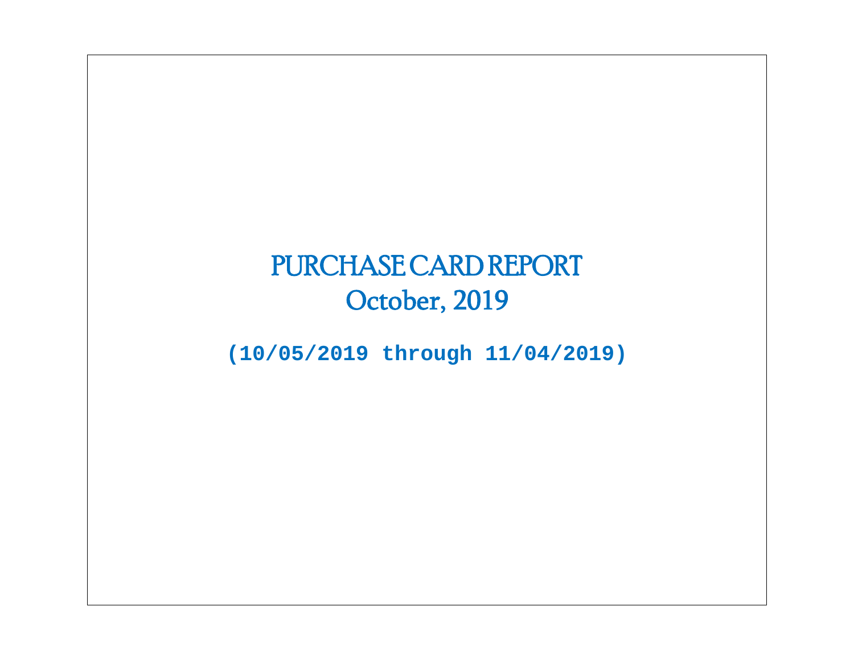# PURCHASE CARD REPORT October, 2019

**(10/05/2019 through 11/04/2019)**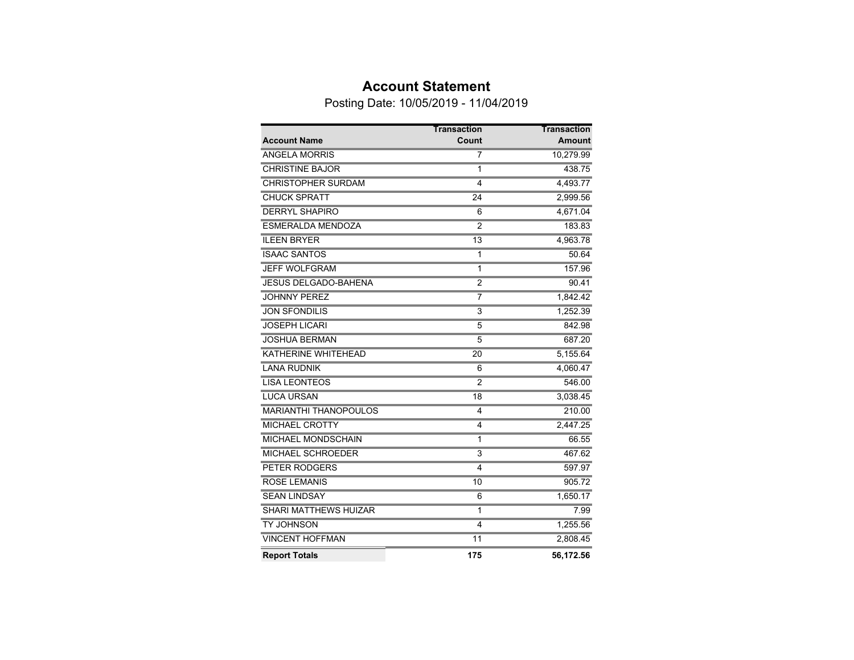### **Account Statement**

Posting Date: 10/05/2019 - 11/04/2019

|                              | <b>Transaction</b> | <b>Transaction</b> |
|------------------------------|--------------------|--------------------|
| <b>Account Name</b>          | Count              | <b>Amount</b>      |
| <b>ANGELA MORRIS</b>         | 7                  | 10,279.99          |
| <b>CHRISTINE BAJOR</b>       | 1                  | 438.75             |
| <b>CHRISTOPHER SURDAM</b>    | 4                  | 4,493.77           |
| <b>CHUCK SPRATT</b>          | $\overline{24}$    | 2,999.56           |
| <b>DERRYL SHAPIRO</b>        | 6                  | 4,671.04           |
| <b>ESMERALDA MENDOZA</b>     | $\overline{2}$     | 183.83             |
| <b>ILEEN BRYER</b>           | $\overline{13}$    | 4,963.78           |
| <b>ISAAC SANTOS</b>          | 1                  | 50.64              |
| <b>JEFF WOLFGRAM</b>         | 1                  | 157.96             |
| <b>JESUS DELGADO-BAHENA</b>  | $\overline{2}$     | 90.41              |
| <b>JOHNNY PEREZ</b>          | 7                  | 1,842.42           |
| <b>JON SFONDILIS</b>         | $\overline{3}$     | 1,252.39           |
| <b>JOSEPH LICARI</b>         | $\overline{5}$     | 842.98             |
| <b>JOSHUA BERMAN</b>         | 5                  | 687.20             |
| <b>KATHERINE WHITEHEAD</b>   | $\overline{20}$    | 5,155.64           |
| <b>LANA RUDNIK</b>           | 6                  | 4,060.47           |
| <b>LISA LEONTEOS</b>         | $\overline{2}$     | 546.00             |
| <b>LUCA URSAN</b>            | $\overline{18}$    | 3,038.45           |
| <b>MARIANTHI THANOPOULOS</b> | 4                  | 210.00             |
| <b>MICHAEL CROTTY</b>        | $\overline{4}$     | 2,447.25           |
| <b>MICHAEL MONDSCHAIN</b>    | 1                  | 66.55              |
| <b>MICHAEL SCHROEDER</b>     | $\overline{3}$     | 467.62             |
| <b>PETER RODGERS</b>         | $\overline{4}$     | 597.97             |
| <b>ROSE LEMANIS</b>          | 10                 | 905.72             |
| <b>SEAN LINDSAY</b>          | 6                  | 1,650.17           |
| <b>SHARI MATTHEWS HUIZAR</b> | 1                  | 7.99               |
| <b>TY JOHNSON</b>            | $\overline{4}$     | 1,255.56           |
| <b>VINCENT HOFFMAN</b>       | $\overline{11}$    | 2,808.45           |
| <b>Report Totals</b>         | 175                | 56,172.56          |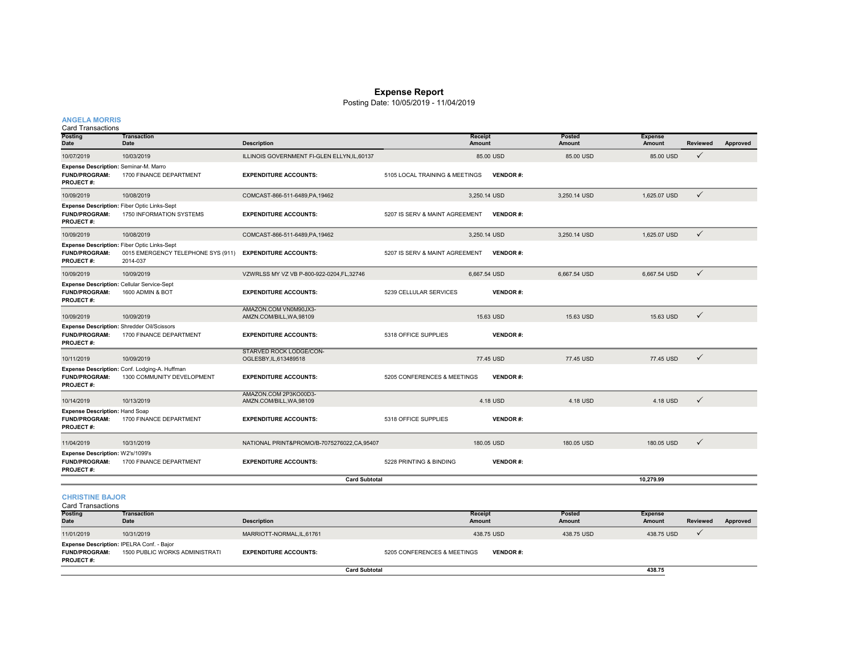#### **Expense Report**

Posting Date: 10/05/2019 - 11/04/2019

| <b>ANGELA MORRIS</b> |  |  |
|----------------------|--|--|
|                      |  |  |
|                      |  |  |

#### Card Transactions

**PROJECT #:**

| Garu Transacuons<br>Posting<br>Date                                                     | <b>Transaction</b><br>Date                                                  | <b>Description</b>                                |                                | <b>Receipt</b><br>Amount | Posted<br>Amount               | <b>Expense</b><br>Amount        | <b>Reviewed</b> | Approved |
|-----------------------------------------------------------------------------------------|-----------------------------------------------------------------------------|---------------------------------------------------|--------------------------------|--------------------------|--------------------------------|---------------------------------|-----------------|----------|
| 10/07/2019                                                                              | 10/03/2019                                                                  | ILLINOIS GOVERNMENT FI-GLEN ELLYN, IL, 60137      |                                | 85.00 USD                | 85.00 USD                      | 85.00 USD                       | $\checkmark$    |          |
| Expense Description: Seminar-M. Marro<br><b>FUND/PROGRAM:</b><br><b>PROJECT#:</b>       | 1700 FINANCE DEPARTMENT                                                     | <b>EXPENDITURE ACCOUNTS:</b>                      | 5105 LOCAL TRAINING & MEETINGS | <b>VENDOR#:</b>          |                                |                                 |                 |          |
| 10/09/2019                                                                              | 10/08/2019                                                                  | COMCAST-866-511-6489, PA, 19462                   |                                | 3,250.14 USD             | 3,250.14 USD                   | 1,625.07 USD                    | $\checkmark$    |          |
| Expense Description: Fiber Optic Links-Sept<br><b>FUND/PROGRAM:</b><br><b>PROJECT#:</b> | 1750 INFORMATION SYSTEMS                                                    | <b>EXPENDITURE ACCOUNTS:</b>                      | 5207 IS SERV & MAINT AGREEMENT | <b>VENDOR#:</b>          |                                |                                 |                 |          |
| 10/09/2019                                                                              | 10/08/2019                                                                  | COMCAST-866-511-6489.PA.19462                     |                                | 3.250.14 USD             | 3.250.14 USD                   | 1.625.07 USD                    | $\checkmark$    |          |
| Expense Description: Fiber Optic Links-Sept<br><b>FUND/PROGRAM:</b><br>PROJECT#:        | 0015 EMERGENCY TELEPHONE SYS (911)<br>2014-037                              | <b>EXPENDITURE ACCOUNTS:</b>                      | 5207 IS SERV & MAINT AGREEMENT | <b>VENDOR#:</b>          |                                |                                 |                 |          |
| 10/09/2019                                                                              | 10/09/2019                                                                  | VZWRLSS MY VZ VB P-800-922-0204,FL,32746          |                                | 6,667.54 USD             | 6,667.54 USD                   | 6,667.54 USD                    | $\checkmark$    |          |
| <b>Expense Description: Cellular Service-Sept</b><br><b>FUND/PROGRAM:</b><br>PROJECT#:  | 1600 ADMIN & BOT                                                            | <b>EXPENDITURE ACCOUNTS:</b>                      | 5239 CELLULAR SERVICES         | <b>VENDOR#:</b>          |                                |                                 |                 |          |
| 10/09/2019                                                                              | 10/09/2019                                                                  | AMAZON.COM VN0M90JX3-<br>AMZN.COM/BILL, WA, 98109 |                                | 15.63 USD                | 15.63 USD                      | 15.63 USD                       | $\checkmark$    |          |
| Expense Description: Shredder Oil/Scissors<br><b>FUND/PROGRAM:</b><br>PROJECT#:         | 1700 FINANCE DEPARTMENT                                                     | <b>EXPENDITURE ACCOUNTS:</b>                      | 5318 OFFICE SUPPLIES           | <b>VENDOR#:</b>          |                                |                                 |                 |          |
| 10/11/2019                                                                              | 10/09/2019                                                                  | STARVED ROCK LODGE/CON-<br>OGLESBY, IL, 613489518 |                                | 77.45 USD                | 77.45 USD                      | 77.45 USD                       | $\checkmark$    |          |
| <b>FUND/PROGRAM:</b><br>PROJECT#:                                                       | Expense Description: Conf. Lodging-A. Huffman<br>1300 COMMUNITY DEVELOPMENT | <b>EXPENDITURE ACCOUNTS:</b>                      | 5205 CONFERENCES & MEETINGS    | <b>VENDOR#:</b>          |                                |                                 |                 |          |
| 10/14/2019                                                                              | 10/13/2019                                                                  | AMAZON.COM 2P3KO00D3-<br>AMZN.COM/BILL, WA, 98109 |                                | 4.18 USD                 | 4.18 USD                       | 4.18 USD                        | $\checkmark$    |          |
| <b>Expense Description: Hand Soap</b><br><b>FUND/PROGRAM:</b><br><b>PROJECT#:</b>       | 1700 FINANCE DEPARTMENT                                                     | <b>EXPENDITURE ACCOUNTS:</b>                      | 5318 OFFICE SUPPLIES           | <b>VENDOR#:</b>          |                                |                                 |                 |          |
| 11/04/2019                                                                              | 10/31/2019                                                                  | NATIONAL PRINT&PROMO/B-7075276022,CA,95407        |                                | 180.05 USD               | 180.05 USD                     | 180.05 USD                      | $\checkmark$    |          |
| Expense Description: W2's/1099's<br><b>FUND/PROGRAM:</b><br>PROJECT#:                   | 1700 FINANCE DEPARTMENT                                                     | <b>EXPENDITURE ACCOUNTS:</b>                      | 5228 PRINTING & BINDING        | <b>VENDOR#:</b>          |                                |                                 |                 |          |
|                                                                                         |                                                                             | <b>Card Subtotal</b>                              |                                |                          |                                | 10,279.99                       |                 |          |
| <b>CHRISTINE BAJOR</b><br><b>Card Transactions</b>                                      |                                                                             |                                                   |                                |                          |                                |                                 |                 |          |
| Posting<br>Date                                                                         | <b>Transaction</b><br>Date                                                  | <b>Description</b>                                |                                | <b>Receipt</b><br>Amount | <b>Posted</b><br><b>Amount</b> | <b>Expense</b><br><b>Amount</b> | <b>Reviewed</b> | Approved |
| 11/01/2019                                                                              | 10/31/2019                                                                  | MARRIOTT-NORMAL, IL, 61761                        |                                | 438.75 USD               | 438.75 USD                     | 438.75 USD                      | $\checkmark$    |          |
| Expense Description: IPELRA Conf. - Bajor<br><b>FUND/PROGRAM:</b>                       | 1500 PUBLIC WORKS ADMINISTRATI                                              | <b>EXPENDITURE ACCOUNTS:</b>                      | 5205 CONFERENCES & MEETINGS    | <b>VENDOR#:</b>          |                                |                                 |                 |          |

**Card Subtotal**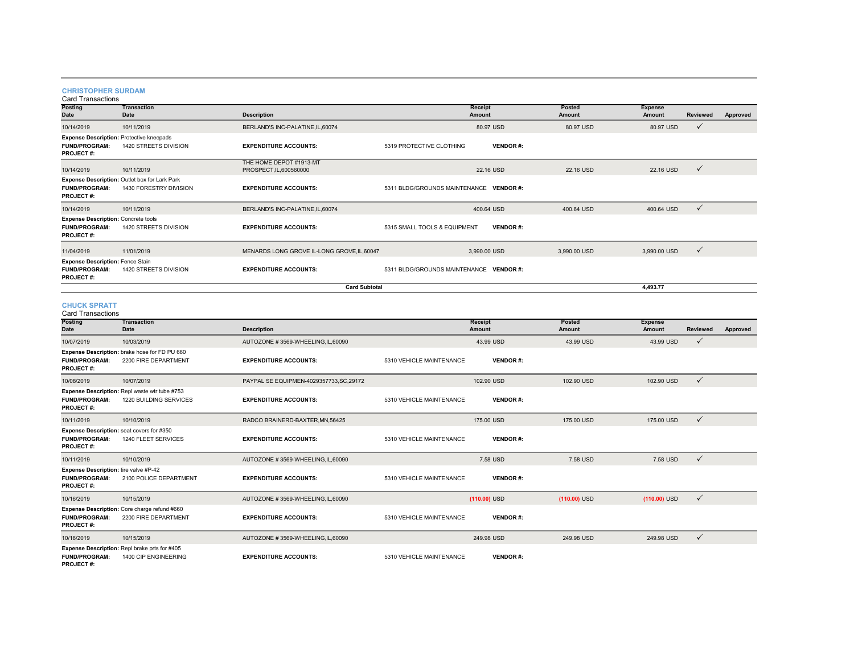## **CHRISTOPHER SURDAM** Card Transactions

| Posting<br><b>Date</b>                                                                | <b>Transaction</b><br>Date                                              | <b>Description</b>                                 |                                         | <b>Receipt</b><br>Amount | <b>Posted</b><br>Amount | <b>Expense</b><br>Amount | <b>Reviewed</b> | Approved |
|---------------------------------------------------------------------------------------|-------------------------------------------------------------------------|----------------------------------------------------|-----------------------------------------|--------------------------|-------------------------|--------------------------|-----------------|----------|
| 10/14/2019                                                                            | 10/11/2019                                                              | BERLAND'S INC-PALATINE, IL, 60074                  |                                         | 80.97 USD                | 80.97 USD               | 80.97 USD                | $\checkmark$    |          |
| <b>Expense Description: Protective kneepads</b><br>FUND/PROGRAM:<br>PROJECT#:         | 1420 STREETS DIVISION                                                   | <b>EXPENDITURE ACCOUNTS:</b>                       | 5319 PROTECTIVE CLOTHING                | <b>VENDOR#:</b>          |                         |                          |                 |          |
| 10/14/2019                                                                            | 10/11/2019                                                              | THE HOME DEPOT #1913-MT<br>PROSPECT, IL, 600560000 |                                         | 22.16 USD                | 22.16 USD               | 22.16 USD                | $\checkmark$    |          |
| <b>FUND/PROGRAM:</b><br><b>PROJECT#:</b>                                              | Expense Description: Outlet box for Lark Park<br>1430 FORESTRY DIVISION | <b>EXPENDITURE ACCOUNTS:</b>                       | 5311 BLDG/GROUNDS MAINTENANCE VENDOR #: |                          |                         |                          |                 |          |
| 10/14/2019                                                                            | 10/11/2019                                                              | BERLAND'S INC-PALATINE, IL, 60074                  |                                         | 400.64 USD               | 400.64 USD              | 400.64 USD               | $\checkmark$    |          |
| <b>Expense Description: Concrete tools</b><br><b>FUND/PROGRAM:</b><br>PROJECT#:       | 1420 STREETS DIVISION                                                   | <b>EXPENDITURE ACCOUNTS:</b>                       | 5315 SMALL TOOLS & EQUIPMENT            | <b>VENDOR#:</b>          |                         |                          |                 |          |
| 11/04/2019                                                                            | 11/01/2019                                                              | MENARDS LONG GROVE IL-LONG GROVE, IL, 60047        |                                         | 3,990.00 USD             | 3,990.00 USD            | 3,990.00 USD             | $\checkmark$    |          |
| Expense Description: Fence Stain<br><b>FUND/PROGRAM:</b><br><b>PROJECT#:</b>          | 1420 STREETS DIVISION                                                   | <b>EXPENDITURE ACCOUNTS:</b>                       | 5311 BLDG/GROUNDS MAINTENANCE VENDOR #: |                          |                         |                          |                 |          |
|                                                                                       |                                                                         | <b>Card Subtotal</b>                               |                                         |                          |                         | 4,493.77                 |                 |          |
| <b>CHUCK SPRATT</b><br><b>Card Transactions</b>                                       |                                                                         |                                                    |                                         |                          |                         |                          |                 |          |
| <b>Posting</b><br><b>Date</b>                                                         | <b>Transaction</b><br>Date                                              | <b>Description</b>                                 |                                         | <b>Receipt</b><br>Amount | <b>Posted</b><br>Amount | <b>Expense</b><br>Amount | <b>Reviewed</b> | Approved |
| 10/07/2019                                                                            | 10/03/2019                                                              | AUTOZONE #3569-WHEELING,IL,60090                   |                                         | 43.99 USD                | 43.99 USD               | 43.99 USD                | $\checkmark$    |          |
| <b>FUND/PROGRAM:</b><br>PROJECT#:                                                     | Expense Description: brake hose for FD PU 660<br>2200 FIRE DEPARTMENT   | <b>EXPENDITURE ACCOUNTS:</b>                       | 5310 VEHICLE MAINTENANCE                | <b>VENDOR#:</b>          |                         |                          |                 |          |
| 10/08/2019                                                                            | 10/07/2019                                                              | PAYPAL SE EQUIPMEN-4029357733.SC.29172             |                                         | 102.90 USD               | 102.90 USD              | 102.90 USD               | $\checkmark$    |          |
| <b>FUND/PROGRAM:</b><br>PROJECT#:                                                     | Expense Description: Repl waste wtr tube #753<br>1220 BUILDING SERVICES | <b>EXPENDITURE ACCOUNTS:</b>                       | 5310 VEHICLE MAINTENANCE                | <b>VENDOR#:</b>          |                         |                          |                 |          |
| 10/11/2019                                                                            | 10/10/2019                                                              | RADCO BRAINERD-BAXTER.MN.56425                     |                                         | 175,00 USD               | 175,00 USD              | 175,00 USD               | $\checkmark$    |          |
| <b>Expense Description:</b> seat covers for #350<br><b>FUND/PROGRAM:</b><br>PROJECT#: | 1240 FLEET SERVICES                                                     | <b>EXPENDITURE ACCOUNTS:</b>                       | 5310 VEHICLE MAINTENANCE                | <b>VENDOR#:</b>          |                         |                          |                 |          |
| 10/11/2019                                                                            | 10/10/2019                                                              | AUTOZONE #3569-WHEELING,IL,60090                   |                                         | 7.58 USD                 | 7.58 USD                | 7.58 USD                 | $\checkmark$    |          |
| Expense Description: tire valve #P-42<br><b>FUND/PROGRAM:</b><br><b>PROJECT#:</b>     | 2100 POLICE DEPARTMENT                                                  | <b>EXPENDITURE ACCOUNTS:</b>                       | 5310 VEHICLE MAINTENANCE                | <b>VENDOR#:</b>          |                         |                          |                 |          |
| 10/16/2019                                                                            | 10/15/2019                                                              | AUTOZONE #3569-WHEELING,IL,60090                   |                                         | $(110.00)$ USD           | $(110.00)$ USD          | $(110.00)$ USD           | $\checkmark$    |          |
| <b>FUND/PROGRAM:</b><br><b>PROJECT#:</b>                                              | Expense Description: Core charge refund #660<br>2200 FIRE DEPARTMENT    | <b>EXPENDITURE ACCOUNTS:</b>                       | 5310 VEHICLE MAINTENANCE                | <b>VENDOR#:</b>          |                         |                          |                 |          |
| 10/16/2019                                                                            | 10/15/2019                                                              | AUTOZONE #3569-WHEELING,IL,60090                   |                                         | 249.98 USD               | 249.98 USD              | 249.98 USD               | $\checkmark$    |          |
| <b>FUND/PROGRAM:</b><br>PROJECT#:                                                     | Expense Description: Repl brake prts for #405<br>1400 CIP ENGINEERING   | <b>EXPENDITURE ACCOUNTS:</b>                       | 5310 VEHICLE MAINTENANCE                | <b>VENDOR#:</b>          |                         |                          |                 |          |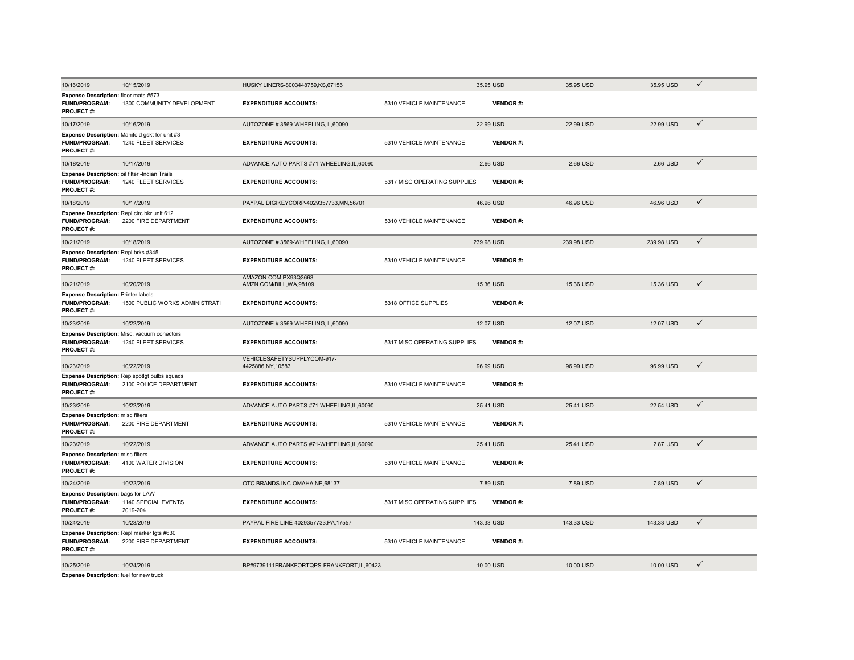| 10/16/2019                                                                                 | 10/15/2019                                                              | HUSKY LINERS-8003448759, KS, 67156                |                              | 35.95 USD       | 35.95 USD  | 35.95 USD  | $\checkmark$ |
|--------------------------------------------------------------------------------------------|-------------------------------------------------------------------------|---------------------------------------------------|------------------------------|-----------------|------------|------------|--------------|
| Expense Description: floor mats #573<br>FUND/PROGRAM:<br>PROJECT#:                         | 1300 COMMUNITY DEVELOPMENT                                              | <b>EXPENDITURE ACCOUNTS:</b>                      | 5310 VEHICLE MAINTENANCE     | <b>VENDOR#:</b> |            |            |              |
| 10/17/2019                                                                                 | 10/16/2019                                                              | AUTOZONE #3569-WHEELING,IL,60090                  |                              | 22.99 USD       | 22.99 USD  | 22.99 USD  | $\checkmark$ |
| <b>FUND/PROGRAM:</b><br>PROJECT#:                                                          | Expense Description: Manifold gskt for unit #3<br>1240 FLEET SERVICES   | <b>EXPENDITURE ACCOUNTS:</b>                      | 5310 VEHICLE MAINTENANCE     | <b>VENDOR#:</b> |            |            |              |
| 10/18/2019                                                                                 | 10/17/2019                                                              | ADVANCE AUTO PARTS #71-WHEELING,IL,60090          |                              | 2.66 USD        | 2.66 USD   | 2.66 USD   | $\checkmark$ |
| Expense Description: oil filter -Indian Trails<br><b>FUND/PROGRAM:</b><br><b>PROJECT#:</b> | 1240 FLEET SERVICES                                                     | <b>EXPENDITURE ACCOUNTS:</b>                      | 5317 MISC OPERATING SUPPLIES | <b>VENDOR#:</b> |            |            |              |
| 10/18/2019                                                                                 | 10/17/2019                                                              | PAYPAL DIGIKEYCORP-4029357733.MN.56701            |                              | 46.96 USD       | 46.96 USD  | 46.96 USD  | $\checkmark$ |
| Expense Description: Repl circ bkr unit 612<br><b>FUND/PROGRAM:</b><br><b>PROJECT#:</b>    | 2200 FIRE DEPARTMENT                                                    | <b>EXPENDITURE ACCOUNTS:</b>                      | 5310 VEHICLE MAINTENANCE     | <b>VENDOR#:</b> |            |            |              |
| 10/21/2019                                                                                 | 10/18/2019                                                              | AUTOZONE #3569-WHEELING,IL,60090                  |                              | 239.98 USD      | 239.98 USD | 239.98 USD | $\checkmark$ |
| Expense Description: Repl brks #345<br><b>FUND/PROGRAM:</b><br>PROJECT#:                   | 1240 FLEET SERVICES                                                     | <b>EXPENDITURE ACCOUNTS:</b>                      | 5310 VEHICLE MAINTENANCE     | <b>VENDOR#:</b> |            |            |              |
| 10/21/2019                                                                                 | 10/20/2019                                                              | AMAZON.COM PX93Q3663-<br>AMZN.COM/BILL, WA, 98109 |                              | 15.36 USD       | 15.36 USD  | 15.36 USD  | $\checkmark$ |
| <b>Expense Description: Printer labels</b><br><b>FUND/PROGRAM:</b><br><b>PROJECT#:</b>     | 1500 PUBLIC WORKS ADMINISTRATI                                          | <b>EXPENDITURE ACCOUNTS:</b>                      | 5318 OFFICE SUPPLIES         | <b>VENDOR#:</b> |            |            |              |
| 10/23/2019                                                                                 | 10/22/2019                                                              | AUTOZONE #3569-WHEELING.IL.60090                  |                              | 12.07 USD       | 12.07 USD  | 12.07 USD  | $\checkmark$ |
| FUND/PROGRAM:<br>PROJECT#:                                                                 | Expense Description: Misc. vacuum conectors<br>1240 FLEET SERVICES      | <b>EXPENDITURE ACCOUNTS:</b>                      | 5317 MISC OPERATING SUPPLIES | <b>VENDOR#:</b> |            |            |              |
| 10/23/2019                                                                                 | 10/22/2019                                                              | VEHICLESAFETYSUPPLYCOM-917-<br>4425886, NY, 10583 |                              | 96.99 USD       | 96.99 USD  | 96.99 USD  | $\checkmark$ |
| <b>FUND/PROGRAM:</b><br>PROJECT#:                                                          | Expense Description: Rep spotigt bulbs squads<br>2100 POLICE DEPARTMENT | <b>EXPENDITURE ACCOUNTS:</b>                      | 5310 VEHICLE MAINTENANCE     | <b>VENDOR#:</b> |            |            |              |
| 10/23/2019                                                                                 | 10/22/2019                                                              | ADVANCE AUTO PARTS #71-WHEELING,IL,60090          |                              | 25.41 USD       | 25.41 USD  | 22.54 USD  | $\checkmark$ |
| <b>Expense Description: misc filters</b><br><b>FUND/PROGRAM:</b><br>PROJECT#:              | 2200 FIRE DEPARTMENT                                                    | <b>EXPENDITURE ACCOUNTS:</b>                      | 5310 VEHICLE MAINTENANCE     | <b>VENDOR#:</b> |            |            |              |
| 10/23/2019                                                                                 | 10/22/2019                                                              | ADVANCE AUTO PARTS #71-WHEELING.IL.60090          |                              | 25.41 USD       | 25.41 USD  | 2.87 USD   | $\checkmark$ |
| <b>Expense Description: misc filters</b><br><b>FUND/PROGRAM:</b><br><b>PROJECT#:</b>       | 4100 WATER DIVISION                                                     | <b>EXPENDITURE ACCOUNTS:</b>                      | 5310 VEHICLE MAINTENANCE     | <b>VENDOR#:</b> |            |            |              |
| 10/24/2019                                                                                 | 10/22/2019                                                              | OTC BRANDS INC-OMAHA, NE, 68137                   |                              | 7.89 USD        | 7.89 USD   | 7.89 USD   | $\checkmark$ |
| <b>Expense Description: bags for LAW</b>                                                   |                                                                         |                                                   |                              |                 |            |            |              |
| <b>FUND/PROGRAM:</b><br>PROJECT#:                                                          | 1140 SPECIAL EVENTS<br>2019-204                                         | <b>EXPENDITURE ACCOUNTS:</b>                      | 5317 MISC OPERATING SUPPLIES | <b>VENDOR#:</b> |            |            |              |
| 10/24/2019                                                                                 | 10/23/2019                                                              | PAYPAL FIRE LINE-4029357733, PA, 17557            |                              | 143.33 USD      | 143.33 USD | 143.33 USD | $\checkmark$ |
| Expense Description: Repl marker Igts #630<br>FUND/PROGRAM:<br>PROJECT#:                   | 2200 FIRE DEPARTMENT                                                    | <b>EXPENDITURE ACCOUNTS:</b>                      | 5310 VEHICLE MAINTENANCE     | <b>VENDOR#:</b> |            |            |              |
| 10/25/2019                                                                                 | 10/24/2019                                                              | BP#9739111FRANKFORTQPS-FRANKFORT,IL,60423         |                              | 10.00 USD       | 10.00 USD  | 10.00 USD  | ✓            |
| Expense Description: fuel for new truck                                                    |                                                                         |                                                   |                              |                 |            |            |              |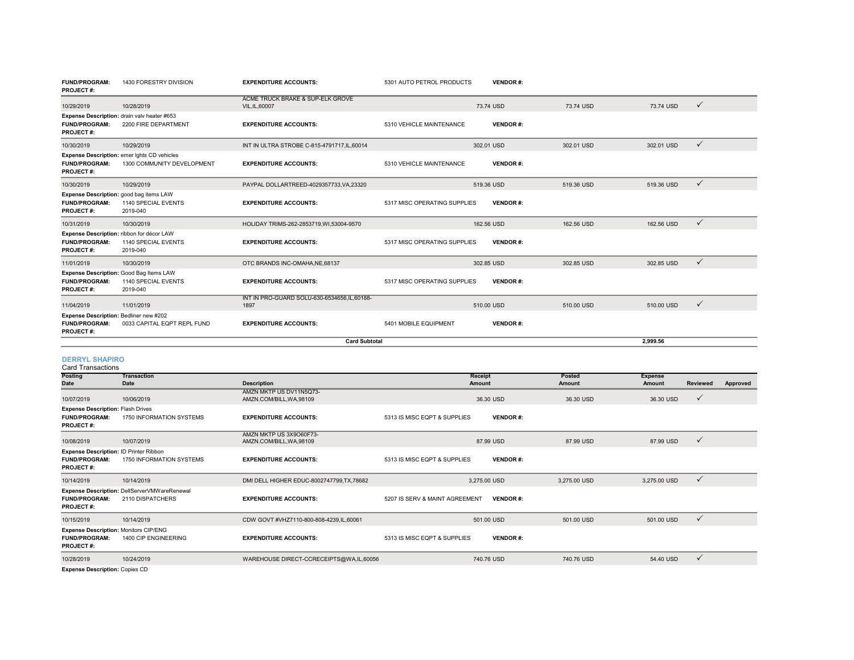| <b>FUND/PROGRAM:</b><br><b>PROJECT#:</b>                                           | 1430 FORESTRY DIVISION                                                       | <b>EXPENDITURE ACCOUNTS:</b>                          | 5301 AUTO PETROL PRODUCTS    | <b>VENDOR#:</b> |            |            |              |
|------------------------------------------------------------------------------------|------------------------------------------------------------------------------|-------------------------------------------------------|------------------------------|-----------------|------------|------------|--------------|
| 10/29/2019                                                                         | 10/28/2019                                                                   | ACME TRUCK BRAKE & SUP-ELK GROVE<br>VIL, IL, 60007    |                              | 73.74 USD       | 73.74 USD  | 73.74 USD  | $\checkmark$ |
| <b>FUND/PROGRAM:</b><br><b>PROJECT#:</b>                                           | Expense Description: drain valv heater #653<br>2200 FIRE DEPARTMENT          | <b>EXPENDITURE ACCOUNTS:</b>                          | 5310 VEHICLE MAINTENANCE     | <b>VENDOR#:</b> |            |            |              |
| 10/30/2019                                                                         | 10/29/2019                                                                   | INT IN ULTRA STROBE C-815-4791717.IL.60014            |                              | 302.01 USD      | 302.01 USD | 302.01 USD | $\checkmark$ |
| <b>FUND/PROGRAM:</b><br><b>PROJECT#:</b>                                           | Expense Description: emer lghts CD vehicles<br>1300 COMMUNITY DEVELOPMENT    | <b>EXPENDITURE ACCOUNTS:</b>                          | 5310 VEHICLE MAINTENANCE     | <b>VENDOR#:</b> |            |            |              |
| 10/30/2019                                                                         | 10/29/2019                                                                   | PAYPAL DOLLARTREED-4029357733.VA.23320                |                              | 519.36 USD      | 519.36 USD | 519.36 USD | $\checkmark$ |
| <b>FUND/PROGRAM:</b><br><b>PROJECT#:</b>                                           | Expense Description: good bag items LAW<br>1140 SPECIAL EVENTS<br>2019-040   | <b>EXPENDITURE ACCOUNTS:</b>                          | 5317 MISC OPERATING SUPPLIES | <b>VENDOR#:</b> |            |            |              |
| 10/31/2019                                                                         | 10/30/2019                                                                   | HOLIDAY TRIMS-262-2853719.WI.53004-9570               |                              | 162.56 USD      | 162.56 USD | 162.56 USD | $\checkmark$ |
| <b>FUND/PROGRAM:</b><br><b>PROJECT#:</b>                                           | Expense Description: ribbon for décor LAW<br>1140 SPECIAL EVENTS<br>2019-040 | <b>EXPENDITURE ACCOUNTS:</b>                          | 5317 MISC OPERATING SUPPLIES | <b>VENDOR#:</b> |            |            |              |
| 11/01/2019                                                                         | 10/30/2019                                                                   | OTC BRANDS INC-OMAHA.NE.68137                         |                              | 302.85 USD      | 302.85 USD | 302.85 USD | $\checkmark$ |
| <b>FUND/PROGRAM:</b><br><b>PROJECT#:</b>                                           | Expense Description: Good Bag Items LAW<br>1140 SPECIAL EVENTS<br>2019-040   | <b>EXPENDITURE ACCOUNTS:</b>                          | 5317 MISC OPERATING SUPPLIES | <b>VENDOR#:</b> |            |            |              |
| 11/04/2019                                                                         | 11/01/2019                                                                   | INT IN PRO-GUARD SOLU-630-6534656, IL, 60188-<br>1897 |                              | 510.00 USD      | 510.00 USD | 510.00 USD | $\checkmark$ |
| Expense Description: Bedliner new #202<br><b>FUND/PROGRAM:</b><br><b>PROJECT#:</b> | 0033 CAPITAL EQPT REPL FUND                                                  | <b>EXPENDITURE ACCOUNTS:</b>                          | 5401 MOBILE EQUIPMENT        | <b>VENDOR#:</b> |            |            |              |
|                                                                                    | <b>Card Subtotal</b>                                                         |                                                       |                              |                 |            | 2.999.56   |              |

#### **DERRYL SHAPIRO**

Card Transactions

| <b>Posting</b><br>Date                                                                   | Transaction<br><b>Date</b>                                       | <b>Description</b>                                  | Receipt<br>Amount                                 | Posted<br>Amount | <b>Expense</b><br>Amount | <b>Reviewed</b> | Approved |
|------------------------------------------------------------------------------------------|------------------------------------------------------------------|-----------------------------------------------------|---------------------------------------------------|------------------|--------------------------|-----------------|----------|
| 10/07/2019                                                                               | 10/06/2019                                                       | AMZN MKTP US DV11N5Q73-<br>AMZN.COM/BILL, WA, 98109 | 36.30 USD                                         | 36.30 USD        | 36.30 USD                | $\checkmark$    |          |
| <b>Expense Description: Flash Drives</b><br><b>FUND/PROGRAM:</b><br><b>PROJECT#:</b>     | 1750 INFORMATION SYSTEMS                                         | <b>EXPENDITURE ACCOUNTS:</b>                        | 5313 IS MISC EQPT & SUPPLIES<br><b>VENDOR#:</b>   |                  |                          |                 |          |
| 10/08/2019                                                                               | 10/07/2019                                                       | AMZN MKTP US 3X9O60F73-<br>AMZN.COM/BILL, WA, 98109 | 87.99 USD                                         | 87.99 USD        | 87.99 USD                | $\checkmark$    |          |
| Expense Description: ID Printer Ribbon<br><b>FUND/PROGRAM:</b><br><b>PROJECT#:</b>       | 1750 INFORMATION SYSTEMS                                         | <b>EXPENDITURE ACCOUNTS:</b>                        | 5313 IS MISC EQPT & SUPPLIES<br><b>VENDOR#:</b>   |                  |                          |                 |          |
| 10/14/2019                                                                               | 10/14/2019                                                       | DMI DELL HIGHER EDUC-8002747799, TX, 78682          | 3,275.00 USD                                      | 3,275.00 USD     | 3,275.00 USD             | $\checkmark$    |          |
| <b>FUND/PROGRAM:</b><br><b>PROJECT#:</b>                                                 | Expense Description: DellServerVMWareRenewal<br>2110 DISPATCHERS | <b>EXPENDITURE ACCOUNTS:</b>                        | 5207 IS SERV & MAINT AGREEMENT<br><b>VENDOR#:</b> |                  |                          |                 |          |
| 10/15/2019                                                                               | 10/14/2019                                                       | CDW GOVT #VHZ7110-800-808-4239, IL, 60061           | 501.00 USD                                        | 501.00 USD       | 501.00 USD               | $\checkmark$    |          |
| <b>Expense Description: Monitors CIP/ENG</b><br><b>FUND/PROGRAM:</b><br><b>PROJECT#:</b> | 1400 CIP ENGINEERING                                             | <b>EXPENDITURE ACCOUNTS:</b>                        | 5313 IS MISC EQPT & SUPPLIES<br><b>VENDOR#:</b>   |                  |                          |                 |          |
| 10/28/2019<br>_________                                                                  | 10/24/2019                                                       | WAREHOUSE DIRECT-CCRECEIPTS@WA,IL,60056             | 740.76 USD                                        | 740.76 USD       | 54.40 USD                | $\checkmark$    |          |

**Expense Description:** Copies CD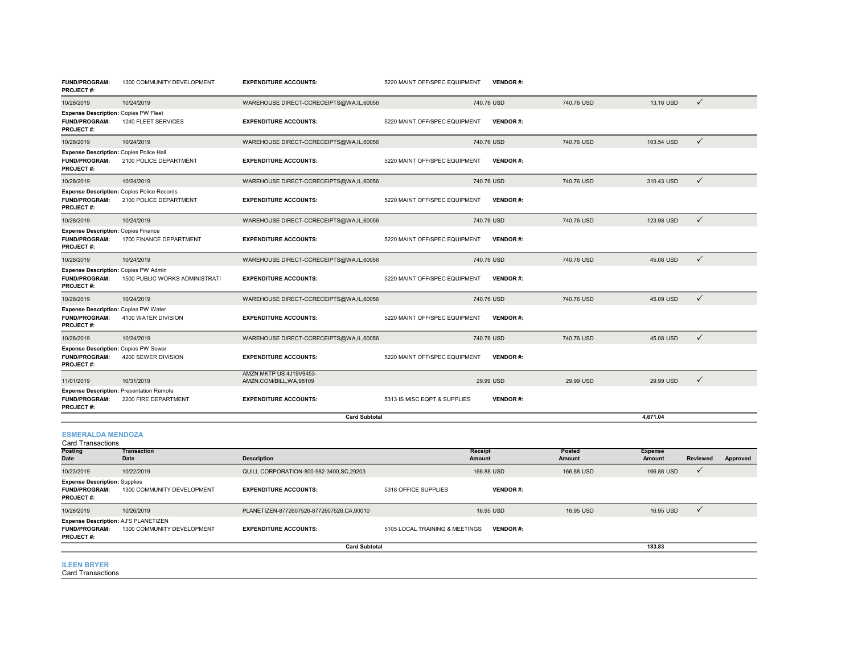| <b>FUND/PROGRAM:</b><br>PROJECT#:                                                             | 1300 COMMUNITY DEVELOPMENT     | <b>EXPENDITURE ACCOUNTS:</b>                        | 5220 MAINT OFF/SPEC EQUIPMENT | <b>VENDOR#:</b> |            |            |              |
|-----------------------------------------------------------------------------------------------|--------------------------------|-----------------------------------------------------|-------------------------------|-----------------|------------|------------|--------------|
| 10/28/2019                                                                                    | 10/24/2019                     | WAREHOUSE DIRECT-CCRECEIPTS@WA,IL,60056             |                               | 740.76 USD      | 740.76 USD | 13.16 USD  | $\checkmark$ |
| <b>Expense Description: Copies PW Fleet</b><br><b>FUND/PROGRAM:</b><br><b>PROJECT#:</b>       | 1240 FLEET SERVICES            | <b>EXPENDITURE ACCOUNTS:</b>                        | 5220 MAINT OFF/SPEC EQUIPMENT | <b>VENDOR#:</b> |            |            |              |
| 10/28/2019                                                                                    | 10/24/2019                     | WAREHOUSE DIRECT-CCRECEIPTS@WA,IL,60056             |                               | 740.76 USD      | 740.76 USD | 103.54 USD | $\checkmark$ |
| Expense Description: Copies Police Hall<br><b>FUND/PROGRAM:</b><br><b>PROJECT#:</b>           | 2100 POLICE DEPARTMENT         | <b>EXPENDITURE ACCOUNTS:</b>                        | 5220 MAINT OFF/SPEC EQUIPMENT | <b>VENDOR#:</b> |            |            |              |
| 10/28/2019                                                                                    | 10/24/2019                     | WAREHOUSE DIRECT-CCRECEIPTS@WA,IL,60056             |                               | 740.76 USD      | 740.76 USD | 310.43 USD | $\checkmark$ |
| <b>Expense Description: Copies Police Records</b><br><b>FUND/PROGRAM:</b><br><b>PROJECT#:</b> | 2100 POLICE DEPARTMENT         | <b>EXPENDITURE ACCOUNTS:</b>                        | 5220 MAINT OFF/SPEC EQUIPMENT | <b>VENDOR#:</b> |            |            |              |
| 10/28/2019                                                                                    | 10/24/2019                     | WAREHOUSE DIRECT-CCRECEIPTS@WA,IL,60056             |                               | 740.76 USD      | 740.76 USD | 123.98 USD | $\checkmark$ |
| <b>Expense Description: Copies Finance</b><br><b>FUND/PROGRAM:</b><br><b>PROJECT#:</b>        | 1700 FINANCE DEPARTMENT        | <b>EXPENDITURE ACCOUNTS:</b>                        | 5220 MAINT OFF/SPEC EQUIPMENT | <b>VENDOR#:</b> |            |            |              |
| 10/28/2019                                                                                    | 10/24/2019                     | WAREHOUSE DIRECT-CCRECEIPTS@WA,IL,60056             |                               | 740.76 USD      | 740.76 USD | 45.08 USD  | $\checkmark$ |
| Expense Description: Copies PW Admin<br><b>FUND/PROGRAM:</b><br><b>PROJECT#:</b>              | 1500 PUBLIC WORKS ADMINISTRATI | <b>EXPENDITURE ACCOUNTS:</b>                        | 5220 MAINT OFF/SPEC EQUIPMENT | <b>VENDOR#:</b> |            |            |              |
| 10/28/2019                                                                                    | 10/24/2019                     | WAREHOUSE DIRECT-CCRECEIPTS@WA,IL,60056             |                               | 740.76 USD      | 740.76 USD | 45.09 USD  | $\checkmark$ |
| Expense Description: Copies PW Water<br><b>FUND/PROGRAM:</b><br><b>PROJECT#:</b>              | 4100 WATER DIVISION            | <b>EXPENDITURE ACCOUNTS:</b>                        | 5220 MAINT OFF/SPEC EQUIPMENT | <b>VENDOR#:</b> |            |            |              |
| 10/28/2019                                                                                    | 10/24/2019                     | WAREHOUSE DIRECT-CCRECEIPTS@WA,IL,60056             |                               | 740.76 USD      | 740.76 USD | 45.08 USD  | $\checkmark$ |
| <b>Expense Description: Copies PW Sewer</b><br><b>FUND/PROGRAM:</b><br><b>PROJECT#:</b>       | 4200 SEWER DIVISION            | <b>EXPENDITURE ACCOUNTS:</b>                        | 5220 MAINT OFF/SPEC EQUIPMENT | <b>VENDOR#:</b> |            |            |              |
| 11/01/2019                                                                                    | 10/31/2019                     | AMZN MKTP US 4J19V9453-<br>AMZN.COM/BILL, WA, 98109 |                               | 29.99 USD       | 29.99 USD  | 29.99 USD  | $\checkmark$ |
| <b>Expense Description: Presentation Remote</b><br><b>FUND/PROGRAM:</b><br><b>PROJECT#:</b>   | 2200 FIRE DEPARTMENT           | <b>EXPENDITURE ACCOUNTS:</b>                        | 5313 IS MISC EQPT & SUPPLIES  | <b>VENDOR#:</b> |            |            |              |
|                                                                                               |                                |                                                     |                               | 4.671.04        |            |            |              |

#### **ESMERALDA MENDOZA**  $C$ ard Tr

| Card Transactions                    |                                   |                                           |                                |                   |                  |                          |             |          |
|--------------------------------------|-----------------------------------|-------------------------------------------|--------------------------------|-------------------|------------------|--------------------------|-------------|----------|
| Posting                              | <b>Transaction</b><br><b>Date</b> | <b>Description</b>                        |                                | Receipt<br>Amount | Posted<br>Amount | <b>Expense</b><br>Amount | Reviewed    |          |
| Date                                 |                                   |                                           |                                |                   |                  |                          |             | Approved |
| 10/23/2019                           | 10/22/2019                        | QUILL CORPORATION-800-982-3400, SC, 29203 |                                |                   | 166,88 USD       | 166.88 USD               | $\check{ }$ |          |
| <b>Expense Description: Supplies</b> |                                   |                                           |                                |                   |                  |                          |             |          |
| <b>FUND/PROGRAM:</b>                 | 1300 COMMUNITY DEVELOPMENT        | <b>EXPENDITURE ACCOUNTS:</b>              | 5318 OFFICE SUPPLIES           | <b>VENDOR#:</b>   |                  |                          |             |          |
| <b>PROJECT#:</b>                     |                                   |                                           |                                |                   |                  |                          |             |          |
| 10/28/2019                           | 10/26/2019                        | PLANETIZEN-8772607526-8772607526.CA.90010 |                                | 16.95 USD         | 16.95 USD        | 16.95 USD                | $\check{ }$ |          |
| Expense Description: AJ'S PLANETIZEN |                                   |                                           |                                |                   |                  |                          |             |          |
| <b>FUND/PROGRAM:</b>                 | 1300 COMMUNITY DEVELOPMENT        | <b>EXPENDITURE ACCOUNTS:</b>              | 5105 LOCAL TRAINING & MEETINGS | <b>VENDOR#:</b>   |                  |                          |             |          |
| <b>PROJECT#:</b>                     |                                   |                                           |                                |                   |                  |                          |             |          |
|                                      |                                   | <b>Card Subtotal</b>                      |                                |                   |                  | 183.83                   |             |          |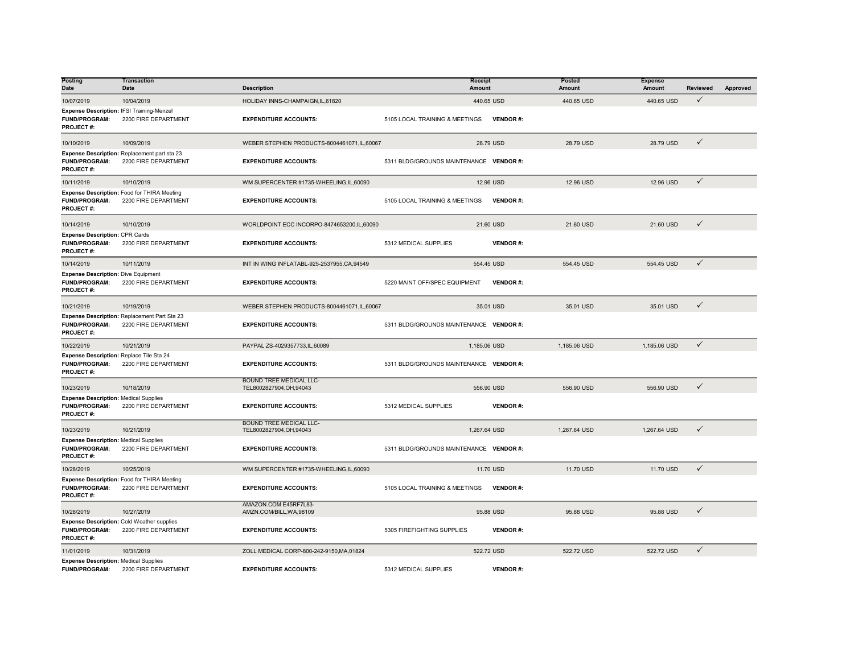| <b>Posting</b><br><b>Date</b>                                                            | <b>Transaction</b><br>Date                                                | <b>Description</b>                                       |                                         | Receipt<br>Amount |                 | Posted<br>Amount | <b>Expense</b><br>Amount | <b>Reviewed</b> | Approved |
|------------------------------------------------------------------------------------------|---------------------------------------------------------------------------|----------------------------------------------------------|-----------------------------------------|-------------------|-----------------|------------------|--------------------------|-----------------|----------|
| 10/07/2019                                                                               | 10/04/2019                                                                | HOLIDAY INNS-CHAMPAIGN, IL, 61820                        |                                         | 440.65 USD        |                 | 440.65 USD       | 440.65 USD               | $\checkmark$    |          |
| Expense Description: IFSI Training-Menzel<br>FUND/PROGRAM:<br>PROJECT#:                  | 2200 FIRE DEPARTMENT                                                      | <b>EXPENDITURE ACCOUNTS:</b>                             | 5105 LOCAL TRAINING & MEETINGS          |                   | <b>VENDOR#:</b> |                  |                          |                 |          |
| 10/10/2019                                                                               | 10/09/2019                                                                | WEBER STEPHEN PRODUCTS-8004461071.IL.60067               |                                         | 28.79 USD         |                 | 28.79 USD        | 28.79 USD                | $\checkmark$    |          |
| <b>FUND/PROGRAM:</b><br>PROJECT#:                                                        | Expense Description: Replacement part sta 23<br>2200 FIRE DEPARTMENT      | <b>EXPENDITURE ACCOUNTS:</b>                             | 5311 BLDG/GROUNDS MAINTENANCE VENDOR #: |                   |                 |                  |                          |                 |          |
| 10/11/2019                                                                               | 10/10/2019                                                                | WM SUPERCENTER #1735-WHEELING,IL,60090                   |                                         | 12.96 USD         |                 | 12.96 USD        | 12.96 USD                | $\checkmark$    |          |
| <b>FUND/PROGRAM:</b><br>PROJECT#:                                                        | Expense Description: Food for THIRA Meeting<br>2200 FIRE DEPARTMENT       | <b>EXPENDITURE ACCOUNTS:</b>                             | 5105 LOCAL TRAINING & MEETINGS          |                   | <b>VENDOR#:</b> |                  |                          |                 |          |
| 10/14/2019                                                                               | 10/10/2019                                                                | WORLDPOINT ECC INCORPO-8474653200.IL.60090               |                                         | 21.60 USD         |                 | 21.60 USD        | 21.60 USD                | $\checkmark$    |          |
| <b>Expense Description: CPR Cards</b><br><b>FUND/PROGRAM:</b><br>PROJECT#:               | 2200 FIRE DEPARTMENT                                                      | <b>EXPENDITURE ACCOUNTS:</b>                             | 5312 MEDICAL SUPPLIES                   |                   | <b>VENDOR#:</b> |                  |                          |                 |          |
| 10/14/2019                                                                               | 10/11/2019                                                                | INT IN WING INFLATABL-925-2537955, CA, 94549             |                                         | 554.45 USD        |                 | 554.45 USD       | 554.45 USD               | $\checkmark$    |          |
| <b>Expense Description: Dive Equipment</b><br><b>FUND/PROGRAM:</b><br>PROJECT#:          | 2200 FIRE DEPARTMENT                                                      | <b>EXPENDITURE ACCOUNTS:</b>                             | 5220 MAINT OFF/SPEC EQUIPMENT           |                   | <b>VENDOR#:</b> |                  |                          |                 |          |
| 10/21/2019                                                                               | 10/19/2019                                                                | WEBER STEPHEN PRODUCTS-8004461071,IL,60067               |                                         | 35.01 USD         |                 | 35.01 USD        | 35.01 USD                | $\checkmark$    |          |
| FUND/PROGRAM:<br>PROJECT#:                                                               | Expense Description: Replacement Part Sta 23<br>2200 FIRE DEPARTMENT      | <b>EXPENDITURE ACCOUNTS:</b>                             | 5311 BLDG/GROUNDS MAINTENANCE VENDOR #: |                   |                 |                  |                          |                 |          |
| 10/22/2019                                                                               | 10/21/2019                                                                | PAYPAL ZS-4029357733,IL,60089                            |                                         | 1,185.06 USD      |                 | 1,185.06 USD     | 1,185.06 USD             | $\checkmark$    |          |
| Expense Description: Replace Tile Sta 24<br><b>FUND/PROGRAM:</b><br>PROJECT#:            | 2200 FIRE DEPARTMENT                                                      | <b>EXPENDITURE ACCOUNTS:</b>                             | 5311 BLDG/GROUNDS MAINTENANCE VENDOR #: |                   |                 |                  |                          |                 |          |
| 10/23/2019                                                                               | 10/18/2019                                                                | <b>BOUND TREE MEDICAL LLC-</b><br>TEL8002827904,OH,94043 |                                         | 556.90 USD        |                 | 556.90 USD       | 556.90 USD               | $\checkmark$    |          |
| <b>Expense Description: Medical Supplies</b><br><b>FUND/PROGRAM:</b><br><b>PROJECT#:</b> | 2200 FIRE DEPARTMENT                                                      | <b>EXPENDITURE ACCOUNTS:</b>                             | 5312 MEDICAL SUPPLIES                   |                   | <b>VENDOR#:</b> |                  |                          |                 |          |
| 10/23/2019                                                                               | 10/21/2019                                                                | <b>BOUND TREE MEDICAL LLC-</b><br>TEL8002827904,OH,94043 |                                         | 1,267.64 USD      |                 | 1,267.64 USD     | 1,267.64 USD             | $\checkmark$    |          |
| <b>Expense Description: Medical Supplies</b><br><b>FUND/PROGRAM:</b><br>PROJECT#:        | 2200 FIRE DEPARTMENT                                                      | <b>EXPENDITURE ACCOUNTS:</b>                             | 5311 BLDG/GROUNDS MAINTENANCE VENDOR #: |                   |                 |                  |                          |                 |          |
| 10/28/2019                                                                               | 10/25/2019                                                                | WM SUPERCENTER #1735-WHEELING,IL,60090                   |                                         | 11.70 USD         |                 | 11.70 USD        | 11.70 USD                | $\checkmark$    |          |
| <b>FUND/PROGRAM:</b><br><b>PROJECT#:</b>                                                 | Expense Description: Food for THIRA Meeting<br>2200 FIRE DEPARTMENT       | <b>EXPENDITURE ACCOUNTS:</b>                             | 5105 LOCAL TRAINING & MEETINGS          |                   | <b>VENDOR#:</b> |                  |                          |                 |          |
| 10/28/2019                                                                               | 10/27/2019                                                                | AMAZON.COM E45RF7L83-<br>AMZN.COM/BILL, WA, 98109        |                                         | 95.88 USD         |                 | 95.88 USD        | 95.88 USD                | $\checkmark$    |          |
| <b>FUND/PROGRAM:</b><br><b>PROJECT#:</b>                                                 | <b>Expense Description: Cold Weather supplies</b><br>2200 FIRE DEPARTMENT | <b>EXPENDITURE ACCOUNTS:</b>                             | 5305 FIREFIGHTING SUPPLIES              |                   | <b>VENDOR#:</b> |                  |                          |                 |          |
| 11/01/2019                                                                               | 10/31/2019                                                                | ZOLL MEDICAL CORP-800-242-9150.MA.01824                  |                                         | 522.72 USD        |                 | 522.72 USD       | 522.72 USD               | $\checkmark$    |          |
| <b>Expense Description: Medical Supplies</b><br><b>FUND/PROGRAM:</b>                     | 2200 FIRE DEPARTMENT                                                      | <b>EXPENDITURE ACCOUNTS:</b>                             | 5312 MEDICAL SUPPLIES                   |                   | <b>VENDOR#:</b> |                  |                          |                 |          |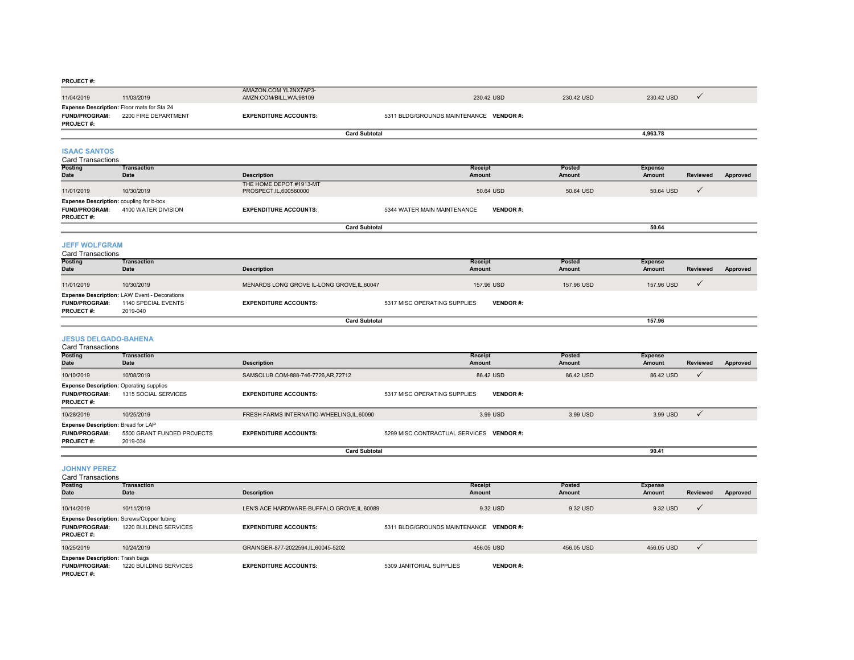#### **PROJECT #:**

| 1.15955177                               |                                                                           |                                                   |                                         |            |            |  |
|------------------------------------------|---------------------------------------------------------------------------|---------------------------------------------------|-----------------------------------------|------------|------------|--|
| 11/04/2019                               | 11/03/2019                                                                | AMAZON.COM YL2NX7AP3-<br>AMZN.COM/BILL, WA, 98109 | 230.42 USD                              | 230.42 USD | 230.42 USD |  |
| <b>FUND/PROGRAM:</b><br><b>PROJECT#:</b> | <b>Expense Description: Floor mats for Sta 24</b><br>2200 FIRE DEPARTMENT | <b>EXPENDITURE ACCOUNTS:</b>                      | 5311 BLDG/GROUNDS MAINTENANCE VENDOR #: |            |            |  |
|                                          |                                                                           |                                                   | <b>Card Subtotal</b>                    |            | 4,963.78   |  |

#### **ISAAC SANTOS**

| Card Transactions |  |
|-------------------|--|
|-------------------|--|

| Calu Halloavuullo                                                                          |                     |                                                    |                                                |           |                           |          |
|--------------------------------------------------------------------------------------------|---------------------|----------------------------------------------------|------------------------------------------------|-----------|---------------------------|----------|
| <b>Posting</b>                                                                             | Transaction         |                                                    | <b>Receipt</b>                                 | Posted    | <b>Expense</b>            |          |
| <b>Date</b>                                                                                | <b>Date</b>         | <b>Description</b>                                 | Amount                                         | Amount    | <b>Reviewed</b><br>Amount | Approved |
| 11/01/2019                                                                                 | 10/30/2019          | THE HOME DEPOT #1913-MT<br>PROSPECT, IL, 600560000 | 50.64 USD                                      | 50.64 USD | 50.64 USD                 |          |
| <b>Expense Description: coupling for b-box</b><br><b>FUND/PROGRAM:</b><br><b>PROJECT#:</b> | 4100 WATER DIVISION | <b>EXPENDITURE ACCOUNTS:</b>                       | <b>VENDOR#:</b><br>5344 WATER MAIN MAINTENANCE |           |                           |          |
|                                                                                            |                     |                                                    | <b>Card Subtotal</b>                           |           | 50.64                     |          |

#### **JEFF WOLFGRAM**

| <b>Card Transactions</b> |                                              |                                             |                              |                 |            |                |                 |          |  |  |  |
|--------------------------|----------------------------------------------|---------------------------------------------|------------------------------|-----------------|------------|----------------|-----------------|----------|--|--|--|
| <b>Posting</b>           | <b>Transaction</b>                           |                                             |                              | Receipt         | Posted     | <b>Expense</b> |                 |          |  |  |  |
| <b>Date</b>              | Date                                         | <b>Description</b>                          |                              | Amount          | Amount     | Amount         | <b>Reviewed</b> | Approved |  |  |  |
| 11/01/2019               | 10/30/2019                                   | MENARDS LONG GROVE IL-LONG GROVE, IL, 60047 |                              | 157.96 USD      | 157.96 USD | 157.96 USD     |                 |          |  |  |  |
|                          | Expense Description: LAW Event - Decorations |                                             |                              |                 |            |                |                 |          |  |  |  |
| <b>FUND/PROGRAM:</b>     | 1140 SPECIAL EVENTS                          | <b>EXPENDITURE ACCOUNTS:</b>                | 5317 MISC OPERATING SUPPLIES | <b>VENDOR#:</b> |            |                |                 |          |  |  |  |
| <b>PROJECT#:</b>         | 2019-040                                     |                                             |                              |                 |            |                |                 |          |  |  |  |
|                          | <b>Card Subtotal</b>                         |                                             |                              |                 |            | 157.96         |                 |          |  |  |  |

#### **JESUS DELGADO-BAHENA**

| Card Transactions                                                                          |                                        |                                          |                                                 |                  |                          |          |          |  |  |  |  |
|--------------------------------------------------------------------------------------------|----------------------------------------|------------------------------------------|-------------------------------------------------|------------------|--------------------------|----------|----------|--|--|--|--|
| Posting                                                                                    | <b>Transaction</b><br>Date             | <b>Description</b>                       | Receipt<br>Amount                               | Posted<br>Amount | <b>Expense</b><br>Amount | Reviewed |          |  |  |  |  |
| Date                                                                                       |                                        |                                          |                                                 |                  |                          |          | Approved |  |  |  |  |
| 10/10/2019                                                                                 | 10/08/2019                             | SAMSCLUB.COM-888-746-7726.AR.72712       | 86.42 USD                                       | 86.42 USD        | 86.42 USD                |          |          |  |  |  |  |
| <b>Expense Description: Operating supplies</b><br><b>FUND/PROGRAM:</b><br><b>PROJECT#:</b> | 1315 SOCIAL SERVICES                   | <b>EXPENDITURE ACCOUNTS:</b>             | 5317 MISC OPERATING SUPPLIES<br><b>VENDOR#:</b> |                  |                          |          |          |  |  |  |  |
| 10/28/2019                                                                                 | 10/25/2019                             | FRESH FARMS INTERNATIO-WHEELING.IL.60090 | 3.99 USD                                        | 3.99 USD         | 3.99 USD                 |          |          |  |  |  |  |
| <b>Expense Description: Bread for LAP</b><br><b>FUND/PROGRAM:</b><br><b>PROJECT#:</b>      | 5500 GRANT FUNDED PROJECTS<br>2019-034 | <b>EXPENDITURE ACCOUNTS:</b>             | 5299 MISC CONTRACTUAL SERVICES VENDOR #:        |                  |                          |          |          |  |  |  |  |
|                                                                                            | <b>Card Subtotal</b><br>90.41          |                                          |                                                 |                  |                          |          |          |  |  |  |  |

#### **JOHNNY PEREZ**

| <b>Card Transactions</b>                                                           |                                                                            |                                             |                                         |                  |                          |                 |          |  |  |  |  |  |
|------------------------------------------------------------------------------------|----------------------------------------------------------------------------|---------------------------------------------|-----------------------------------------|------------------|--------------------------|-----------------|----------|--|--|--|--|--|
| <b>Posting</b><br><b>Date</b>                                                      | Transaction<br><b>Date</b>                                                 | <b>Description</b>                          | <b>Receipt</b><br>Amount                | Posted<br>Amount | <b>Expense</b><br>Amount | <b>Reviewed</b> | Approved |  |  |  |  |  |
|                                                                                    |                                                                            |                                             |                                         |                  |                          |                 |          |  |  |  |  |  |
| 10/14/2019                                                                         | 10/11/2019                                                                 | LEN'S ACE HARDWARE-BUFFALO GROVE, IL, 60089 | 9.32 USD                                | 9.32 USD         | 9.32 USD                 | $\mathbf v$     |          |  |  |  |  |  |
| <b>FUND/PROGRAM:</b><br><b>PROJECT#:</b>                                           | <b>Expense Description: Screws/Copper tubing</b><br>1220 BUILDING SERVICES | <b>EXPENDITURE ACCOUNTS:</b>                | 5311 BLDG/GROUNDS MAINTENANCE VENDOR #: |                  |                          |                 |          |  |  |  |  |  |
| 10/25/2019                                                                         | 10/24/2019                                                                 | GRAINGER-877-2022594,IL,60045-5202          | 456.05 USD                              | 456.05 USD       | 456.05 USD               |                 |          |  |  |  |  |  |
| <b>Expense Description: Trash bags</b><br><b>FUND/PROGRAM:</b><br><b>PROJECT#:</b> | 1220 BUILDING SERVICES                                                     | <b>EXPENDITURE ACCOUNTS:</b>                | 5309 JANITORIAL SUPPLIES                | <b>VENDOR#:</b>  |                          |                 |          |  |  |  |  |  |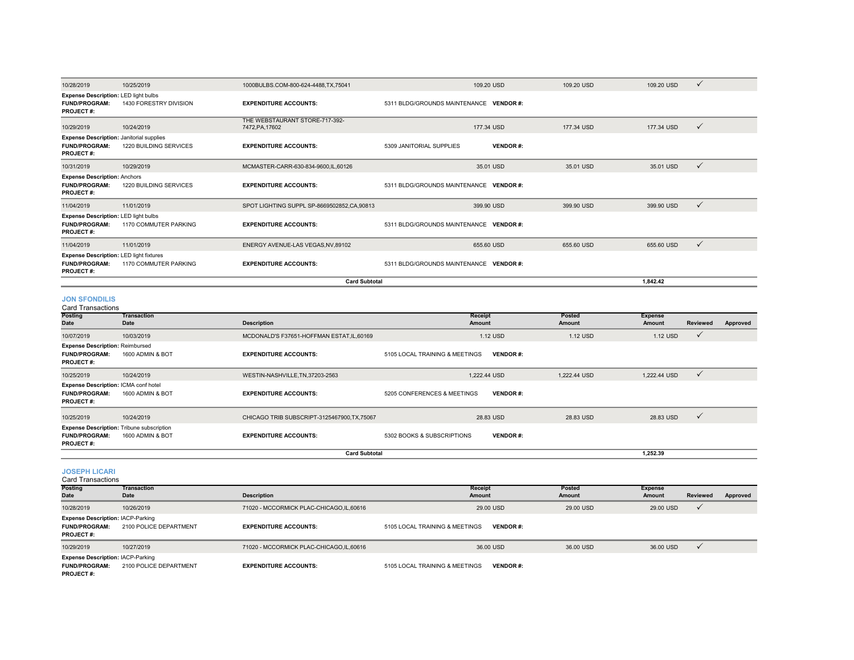|                                                                                             |                        | <b>Card Subtotal</b>                              |                                             |            | 1,842.42   |              |
|---------------------------------------------------------------------------------------------|------------------------|---------------------------------------------------|---------------------------------------------|------------|------------|--------------|
| Expense Description: LED light fixtures<br><b>FUND/PROGRAM:</b><br><b>PROJECT#:</b>         | 1170 COMMUTER PARKING  | <b>EXPENDITURE ACCOUNTS:</b>                      | 5311 BLDG/GROUNDS MAINTENANCE VENDOR #:     |            |            |              |
| 11/04/2019                                                                                  | 11/01/2019             | ENERGY AVENUE-LAS VEGAS, NV, 89102                | 655.60 USD                                  | 655,60 USD | 655.60 USD | $\checkmark$ |
| <b>Expense Description: LED light bulbs</b><br><b>FUND/PROGRAM:</b><br><b>PROJECT#:</b>     | 1170 COMMUTER PARKING  | <b>EXPENDITURE ACCOUNTS:</b>                      | 5311 BLDG/GROUNDS MAINTENANCE VENDOR #:     |            |            |              |
| 11/04/2019                                                                                  | 11/01/2019             | SPOT LIGHTING SUPPL SP-8669502852,CA,90813        | 399.90 USD                                  | 399.90 USD | 399.90 USD | $\checkmark$ |
| <b>Expense Description: Anchors</b><br><b>FUND/PROGRAM:</b><br><b>PROJECT#:</b>             | 1220 BUILDING SERVICES | <b>EXPENDITURE ACCOUNTS:</b>                      | 5311 BLDG/GROUNDS MAINTENANCE VENDOR #:     |            |            |              |
| 10/31/2019                                                                                  | 10/29/2019             | MCMASTER-CARR-630-834-9600.IL.60126               | 35.01 USD                                   | 35.01 USD  | 35.01 USD  | $\checkmark$ |
| <b>Expense Description: Janitorial supplies</b><br><b>FUND/PROGRAM:</b><br><b>PROJECT#:</b> | 1220 BUILDING SERVICES | <b>EXPENDITURE ACCOUNTS:</b>                      | 5309 JANITORIAL SUPPLIES<br><b>VENDOR#:</b> |            |            |              |
| 10/29/2019                                                                                  | 10/24/2019             | THE WEBSTAURANT STORE-717-392-<br>7472, PA, 17602 | 177.34 USD                                  | 177.34 USD | 177.34 USD | $\checkmark$ |
| Expense Description: LED light bulbs<br><b>FUND/PROGRAM:</b><br><b>PROJECT#:</b>            | 1430 FORESTRY DIVISION | <b>EXPENDITURE ACCOUNTS:</b>                      | 5311 BLDG/GROUNDS MAINTENANCE VENDOR #:     |            |            |              |
| 10/28/2019                                                                                  | 10/25/2019             | 1000BULBS.COM-800-624-4488,TX,75041               | 109.20 USD                                  | 109.20 USD | 109.20 USD | $\checkmark$ |

#### **JON SFONDILIS**

| <b>Card Transactions</b> |
|--------------------------|
|--------------------------|

| Posting<br>Date                                                                              | <b>Transaction</b><br>Date | <b>Description</b>                           | Receipt<br>Amount              |                 | Posted<br>Amount | <b>Expense</b><br>Amount | <b>Reviewed</b> | Approved |
|----------------------------------------------------------------------------------------------|----------------------------|----------------------------------------------|--------------------------------|-----------------|------------------|--------------------------|-----------------|----------|
| 10/07/2019                                                                                   | 10/03/2019                 | MCDONALD'S F37651-HOFFMAN ESTAT, IL, 60169   |                                | 1.12 USD        | 1.12 USD         | 1.12 USD                 | $\checkmark$    |          |
| <b>Expense Description: Reimbursed</b><br><b>FUND/PROGRAM:</b><br><b>PROJECT#:</b>           | 1600 ADMIN & BOT           | <b>EXPENDITURE ACCOUNTS:</b>                 | 5105 LOCAL TRAINING & MEETINGS | <b>VENDOR#:</b> |                  |                          |                 |          |
| 10/25/2019                                                                                   | 10/24/2019                 | WESTIN-NASHVILLE, TN, 37203-2563             | 1.222.44 USD                   |                 | 1.222.44 USD     | 1,222.44 USD             | $\checkmark$    |          |
| Expense Description: ICMA conf hotel<br><b>FUND/PROGRAM:</b><br><b>PROJECT#:</b>             | 1600 ADMIN & BOT           | <b>EXPENDITURE ACCOUNTS:</b>                 | 5205 CONFERENCES & MEETINGS    | <b>VENDOR#:</b> |                  |                          |                 |          |
| 10/25/2019                                                                                   | 10/24/2019                 | CHICAGO TRIB SUBSCRIPT-3125467900, TX, 75067 |                                | 28.83 USD       | 28.83 USD        | 28.83 USD                | $\checkmark$    |          |
| <b>Expense Description: Tribune subscription</b><br><b>FUND/PROGRAM:</b><br><b>PROJECT#:</b> | 1600 ADMIN & BOT           | <b>EXPENDITURE ACCOUNTS:</b>                 | 5302 BOOKS & SUBSCRIPTIONS     | <b>VENDOR#:</b> |                  |                          |                 |          |
|                                                                                              |                            | <b>Card Subtotal</b>                         |                                |                 |                  | 1.252.39                 |                 |          |

**JOSEPH LICARI** Card Transactions

| Garu Transacuons                                                                     |                            |                                         |                                |                  |                          |                 |          |
|--------------------------------------------------------------------------------------|----------------------------|-----------------------------------------|--------------------------------|------------------|--------------------------|-----------------|----------|
| Posting<br>Date                                                                      | <b>Transaction</b><br>Date | <b>Description</b>                      | <b>Receipt</b><br>Amount       | Posted<br>Amount | <b>Expense</b><br>Amount | <b>Reviewed</b> | Approved |
| 10/28/2019                                                                           | 10/26/2019                 | 71020 - MCCORMICK PLAC-CHICAGO.IL.60616 | 29.00 USD                      | 29.00 USD        | 29.00 USD                |                 |          |
| <b>Expense Description: IACP-Parking</b><br><b>FUND/PROGRAM:</b><br><b>PROJECT#:</b> | 2100 POLICE DEPARTMENT     | <b>EXPENDITURE ACCOUNTS:</b>            | 5105 LOCAL TRAINING & MEETINGS | <b>VENDOR#:</b>  |                          |                 |          |
| 10/29/2019                                                                           | 10/27/2019                 | 71020 - MCCORMICK PLAC-CHICAGO.IL.60616 | 36,00 USD                      | 36,00 USD        | 36,00 USD                |                 |          |
| <b>Expense Description: IACP-Parking</b><br><b>FUND/PROGRAM:</b><br><b>PROJECT#:</b> | 2100 POLICE DEPARTMENT     | <b>EXPENDITURE ACCOUNTS:</b>            | 5105 LOCAL TRAINING & MEETINGS | <b>VENDOR#:</b>  |                          |                 |          |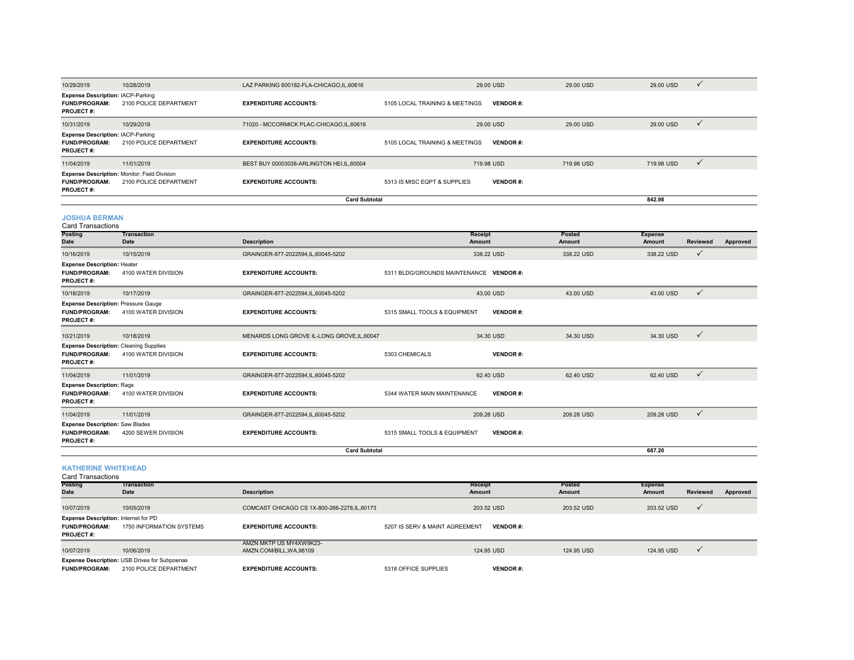| 10/29/2019                                                                                | 10/28/2019                 | LAZ PARKING 600182-FLA-CHICAGO, IL, 60616   |                                         | 29.00 USD         |                 | 29.00 USD        | 29.00 USD                | $\checkmark$    |          |
|-------------------------------------------------------------------------------------------|----------------------------|---------------------------------------------|-----------------------------------------|-------------------|-----------------|------------------|--------------------------|-----------------|----------|
| <b>Expense Description: IACP-Parking</b><br><b>FUND/PROGRAM:</b><br><b>PROJECT#:</b>      | 2100 POLICE DEPARTMENT     | <b>EXPENDITURE ACCOUNTS:</b>                | 5105 LOCAL TRAINING & MEETINGS          |                   | <b>VENDOR#:</b> |                  |                          |                 |          |
| 10/31/2019                                                                                | 10/29/2019                 | 71020 - MCCORMICK PLAC-CHICAGO, IL, 60616   |                                         | 29.00 USD         |                 | 29.00 USD        | 29.00 USD                | $\checkmark$    |          |
| <b>Expense Description: IACP-Parking</b><br><b>FUND/PROGRAM:</b><br><b>PROJECT#:</b>      | 2100 POLICE DEPARTMENT     | <b>EXPENDITURE ACCOUNTS:</b>                | 5105 LOCAL TRAINING & MEETINGS          |                   | <b>VENDOR#:</b> |                  |                          |                 |          |
| 11/04/2019                                                                                | 11/01/2019                 | BEST BUY 00003038-ARLINGTON HEI, IL, 60004  |                                         | 719.98 USD        |                 | 719.98 USD       | 719.98 USD               | $\checkmark$    |          |
| Expense Description: Monitor; Field Division<br><b>FUND/PROGRAM:</b><br>PROJECT#:         | 2100 POLICE DEPARTMENT     | <b>EXPENDITURE ACCOUNTS:</b>                | 5313 IS MISC EQPT & SUPPLIES            |                   | <b>VENDOR#:</b> |                  |                          |                 |          |
|                                                                                           |                            | <b>Card Subtotal</b>                        |                                         |                   |                 |                  | 842.98                   |                 |          |
| <b>JOSHUA BERMAN</b><br><b>Card Transactions</b>                                          |                            |                                             |                                         |                   |                 |                  |                          |                 |          |
| Posting<br>Date                                                                           | <b>Transaction</b><br>Date | <b>Description</b>                          |                                         | Receipt<br>Amount |                 | Posted<br>Amount | <b>Expense</b><br>Amount | <b>Reviewed</b> | Approved |
| 10/16/2019                                                                                | 10/15/2019                 | GRAINGER-877-2022594,IL,60045-5202          |                                         | 338.22 USD        |                 | 338.22 USD       | 338.22 USD               | $\checkmark$    |          |
| <b>Expense Description: Heater</b><br><b>FUND/PROGRAM:</b><br>PROJECT#:                   | 4100 WATER DIVISION        | <b>EXPENDITURE ACCOUNTS:</b>                | 5311 BLDG/GROUNDS MAINTENANCE VENDOR #: |                   |                 |                  |                          |                 |          |
| 10/18/2019                                                                                | 10/17/2019                 | GRAINGER-877-2022594,IL,60045-5202          |                                         | 43.00 USD         |                 | 43.00 USD        | 43.00 USD                | $\checkmark$    |          |
| <b>Expense Description: Pressure Gauge</b><br><b>FUND/PROGRAM:</b><br>PROJECT#:           | 4100 WATER DIVISION        | <b>EXPENDITURE ACCOUNTS:</b>                | 5315 SMALL TOOLS & EQUIPMENT            |                   | <b>VENDOR#:</b> |                  |                          |                 |          |
| 10/21/2019                                                                                | 10/18/2019                 | MENARDS LONG GROVE IL-LONG GROVE, IL, 60047 |                                         | 34.30 USD         |                 | 34.30 USD        | 34.30 USD                | $\checkmark$    |          |
| <b>Expense Description: Cleaning Supplies</b><br><b>FUND/PROGRAM:</b><br><b>PROJECT#:</b> | 4100 WATER DIVISION        | <b>EXPENDITURE ACCOUNTS:</b>                | 5303 CHEMICALS                          |                   | <b>VENDOR#:</b> |                  |                          |                 |          |
| 11/04/2019                                                                                | 11/01/2019                 | GRAINGER-877-2022594,IL,60045-5202          |                                         | 62.40 USD         |                 | 62.40 USD        | 62.40 USD                | $\checkmark$    |          |
| <b>Expense Description: Rags</b><br><b>FUND/PROGRAM:</b><br><b>PROJECT#:</b>              | 4100 WATER DIVISION        | <b>EXPENDITURE ACCOUNTS:</b>                | 5344 WATER MAIN MAINTENANCE             |                   | <b>VENDOR#:</b> |                  |                          |                 |          |
| 11/04/2019                                                                                | 11/01/2019                 | GRAINGER-877-2022594,IL,60045-5202          |                                         | 209.28 USD        |                 | 209.28 USD       | 209.28 USD               | $\checkmark$    |          |
| <b>Expense Description: Saw Blades</b><br><b>FUND/PROGRAM:</b><br>PROJECT#:               | 4200 SEWER DIVISION        | <b>EXPENDITURE ACCOUNTS:</b>                | 5315 SMALL TOOLS & EQUIPMENT            |                   | <b>VENDOR#:</b> |                  |                          |                 |          |
|                                                                                           |                            | <b>Card Subtotal</b>                        |                                         |                   |                 |                  | 687.20                   |                 |          |

#### **KATHERINE WHITEHEAD** Card Transactions

| 0010 1101100010110                                                                      |                                                                                |                                                   |                                |                 |            |                |                 |          |
|-----------------------------------------------------------------------------------------|--------------------------------------------------------------------------------|---------------------------------------------------|--------------------------------|-----------------|------------|----------------|-----------------|----------|
| <b>Posting</b>                                                                          | <b>Transaction</b>                                                             |                                                   | <b>Receipt</b>                 |                 | Posted     | <b>Expense</b> |                 |          |
| <b>Date</b>                                                                             | Date                                                                           | <b>Description</b>                                | Amount                         |                 | Amount     | Amount         | <b>Reviewed</b> | Approved |
| 10/07/2019                                                                              | 10/05/2019                                                                     | COMCAST CHICAGO CS 1X-800-266-2278, IL, 60173     |                                | 203.52 USD      | 203.52 USD | 203.52 USD     |                 |          |
| <b>Expense Description: Internet for PD</b><br><b>FUND/PROGRAM:</b><br><b>PROJECT#:</b> | 1750 INFORMATION SYSTEMS                                                       | <b>EXPENDITURE ACCOUNTS:</b>                      | 5207 IS SERV & MAINT AGREEMENT | <b>VENDOR#:</b> |            |                |                 |          |
| 10/07/2019                                                                              | 10/06/2019                                                                     | AMZN MKTP US MY4XW9K23-<br>AMZN.COM/BILL.WA.98109 |                                | 124.95 USD      | 124.95 USD | 124.95 USD     |                 |          |
| <b>FUND/PROGRAM:</b>                                                                    | <b>Expense Description: USB Drives for Subpoenas</b><br>2100 POLICE DEPARTMENT | <b>EXPENDITURE ACCOUNTS:</b>                      | 5318 OFFICE SUPPLIES           | <b>VENDOR#:</b> |            |                |                 |          |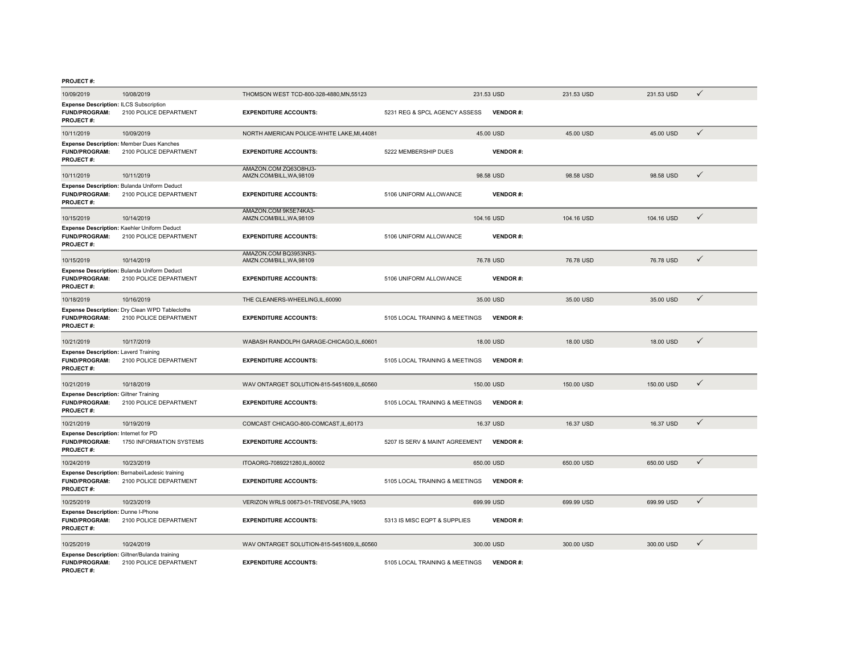#### **PROJECT #:**

| 10/09/2019                                                                                | 10/08/2019                                                               | THOMSON WEST TCD-800-328-4880, MN, 55123          |                                | 231.53 USD      | 231.53 USD | 231.53 USD | ✓            |
|-------------------------------------------------------------------------------------------|--------------------------------------------------------------------------|---------------------------------------------------|--------------------------------|-----------------|------------|------------|--------------|
| <b>Expense Description: ILCS Subscription</b><br><b>FUND/PROGRAM:</b><br><b>PROJECT#:</b> | 2100 POLICE DEPARTMENT                                                   | <b>EXPENDITURE ACCOUNTS:</b>                      | 5231 REG & SPCL AGENCY ASSESS  | <b>VENDOR#:</b> |            |            |              |
| 10/11/2019                                                                                | 10/09/2019                                                               | NORTH AMERICAN POLICE-WHITE LAKE, MI, 44081       |                                | 45.00 USD       | 45.00 USD  | 45.00 USD  | $\checkmark$ |
| <b>FUND/PROGRAM:</b><br><b>PROJECT#:</b>                                                  | Expense Description: Member Dues Kanches<br>2100 POLICE DEPARTMENT       | <b>EXPENDITURE ACCOUNTS:</b>                      | 5222 MEMBERSHIP DUES           | <b>VENDOR#:</b> |            |            |              |
| 10/11/2019                                                                                | 10/11/2019                                                               | AMAZON.COM ZQ63O8HJ3-<br>AMZN.COM/BILL, WA, 98109 |                                | 98.58 USD       | 98.58 USD  | 98.58 USD  | $\checkmark$ |
| <b>FUND/PROGRAM:</b><br>PROJECT#:                                                         | Expense Description: Bulanda Uniform Deduct<br>2100 POLICE DEPARTMENT    | <b>EXPENDITURE ACCOUNTS:</b>                      | 5106 UNIFORM ALLOWANCE         | <b>VENDOR#:</b> |            |            |              |
| 10/15/2019                                                                                | 10/14/2019                                                               | AMAZON.COM 9K5E74KA3-<br>AMZN.COM/BILL, WA, 98109 |                                | 104.16 USD      | 104.16 USD | 104.16 USD | ✓            |
| <b>FUND/PROGRAM:</b><br><b>PROJECT#:</b>                                                  | Expense Description: Kaehler Uniform Deduct<br>2100 POLICE DEPARTMENT    | <b>EXPENDITURE ACCOUNTS:</b>                      | 5106 UNIFORM ALLOWANCE         | <b>VENDOR#:</b> |            |            |              |
| 10/15/2019                                                                                | 10/14/2019                                                               | AMAZON.COM BQ3953NR3-<br>AMZN.COM/BILL.WA.98109   |                                | 76.78 USD       | 76.78 USD  | 76.78 USD  | $\checkmark$ |
| <b>FUND/PROGRAM:</b><br>PROJECT#:                                                         | Expense Description: Bulanda Uniform Deduct<br>2100 POLICE DEPARTMENT    | <b>EXPENDITURE ACCOUNTS:</b>                      | 5106 UNIFORM ALLOWANCE         | <b>VENDOR#:</b> |            |            |              |
| 10/18/2019                                                                                | 10/16/2019                                                               | THE CLEANERS-WHEELING,IL,60090                    |                                | 35.00 USD       | 35.00 USD  | 35.00 USD  | $\checkmark$ |
| <b>FUND/PROGRAM:</b><br>PROJECT#:                                                         | Expense Description: Dry Clean WPD Tablecloths<br>2100 POLICE DEPARTMENT | <b>EXPENDITURE ACCOUNTS:</b>                      | 5105 LOCAL TRAINING & MEETINGS | <b>VENDOR#:</b> |            |            |              |
| 10/21/2019                                                                                | 10/17/2019                                                               | WABASH RANDOLPH GARAGE-CHICAGO,IL,60601           |                                | 18.00 USD       | 18.00 USD  | 18.00 USD  | $\checkmark$ |
| <b>Expense Description: Laverd Training</b><br><b>FUND/PROGRAM:</b><br><b>PROJECT#:</b>   | 2100 POLICE DEPARTMENT                                                   | <b>EXPENDITURE ACCOUNTS:</b>                      | 5105 LOCAL TRAINING & MEETINGS | <b>VENDOR#:</b> |            |            |              |
| 10/21/2019                                                                                | 10/18/2019                                                               | WAV ONTARGET SOLUTION-815-5451609, IL, 60560      |                                | 150.00 USD      | 150.00 USD | 150.00 USD | $\checkmark$ |
| <b>Expense Description: Giltner Training</b><br><b>FUND/PROGRAM:</b><br><b>PROJECT#:</b>  | 2100 POLICE DEPARTMENT                                                   | <b>EXPENDITURE ACCOUNTS:</b>                      | 5105 LOCAL TRAINING & MEETINGS | <b>VENDOR#:</b> |            |            |              |
| 10/21/2019                                                                                | 10/19/2019                                                               | COMCAST CHICAGO-800-COMCAST, IL, 60173            |                                | 16.37 USD       | 16.37 USD  | 16.37 USD  | $\checkmark$ |
| Expense Description: Internet for PD<br><b>FUND/PROGRAM:</b><br><b>PROJECT#:</b>          | 1750 INFORMATION SYSTEMS                                                 | <b>EXPENDITURE ACCOUNTS:</b>                      | 5207 IS SERV & MAINT AGREEMENT | <b>VENDOR#:</b> |            |            |              |
| 10/24/2019                                                                                | 10/23/2019                                                               | ITOAORG-7089221280,IL,60002                       |                                | 650.00 USD      | 650.00 USD | 650,00 USD | $\checkmark$ |
| <b>FUND/PROGRAM:</b><br>PROJECT#:                                                         | Expense Description: Bernabei/Ladesic training<br>2100 POLICE DEPARTMENT | <b>EXPENDITURE ACCOUNTS:</b>                      | 5105 LOCAL TRAINING & MEETINGS | <b>VENDOR#:</b> |            |            |              |
| 10/25/2019                                                                                | 10/23/2019                                                               | VERIZON WRLS 00673-01-TREVOSE, PA, 19053          |                                | 699.99 USD      | 699.99 USD | 699.99 USD | $\checkmark$ |
| Expense Description: Dunne I-Phone<br><b>FUND/PROGRAM:</b><br>PROJECT#:                   | 2100 POLICE DEPARTMENT                                                   | <b>EXPENDITURE ACCOUNTS:</b>                      | 5313 IS MISC EQPT & SUPPLIES   | <b>VENDOR#:</b> |            |            |              |
| 10/25/2019                                                                                | 10/24/2019                                                               | WAV ONTARGET SOLUTION-815-5451609, IL, 60560      |                                | 300,00 USD      | 300.00 USD | 300.00 USD | $\checkmark$ |
| <b>FUND/PROGRAM:</b><br>PROJECT#:                                                         | Expense Description: Giltner/Bulanda training<br>2100 POLICE DEPARTMENT  | <b>EXPENDITURE ACCOUNTS:</b>                      | 5105 LOCAL TRAINING & MEETINGS | <b>VENDOR#:</b> |            |            |              |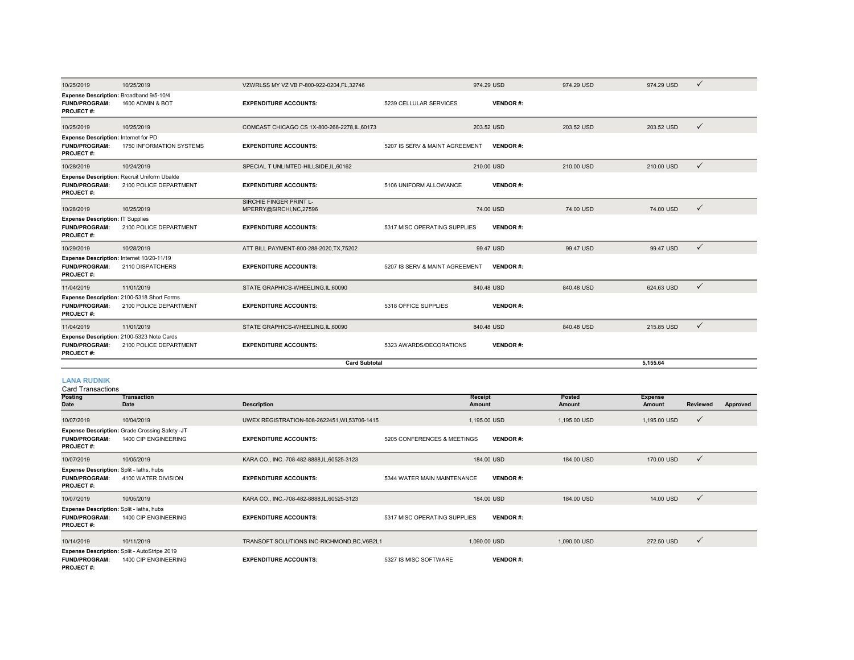| 10/25/2019                                                                            | 10/25/2019                                                             | VZWRLSS MY VZ VB P-800-922-0204.FL.32746                 |                                 | 974.29 USD      | 974.29 USD              | 974.29 USD                      | ✓                           |
|---------------------------------------------------------------------------------------|------------------------------------------------------------------------|----------------------------------------------------------|---------------------------------|-----------------|-------------------------|---------------------------------|-----------------------------|
| Expense Description: Broadband 9/5-10/4<br><b>FUND/PROGRAM:</b><br><b>PROJECT#:</b>   | 1600 ADMIN & BOT                                                       | <b>EXPENDITURE ACCOUNTS:</b>                             | 5239 CELLULAR SERVICES          | <b>VENDOR#:</b> |                         |                                 |                             |
| 10/25/2019                                                                            | 10/25/2019                                                             | COMCAST CHICAGO CS 1X-800-266-2278, IL, 60173            |                                 | 203.52 USD      | 203.52 USD              | 203.52 USD                      | ✓                           |
| Expense Description: Internet for PD<br><b>FUND/PROGRAM:</b><br><b>PROJECT#:</b>      | 1750 INFORMATION SYSTEMS                                               | <b>EXPENDITURE ACCOUNTS:</b>                             | 5207 IS SERV & MAINT AGREEMENT  | <b>VENDOR#:</b> |                         |                                 |                             |
| 10/28/2019                                                                            | 10/24/2019                                                             | SPECIAL TUNLIMTED-HILLSIDE.IL.60162                      |                                 | 210.00 USD      | 210.00 USD              | 210,00 USD                      | $\checkmark$                |
| <b>FUND/PROGRAM:</b><br><b>PROJECT#:</b>                                              | Expense Description: Recruit Uniform Ubalde<br>2100 POLICE DEPARTMENT  | <b>EXPENDITURE ACCOUNTS:</b>                             | 5106 UNIFORM ALLOWANCE          | <b>VENDOR#:</b> |                         |                                 |                             |
| 10/28/2019                                                                            | 10/25/2019                                                             | <b>SIRCHIE FINGER PRINT L-</b><br>MPERRY@SIRCHI,NC,27596 |                                 | 74.00 USD       | 74.00 USD               | 74.00 USD                       | $\checkmark$                |
| <b>Expense Description: IT Supplies</b><br><b>FUND/PROGRAM:</b><br><b>PROJECT#:</b>   | 2100 POLICE DEPARTMENT                                                 | <b>EXPENDITURE ACCOUNTS:</b>                             | 5317 MISC OPERATING SUPPLIES    | <b>VENDOR#:</b> |                         |                                 |                             |
| 10/29/2019                                                                            | 10/28/2019                                                             | ATT BILL PAYMENT-800-288-2020, TX, 75202                 |                                 | 99.47 USD       | 99.47 USD               | 99.47 USD                       | $\checkmark$                |
| Expense Description: Internet 10/20-11/19<br><b>FUND/PROGRAM:</b><br><b>PROJECT#:</b> | 2110 DISPATCHERS                                                       | <b>EXPENDITURE ACCOUNTS:</b>                             | 5207 IS SERV & MAINT AGREEMENT  | <b>VENDOR#:</b> |                         |                                 |                             |
| 11/04/2019                                                                            | 11/01/2019                                                             | STATE GRAPHICS-WHEELING,IL,60090                         |                                 | 840.48 USD      | 840.48 USD              | 624.63 USD                      | $\checkmark$                |
| <b>FUND/PROGRAM:</b><br><b>PROJECT#:</b>                                              | Expense Description: 2100-5318 Short Forms<br>2100 POLICE DEPARTMENT   | <b>EXPENDITURE ACCOUNTS:</b>                             | 5318 OFFICE SUPPLIES            | <b>VENDOR#:</b> |                         |                                 |                             |
| 11/04/2019                                                                            | 11/01/2019                                                             | STATE GRAPHICS-WHEELING,IL,60090                         |                                 | 840.48 USD      | 840.48 USD              | 215.85 USD                      | $\checkmark$                |
| <b>FUND/PROGRAM:</b><br><b>PROJECT#:</b>                                              | Expense Description: 2100-5323 Note Cards<br>2100 POLICE DEPARTMENT    | <b>EXPENDITURE ACCOUNTS:</b>                             | 5323 AWARDS/DECORATIONS         | <b>VENDOR#:</b> |                         |                                 |                             |
|                                                                                       |                                                                        | <b>Card Subtotal</b>                                     |                                 |                 |                         | 5,155.64                        |                             |
| <b>LANA RUDNIK</b><br><b>Card Transactions</b>                                        |                                                                        |                                                          |                                 |                 |                         |                                 |                             |
| Posting<br><b>Date</b>                                                                | <b>Transaction</b><br><b>Date</b>                                      | <b>Description</b>                                       | <b>Receipt</b><br><b>Amount</b> |                 | Posted<br><b>Amount</b> | <b>Expense</b><br><b>Amount</b> | <b>Reviewed</b><br>Approved |
| 10/07/2019                                                                            | 10/04/2019                                                             | UWEX REGISTRATION-608-2622451, WI,53706-1415             |                                 | 1,195.00 USD    | 1,195.00 USD            | 1,195.00 USD                    | ✓                           |
| <b>FUND/PROGRAM:</b><br><b>PROJECT#:</b>                                              | Expense Description: Grade Crossing Safety -JT<br>1400 CIP ENGINEERING | <b>EXPENDITURE ACCOUNTS:</b>                             | 5205 CONFERENCES & MEETINGS     | <b>VENDOR#:</b> |                         |                                 |                             |

10/07/2019 10/05/2019 KARA CO., INC.-708-482-8888,IL,60525-3123 184.00 USD 184.00 USD 170.00 USD **FUND/PROGRAM:** 4100 WATER DIVISION**EXPENDITURE ACCOUNTS:** 5344 WATER MAIN MAINTENANCE **VENDOR** #: **PROJECT #:** 10/07/2019 10/05/2019 KARA CO., INC.-708-482-8888,IL,60525-3123 184.00 USD 184.00 USD 14.00 USD **FUND/PROGRAM:** 1400 CIP ENGINEERING**EXPENDITURE ACCOUNTS:** 5317 MISC OPERATING SUPPLIES **VENDOR** #: **PROJECT #:** 10/14/2019 10/11/2019 TRANSOFT SOLUTIONS INC-RICHMOND,BC,V6B2L1 1,090.00 USD 1,090.00 USD 272.50 USD **FUND/PROGRAM:** 1400 CIP ENGINEERING**EXPENDITURE ACCOUNTS:** 5327 IS MISC SOFTWARE **VENDOR #: Expense Description:** Split - laths, hubs **Expense Description:** Split - laths, hubs **Expense Description:** Split - AutoStripe 2019

**PROJECT #:**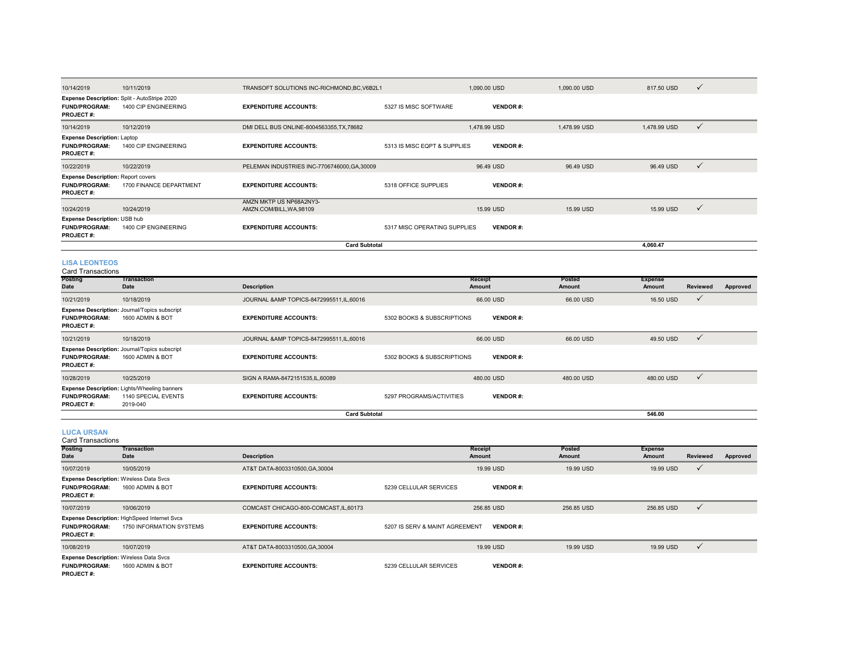| 10/14/2019                                                                            | 10/11/2019                                                           | TRANSOFT SOLUTIONS INC-RICHMOND, BC, V6B2L1         |                              | 1,090.00 USD    | 1,090.00 USD | 817.50 USD     | $\checkmark$ |
|---------------------------------------------------------------------------------------|----------------------------------------------------------------------|-----------------------------------------------------|------------------------------|-----------------|--------------|----------------|--------------|
| <b>FUND/PROGRAM:</b><br><b>PROJECT#:</b>                                              | Expense Description: Split - AutoStripe 2020<br>1400 CIP ENGINEERING | <b>EXPENDITURE ACCOUNTS:</b>                        | 5327 IS MISC SOFTWARE        | <b>VENDOR#:</b> |              |                |              |
| 10/14/2019                                                                            | 10/12/2019                                                           | DMI DELL BUS ONLINE-8004563355, TX, 78682           |                              | 1,478.99 USD    | 1,478.99 USD | 1,478.99 USD   | $\checkmark$ |
| <b>Expense Description: Laptop</b><br><b>FUND/PROGRAM:</b><br><b>PROJECT#:</b>        | 1400 CIP ENGINEERING                                                 | <b>EXPENDITURE ACCOUNTS:</b>                        | 5313 IS MISC EQPT & SUPPLIES | <b>VENDOR#:</b> |              |                |              |
| 10/22/2019                                                                            | 10/22/2019                                                           | PELEMAN INDUSTRIES INC-7706746000, GA, 30009        |                              | 96.49 USD       | 96.49 USD    | 96.49 USD      | $\checkmark$ |
| <b>Expense Description: Report covers</b><br><b>FUND/PROGRAM:</b><br><b>PROJECT#:</b> | 1700 FINANCE DEPARTMENT                                              | <b>EXPENDITURE ACCOUNTS:</b>                        | 5318 OFFICE SUPPLIES         | <b>VENDOR#:</b> |              |                |              |
| 10/24/2019                                                                            | 10/24/2019                                                           | AMZN MKTP US NP68A2NY3-<br>AMZN.COM/BILL, WA, 98109 |                              | 15.99 USD       | 15.99 USD    | 15.99 USD      | $\checkmark$ |
| Expense Description: USB hub<br><b>FUND/PROGRAM:</b><br><b>PROJECT#:</b>              | 1400 CIP ENGINEERING                                                 | <b>EXPENDITURE ACCOUNTS:</b>                        | 5317 MISC OPERATING SUPPLIES | <b>VENDOR#:</b> |              |                |              |
|                                                                                       |                                                                      | <b>Card Subtotal</b>                                |                              |                 |              | 4.060.47       |              |
| <b>LISA LEONTEOS</b><br><b>Card Transactions</b>                                      | Transaction                                                          |                                                     |                              |                 | Posted       |                |              |
| <b>Posting</b>                                                                        |                                                                      |                                                     |                              | <b>Receipt</b>  |              | <b>Expense</b> |              |

| <b>Date</b>                              | <b>Date</b>                                                                            | <b>Description</b>                         |                            | Amount          | Amount     | <b>Amount</b> | <b>Reviewed</b> | Approved |
|------------------------------------------|----------------------------------------------------------------------------------------|--------------------------------------------|----------------------------|-----------------|------------|---------------|-----------------|----------|
| 10/21/2019                               | 10/18/2019                                                                             | JOURNAL & AMP TOPICS-8472995511.IL.60016   |                            | 66.00 USD       | 66.00 USD  | 16.50 USD     | $\checkmark$    |          |
| <b>FUND/PROGRAM:</b><br><b>PROJECT#:</b> | <b>Expense Description: Journal/Topics subscript</b><br>1600 ADMIN & BOT               | <b>EXPENDITURE ACCOUNTS:</b>               | 5302 BOOKS & SUBSCRIPTIONS | <b>VENDOR#:</b> |            |               |                 |          |
| 10/21/2019                               | 10/18/2019                                                                             | JOURNAL & AMP TOPICS-8472995511, IL, 60016 |                            | 66,00 USD       | 66,00 USD  | 49.50 USD     | $\checkmark$    |          |
| <b>FUND/PROGRAM:</b><br><b>PROJECT#:</b> | Expense Description: Journal/Topics subscript<br>1600 ADMIN & BOT                      | <b>EXPENDITURE ACCOUNTS:</b>               | 5302 BOOKS & SUBSCRIPTIONS | <b>VENDOR#:</b> |            |               |                 |          |
| 10/28/2019                               | 10/25/2019                                                                             | SIGN A RAMA-8472151535.IL.60089            |                            | 480.00 USD      | 480.00 USD | 480.00 USD    | $\checkmark$    |          |
| <b>FUND/PROGRAM:</b><br><b>PROJECT#:</b> | <b>Expense Description: Lights/Wheeling banners</b><br>1140 SPECIAL EVENTS<br>2019-040 | <b>EXPENDITURE ACCOUNTS:</b>               | 5297 PROGRAMS/ACTIVITIES   | <b>VENDOR#:</b> |            |               |                 |          |
|                                          |                                                                                        | <b>Card Subtotal</b>                       |                            |                 |            | 546.00        |                 |          |

**LUCA URSAN**

| <b>Card Transactions</b>                                                                   |                                                                                 |                                        |                                |                   |                  |                   |              |          |
|--------------------------------------------------------------------------------------------|---------------------------------------------------------------------------------|----------------------------------------|--------------------------------|-------------------|------------------|-------------------|--------------|----------|
| <b>Posting</b><br>Date                                                                     | Transaction<br><b>Date</b>                                                      | <b>Description</b>                     |                                | Receipt<br>Amount | Posted<br>Amount | Expense<br>Amount | Reviewed     | Approved |
| 10/07/2019                                                                                 | 10/05/2019                                                                      | AT&T DATA-8003310500, GA, 30004        |                                | 19.99 USD         | 19.99 USD        | 19.99 USD         | $\checkmark$ |          |
| <b>Expense Description: Wireless Data Svcs</b><br><b>FUND/PROGRAM:</b><br><b>PROJECT#:</b> | 1600 ADMIN & BOT                                                                | <b>EXPENDITURE ACCOUNTS:</b>           | 5239 CELLULAR SERVICES         | <b>VENDOR#:</b>   |                  |                   |              |          |
| 10/07/2019                                                                                 | 10/06/2019                                                                      | COMCAST CHICAGO-800-COMCAST, IL, 60173 |                                | 256.85 USD        | 256,85 USD       | 256.85 USD        | $\checkmark$ |          |
| <b>FUND/PROGRAM:</b><br><b>PROJECT#:</b>                                                   | <b>Expense Description: HighSpeed Internet Svcs</b><br>1750 INFORMATION SYSTEMS | <b>EXPENDITURE ACCOUNTS:</b>           | 5207 IS SERV & MAINT AGREEMENT | <b>VENDOR#:</b>   |                  |                   |              |          |
| 10/08/2019                                                                                 | 10/07/2019                                                                      | AT&T DATA-8003310500, GA, 30004        |                                | 19.99 USD         | 19.99 USD        | 19.99 USD         | $\checkmark$ |          |
| <b>Expense Description: Wireless Data Svcs</b><br><b>FUND/PROGRAM:</b><br><b>PROJECT#:</b> | 1600 ADMIN & BOT                                                                | <b>EXPENDITURE ACCOUNTS:</b>           | 5239 CELLULAR SERVICES         | <b>VENDOR#:</b>   |                  |                   |              |          |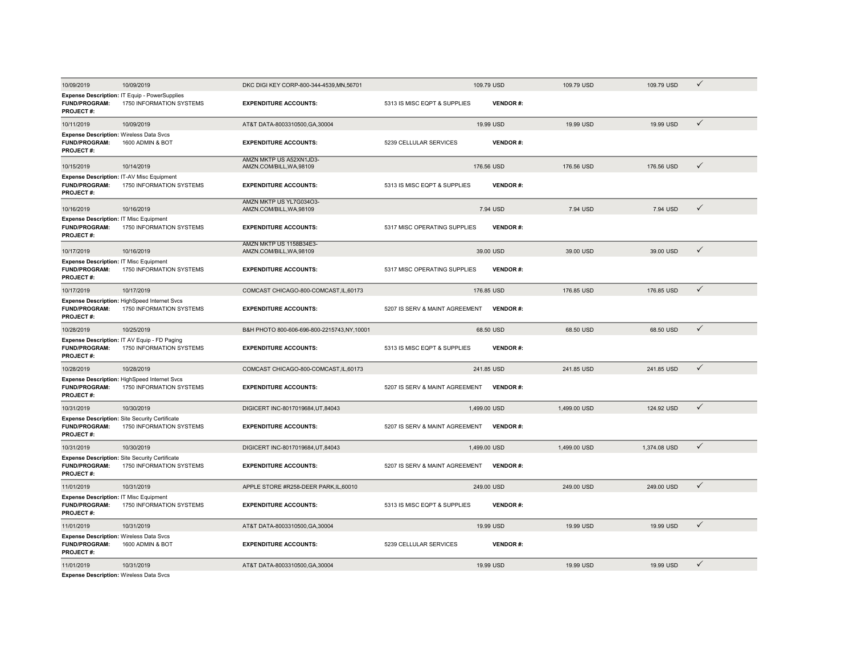| 10/09/2019                                                                                 | 10/09/2019                                                                        | DKC DIGI KEY CORP-800-344-4539, MN, 56701           |                                | 109.79 USD      | 109.79 USD   | 109.79 USD   | $\checkmark$ |
|--------------------------------------------------------------------------------------------|-----------------------------------------------------------------------------------|-----------------------------------------------------|--------------------------------|-----------------|--------------|--------------|--------------|
| <b>FUND/PROGRAM:</b><br><b>PROJECT#:</b>                                                   | Expense Description: IT Equip - PowerSupplies<br>1750 INFORMATION SYSTEMS         | <b>EXPENDITURE ACCOUNTS:</b>                        | 5313 IS MISC EQPT & SUPPLIES   | <b>VENDOR#:</b> |              |              |              |
| 10/11/2019                                                                                 | 10/09/2019                                                                        | AT&T DATA-8003310500, GA, 30004                     |                                | 19.99 USD       | 19.99 USD    | 19.99 USD    | ✓            |
| <b>Expense Description: Wireless Data Svcs</b><br><b>FUND/PROGRAM:</b><br><b>PROJECT#:</b> | 1600 ADMIN & BOT                                                                  | <b>EXPENDITURE ACCOUNTS:</b>                        | 5239 CELLULAR SERVICES         | <b>VENDOR#:</b> |              |              |              |
| 10/15/2019                                                                                 | 10/14/2019                                                                        | AMZN MKTP US A52XN1JD3-<br>AMZN.COM/BILL, WA, 98109 |                                | 176.56 USD      | 176.56 USD   | 176.56 USD   | ✓            |
| <b>FUND/PROGRAM:</b><br><b>PROJECT#:</b>                                                   | Expense Description: IT-AV Misc Equipment<br>1750 INFORMATION SYSTEMS             | <b>EXPENDITURE ACCOUNTS:</b>                        | 5313 IS MISC EQPT & SUPPLIES   | <b>VENDOR#:</b> |              |              |              |
| 10/16/2019                                                                                 | 10/16/2019                                                                        | AMZN MKTP US YL7G034O3-<br>AMZN.COM/BILL, WA, 98109 |                                | 7.94 USD        | 7.94 USD     | 7.94 USD     | $\checkmark$ |
| <b>Expense Description: IT Misc Equipment</b><br><b>FUND/PROGRAM:</b><br>PROJECT#:         | 1750 INFORMATION SYSTEMS                                                          | <b>EXPENDITURE ACCOUNTS:</b>                        | 5317 MISC OPERATING SUPPLIES   | VENDOR#:        |              |              |              |
| 10/17/2019                                                                                 | 10/16/2019                                                                        | AMZN MKTP US 1158B34E3-<br>AMZN.COM/BILL, WA, 98109 |                                | 39.00 USD       | 39.00 USD    | 39.00 USD    | ✓            |
| <b>Expense Description: IT Misc Equipment</b><br><b>FUND/PROGRAM:</b><br><b>PROJECT#:</b>  | 1750 INFORMATION SYSTEMS                                                          | <b>EXPENDITURE ACCOUNTS:</b>                        | 5317 MISC OPERATING SUPPLIES   | <b>VENDOR#:</b> |              |              |              |
| 10/17/2019                                                                                 | 10/17/2019                                                                        | COMCAST CHICAGO-800-COMCAST, IL, 60173              |                                | 176.85 USD      | 176.85 USD   | 176.85 USD   | $\checkmark$ |
| <b>FUND/PROGRAM:</b><br><b>PROJECT#:</b>                                                   | Expense Description: HighSpeed Internet Svcs<br>1750 INFORMATION SYSTEMS          | <b>EXPENDITURE ACCOUNTS:</b>                        | 5207 IS SERV & MAINT AGREEMENT | <b>VENDOR#:</b> |              |              |              |
| 10/28/2019                                                                                 | 10/25/2019                                                                        | B&H PHOTO 800-606-696-800-2215743,NY,10001          |                                | 68.50 USD       | 68.50 USD    | 68.50 USD    | $\checkmark$ |
| <b>FUND/PROGRAM:</b><br><b>PROJECT#:</b>                                                   | Expense Description: IT AV Equip - FD Paging<br>1750 INFORMATION SYSTEMS          | <b>EXPENDITURE ACCOUNTS:</b>                        | 5313 IS MISC EQPT & SUPPLIES   | <b>VENDOR#:</b> |              |              |              |
| 10/28/2019                                                                                 | 10/28/2019                                                                        | COMCAST CHICAGO-800-COMCAST, IL, 60173              |                                | 241.85 USD      | 241.85 USD   | 241.85 USD   | $\checkmark$ |
| <b>FUND/PROGRAM:</b><br><b>PROJECT#:</b>                                                   | Expense Description: HighSpeed Internet Svcs<br>1750 INFORMATION SYSTEMS          | <b>EXPENDITURE ACCOUNTS:</b>                        | 5207 IS SERV & MAINT AGREEMENT | <b>VENDOR#:</b> |              |              |              |
| 10/31/2019                                                                                 | 10/30/2019                                                                        | DIGICERT INC-8017019684, UT, 84043                  |                                | 1,499.00 USD    | 1,499.00 USD | 124.92 USD   | $\checkmark$ |
| FUND/PROGRAM:<br>PROJECT#:                                                                 | <b>Expense Description: Site Security Certificate</b><br>1750 INFORMATION SYSTEMS | <b>EXPENDITURE ACCOUNTS:</b>                        | 5207 IS SERV & MAINT AGREEMENT | <b>VENDOR#:</b> |              |              |              |
| 10/31/2019                                                                                 | 10/30/2019                                                                        | DIGICERT INC-8017019684, UT, 84043                  |                                | 1,499.00 USD    | 1,499.00 USD | 1,374.08 USD | $\checkmark$ |
| <b>FUND/PROGRAM:</b><br><b>PROJECT#:</b>                                                   | Expense Description: Site Security Certificate<br>1750 INFORMATION SYSTEMS        | <b>EXPENDITURE ACCOUNTS:</b>                        | 5207 IS SERV & MAINT AGREEMENT | <b>VENDOR#:</b> |              |              |              |
| 11/01/2019                                                                                 | 10/31/2019                                                                        | APPLE STORE #R258-DEER PARK,IL,60010                |                                | 249.00 USD      | 249.00 USD   | 249.00 USD   | $\checkmark$ |
| <b>Expense Description: IT Misc Equipment</b><br><b>FUND/PROGRAM:</b><br><b>PROJECT#:</b>  | 1750 INFORMATION SYSTEMS                                                          | <b>EXPENDITURE ACCOUNTS:</b>                        | 5313 IS MISC EQPT & SUPPLIES   | <b>VENDOR#:</b> |              |              |              |
| 11/01/2019                                                                                 | 10/31/2019                                                                        | AT&T DATA-8003310500, GA, 30004                     |                                | 19.99 USD       | 19.99 USD    | 19.99 USD    | $\checkmark$ |
| <b>Expense Description: Wireless Data Svcs</b><br><b>FUND/PROGRAM:</b><br><b>PROJECT#:</b> | 1600 ADMIN & BOT                                                                  | <b>EXPENDITURE ACCOUNTS:</b>                        | 5239 CELLULAR SERVICES         | <b>VENDOR#:</b> |              |              |              |
| 11/01/2019                                                                                 | 10/31/2019                                                                        | AT&T DATA-8003310500, GA, 30004                     |                                | 19.99 USD       | 19.99 USD    | 19.99 USD    | $\checkmark$ |
| <b>Expense Description: Wireless Data Svcs</b>                                             |                                                                                   |                                                     |                                |                 |              |              |              |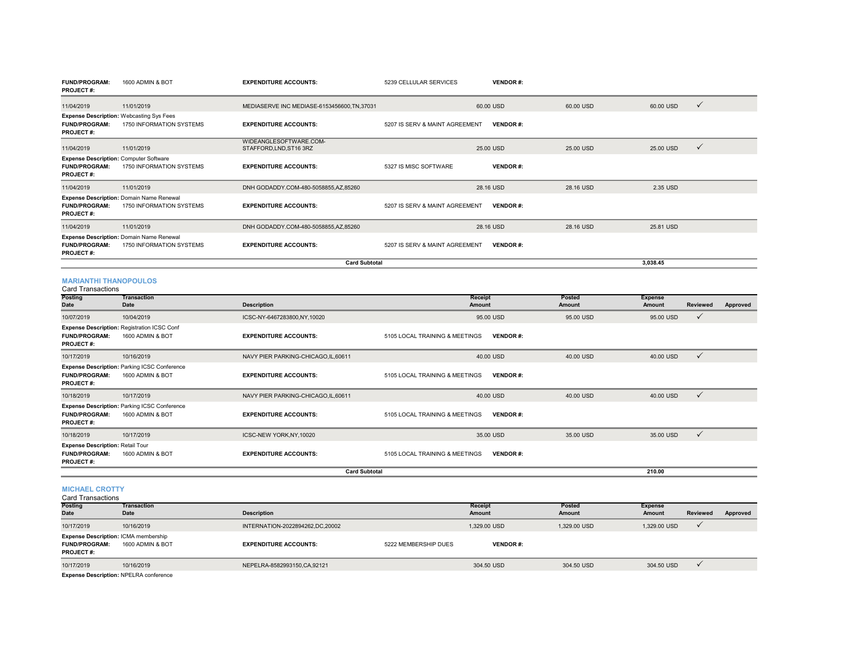| <b>FUND/PROGRAM:</b><br><b>PROJECT#:</b>                                                  | 1600 ADMIN & BOT                                                            | <b>EXPENDITURE ACCOUNTS:</b>                      | 5239 CELLULAR SERVICES         | <b>VENDOR#:</b> |           |           |              |
|-------------------------------------------------------------------------------------------|-----------------------------------------------------------------------------|---------------------------------------------------|--------------------------------|-----------------|-----------|-----------|--------------|
| 11/04/2019                                                                                | 11/01/2019                                                                  | MEDIASERVE INC MEDIASE-6153456600, TN, 37031      |                                | 60.00 USD       | 60.00 USD | 60.00 USD | $\checkmark$ |
| <b>FUND/PROGRAM:</b><br><b>PROJECT#:</b>                                                  | <b>Expense Description: Webcasting Sys Fees</b><br>1750 INFORMATION SYSTEMS | <b>EXPENDITURE ACCOUNTS:</b>                      | 5207 IS SERV & MAINT AGREEMENT | <b>VENDOR#:</b> |           |           |              |
| 11/04/2019                                                                                | 11/01/2019                                                                  | WIDEANGLESOFTWARE.COM-<br>STAFFORD, LND, ST16 3RZ |                                | 25.00 USD       | 25.00 USD | 25.00 USD | $\checkmark$ |
| <b>Expense Description: Computer Software</b><br><b>FUND/PROGRAM:</b><br><b>PROJECT#:</b> | 1750 INFORMATION SYSTEMS                                                    | <b>EXPENDITURE ACCOUNTS:</b>                      | 5327 IS MISC SOFTWARE          | <b>VENDOR#:</b> |           |           |              |
| 11/04/2019                                                                                | 11/01/2019                                                                  | DNH GODADDY.COM-480-5058855,AZ,85260              |                                | 28.16 USD       | 28.16 USD | 2.35 USD  |              |
| <b>FUND/PROGRAM:</b><br><b>PROJECT#:</b>                                                  | <b>Expense Description: Domain Name Renewal</b><br>1750 INFORMATION SYSTEMS | <b>EXPENDITURE ACCOUNTS:</b>                      | 5207 IS SERV & MAINT AGREEMENT | <b>VENDOR#:</b> |           |           |              |
| 11/04/2019                                                                                | 11/01/2019                                                                  | DNH GODADDY.COM-480-5058855,AZ,85260              |                                | 28.16 USD       | 28.16 USD | 25.81 USD |              |
| <b>FUND/PROGRAM:</b><br><b>PROJECT#:</b>                                                  | Expense Description: Domain Name Renewal<br>1750 INFORMATION SYSTEMS        | <b>EXPENDITURE ACCOUNTS:</b>                      | 5207 IS SERV & MAINT AGREEMENT | <b>VENDOR#:</b> |           |           |              |
|                                                                                           |                                                                             | <b>Card Subtotal</b>                              |                                |                 |           | 3,038.45  |              |

## **MARIANTHI THANOPOULOS** Card Transactions

| Garu Transacuons                                                                    |                                                                         |                                      |                                |                 |                |                      |
|-------------------------------------------------------------------------------------|-------------------------------------------------------------------------|--------------------------------------|--------------------------------|-----------------|----------------|----------------------|
| <b>Posting</b>                                                                      | Transaction                                                             |                                      | <b>Receipt</b>                 | <b>Posted</b>   | <b>Expense</b> |                      |
| Date                                                                                | Date                                                                    | <b>Description</b>                   | Amount                         | Amount          | Amount         | Reviewed<br>Approved |
| 10/07/2019                                                                          | 10/04/2019                                                              | ICSC-NY-6467283800,NY,10020          | 95.00 USD                      | 95.00 USD       | 95.00 USD      | $\checkmark$         |
|                                                                                     | <b>Expense Description: Registration ICSC Conf</b>                      |                                      |                                |                 |                |                      |
| <b>FUND/PROGRAM:</b><br><b>PROJECT#:</b>                                            | 1600 ADMIN & BOT                                                        | <b>EXPENDITURE ACCOUNTS:</b>         | 5105 LOCAL TRAINING & MEETINGS | <b>VENDOR#:</b> |                |                      |
| 10/17/2019                                                                          | 10/16/2019                                                              | NAVY PIER PARKING-CHICAGO, IL, 60611 | 40.00 USD                      | 40.00 USD       | 40.00 USD      | $\checkmark$         |
| <b>FUND/PROGRAM:</b><br><b>PROJECT#:</b>                                            | <b>Expense Description: Parking ICSC Conference</b><br>1600 ADMIN & BOT | <b>EXPENDITURE ACCOUNTS:</b>         | 5105 LOCAL TRAINING & MEETINGS | <b>VENDOR#:</b> |                |                      |
| 10/18/2019                                                                          | 10/17/2019                                                              | NAVY PIER PARKING-CHICAGO,IL,60611   | 40.00 USD                      | 40.00 USD       | 40.00 USD      | $\checkmark$         |
| <b>FUND/PROGRAM:</b><br><b>PROJECT#:</b>                                            | <b>Expense Description: Parking ICSC Conference</b><br>1600 ADMIN & BOT | <b>EXPENDITURE ACCOUNTS:</b>         | 5105 LOCAL TRAINING & MEETINGS | <b>VENDOR#:</b> |                |                      |
| 10/18/2019                                                                          | 10/17/2019                                                              | ICSC-NEW YORK, NY, 10020             | 35,00 USD                      | 35,00 USD       | 35.00 USD      | $\checkmark$         |
| <b>Expense Description: Retail Tour</b><br><b>FUND/PROGRAM:</b><br><b>PROJECT#:</b> | 1600 ADMIN & BOT                                                        | <b>EXPENDITURE ACCOUNTS:</b>         | 5105 LOCAL TRAINING & MEETINGS | <b>VENDOR#:</b> |                |                      |
|                                                                                     |                                                                         | <b>Card Subtotal</b>                 |                                |                 | 210.00         |                      |

**MICHAEL CROTTY**

| <b>Card Transactions</b> |  |
|--------------------------|--|

| <b>Posting</b>                                                                   | Transaction      |                                 |                      | <b>Receipt</b>  | Posted       | <b>Expense</b> |                 |          |
|----------------------------------------------------------------------------------|------------------|---------------------------------|----------------------|-----------------|--------------|----------------|-----------------|----------|
| <b>Date</b>                                                                      | Date             | <b>Description</b>              |                      | Amount          | Amount       | Amount         | <b>Reviewed</b> | Approved |
| 10/17/2019                                                                       | 10/16/2019       | INTERNATION-2022894262.DC.20002 |                      | 1.329.00 USD    | 1.329.00 USD | 1.329.00 USD   |                 |          |
| Expense Description: ICMA membership<br><b>FUND/PROGRAM:</b><br><b>PROJECT#:</b> | 1600 ADMIN & BOT | <b>EXPENDITURE ACCOUNTS:</b>    | 5222 MEMBERSHIP DUES | <b>VENDOR#:</b> |              |                |                 |          |
| 10/17/2019                                                                       | 10/16/2019       | NEPELRA-8582993150, CA, 92121   |                      | 304.50 USD      | 304.50 USD   | 304.50 USD     |                 |          |
| _______                                                                          |                  |                                 |                      |                 |              |                |                 |          |

**Expense Description:** NPELRA conference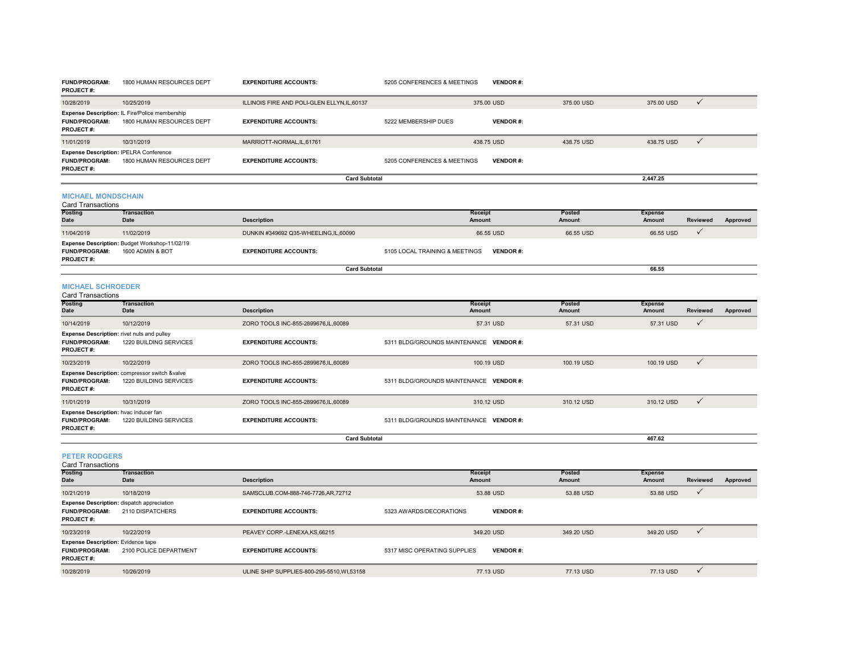| <b>FUND/PROGRAM:</b><br>PROJECT#:                                               | 1800 HUMAN RESOURCES DEPT                                                   | <b>EXPENDITURE ACCOUNTS:</b>                 | 5205 CONFERENCES & MEETINGS             | <b>VENDOR#:</b> |                         |                                 |                 |          |
|---------------------------------------------------------------------------------|-----------------------------------------------------------------------------|----------------------------------------------|-----------------------------------------|-----------------|-------------------------|---------------------------------|-----------------|----------|
| 10/28/2019                                                                      | 10/25/2019                                                                  | ILLINOIS FIRE AND POLI-GLEN ELLYN, IL, 60137 |                                         | 375.00 USD      | 375.00 USD              | 375.00 USD                      | $\checkmark$    |          |
| <b>FUND/PROGRAM:</b><br>PROJECT#:                                               | Expense Description: IL Fire/Police membership<br>1800 HUMAN RESOURCES DEPT | <b>EXPENDITURE ACCOUNTS:</b>                 | 5222 MEMBERSHIP DUES                    | <b>VENDOR#:</b> |                         |                                 |                 |          |
| 11/01/2019                                                                      | 10/31/2019                                                                  | MARRIOTT-NORMAL,IL,61761                     |                                         | 438.75 USD      | 438.75 USD              | 438.75 USD                      | $\checkmark$    |          |
| Expense Description: IPELRA Conference<br><b>FUND/PROGRAM:</b><br>PROJECT#:     | 1800 HUMAN RESOURCES DEPT                                                   | <b>EXPENDITURE ACCOUNTS:</b>                 | 5205 CONFERENCES & MEETINGS             | <b>VENDOR#:</b> |                         |                                 |                 |          |
|                                                                                 |                                                                             | <b>Card Subtotal</b>                         |                                         |                 |                         | 2,447.25                        |                 |          |
| <b>MICHAEL MONDSCHAIN</b><br><b>Card Transactions</b>                           |                                                                             |                                              |                                         |                 |                         |                                 |                 |          |
| <b>Posting</b><br>Date                                                          | <b>Transaction</b><br><b>Date</b>                                           | <b>Description</b>                           | Receipt<br>Amount                       |                 | Posted<br>Amount        | <b>Expense</b><br><b>Amount</b> | <b>Reviewed</b> | Approved |
| 11/04/2019                                                                      | 11/02/2019                                                                  | DUNKIN #349692 Q35-WHEELING, IL, 60090       |                                         | 66.55 USD       | 66.55 USD               | 66.55 USD                       | $\checkmark$    |          |
| <b>FUND/PROGRAM:</b><br>PROJECT#:                                               | Expense Description: Budget Workshop-11/02/19<br>1600 ADMIN & BOT           | <b>EXPENDITURE ACCOUNTS:</b>                 | 5105 LOCAL TRAINING & MEETINGS          | <b>VENDOR#:</b> |                         |                                 |                 |          |
|                                                                                 |                                                                             | <b>Card Subtotal</b>                         |                                         |                 |                         | 66.55                           |                 |          |
| <b>MICHAEL SCHROEDER</b><br><b>Card Transactions</b>                            |                                                                             |                                              |                                         |                 |                         |                                 |                 |          |
| Posting<br>Date                                                                 | <b>Transaction</b><br><b>Date</b>                                           | <b>Description</b>                           | <b>Receipt</b><br><b>Amount</b>         |                 | Posted<br>Amount        | <b>Expense</b><br>Amount        | <b>Reviewed</b> | Approved |
| 10/14/2019                                                                      | 10/12/2019                                                                  | ZORO TOOLS INC-855-2899676,IL,60089          |                                         | 57.31 USD       | 57.31 USD               | 57.31 USD                       | $\checkmark$    |          |
| Expense Description: rivet nuts and pulley<br><b>FUND/PROGRAM:</b><br>PROJECT#: | 1220 BUILDING SERVICES                                                      | <b>EXPENDITURE ACCOUNTS:</b>                 | 5311 BLDG/GROUNDS MAINTENANCE VENDOR #: |                 |                         |                                 |                 |          |
| 10/23/2019                                                                      | 10/22/2019                                                                  | ZORO TOOLS INC-855-2899676,IL,60089          |                                         | 100.19 USD      | 100.19 USD              | 100.19 USD                      | $\checkmark$    |          |
| <b>FUND/PROGRAM:</b><br>PROJECT#:                                               | Expense Description: compressor switch &valve<br>1220 BUILDING SERVICES     | <b>EXPENDITURE ACCOUNTS:</b>                 | 5311 BLDG/GROUNDS MAINTENANCE VENDOR #: |                 |                         |                                 |                 |          |
| 11/01/2019                                                                      | 10/31/2019                                                                  | ZORO TOOLS INC-855-2899676,IL,60089          |                                         | 310.12 USD      | 310.12 USD              | 310.12 USD                      | $\checkmark$    |          |
| Expense Description: hvac inducer fan<br><b>FUND/PROGRAM:</b><br>PROJECT#:      | 1220 BUILDING SERVICES                                                      | <b>EXPENDITURE ACCOUNTS:</b>                 | 5311 BLDG/GROUNDS MAINTENANCE VENDOR #: |                 |                         |                                 |                 |          |
|                                                                                 |                                                                             | <b>Card Subtotal</b>                         |                                         |                 |                         | 467.62                          |                 |          |
| <b>PETER RODGERS</b><br><b>Card Transactions</b>                                |                                                                             |                                              |                                         |                 |                         |                                 |                 |          |
| Posting<br>Date                                                                 | <b>Transaction</b><br><b>Date</b>                                           | <b>Description</b>                           | <b>Receipt</b><br>Amount                |                 | Posted<br><b>Amount</b> | <b>Expense</b><br><b>Amount</b> | <b>Reviewed</b> | Approved |
| 10/21/2019                                                                      | 10/18/2019                                                                  | SAMSCLUB.COM-888-746-7726,AR,72712           |                                         | 53.88 USD       | 53.88 USD               | 53.88 USD                       | $\checkmark$    |          |
| Expense Description: dispatch appreciation<br><b>FUND/PROGRAM:</b><br>PROJECT#: | 2110 DISPATCHERS                                                            | <b>EXPENDITURE ACCOUNTS:</b>                 | 5323 AWARDS/DECORATIONS                 | <b>VENDOR#:</b> |                         |                                 |                 |          |
| 10/23/2019                                                                      | 10/22/2019                                                                  | PEAVEY CORP.-LENEXA.KS.66215                 |                                         | 349.20 USD      | 349.20 USD              | 349.20 USD                      | $\checkmark$    |          |
| <b>Expense Description:</b> Evidence tape<br><b>FUND/PROGRAM:</b>               | 2100 POLICE DEPARTMENT                                                      | <b>EXPENDITURE ACCOUNTS:</b>                 | 5317 MISC OPERATING SUPPLIES            | <b>VENDOR#:</b> |                         |                                 |                 |          |

**PROJECT #:**

10/28/2019 10/26/2019 ULINE SHIP SUPPLIES-800-295-5510,WI,53158 77.13 USD 77.13 USD 77.13 USD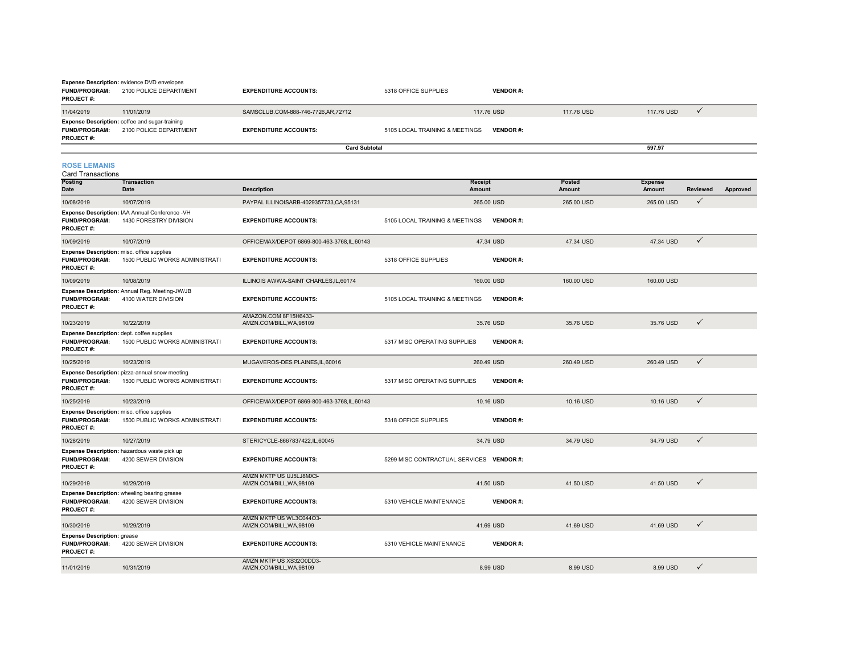|                                          | <b>Expense Description: evidence DVD envelopes</b>                              |                                      |                                |                 |            |            |  |  |  |  |  |
|------------------------------------------|---------------------------------------------------------------------------------|--------------------------------------|--------------------------------|-----------------|------------|------------|--|--|--|--|--|
| <b>FUND/PROGRAM:</b>                     | 2100 POLICE DEPARTMENT                                                          | <b>EXPENDITURE ACCOUNTS:</b>         | 5318 OFFICE SUPPLIES           | <b>VENDOR#:</b> |            |            |  |  |  |  |  |
| <b>PROJECT#:</b>                         |                                                                                 |                                      |                                |                 |            |            |  |  |  |  |  |
| 11/04/2019                               | 11/01/2019                                                                      | SAMSCLUB.COM-888-746-7726, AR, 72712 |                                | 117,76 USD      | 117.76 USD | 117.76 USD |  |  |  |  |  |
| <b>FUND/PROGRAM:</b><br><b>PROJECT#:</b> | <b>Expense Description:</b> coffee and sugar-training<br>2100 POLICE DEPARTMENT | <b>EXPENDITURE ACCOUNTS:</b>         | 5105 LOCAL TRAINING & MEETINGS | <b>VENDOR#:</b> |            |            |  |  |  |  |  |
|                                          |                                                                                 | <b>Card Subtotal</b>                 |                                |                 |            | 597.97     |  |  |  |  |  |

**ROSE LEMANIS**

| <b>Card Transactions</b>                                                                      |                                                                                  |                                                     |                                |                 |                         |                                 |              |          |
|-----------------------------------------------------------------------------------------------|----------------------------------------------------------------------------------|-----------------------------------------------------|--------------------------------|-----------------|-------------------------|---------------------------------|--------------|----------|
| <b>Posting</b><br><b>Date</b>                                                                 | <b>Transaction</b><br>Date                                                       | <b>Description</b>                                  | <b>Receipt</b><br>Amount       |                 | Posted<br><b>Amount</b> | <b>Expense</b><br><b>Amount</b> | Reviewed     | Approved |
| 10/08/2019                                                                                    | 10/07/2019                                                                       | PAYPAL ILLINOISARB-4029357733,CA,95131              |                                | 265.00 USD      | 265,00 USD              | 265,00 USD                      | $\checkmark$ |          |
| <b>FUND/PROGRAM:</b><br><b>PROJECT#:</b>                                                      | Expense Description: IAA Annual Conference -VH<br>1430 FORESTRY DIVISION         | <b>EXPENDITURE ACCOUNTS:</b>                        | 5105 LOCAL TRAINING & MEETINGS | <b>VENDOR#:</b> |                         |                                 |              |          |
| 10/09/2019                                                                                    | 10/07/2019                                                                       | OFFICEMAX/DEPOT 6869-800-463-3768,IL,60143          |                                | 47.34 USD       | 47.34 USD               | 47.34 USD                       | $\checkmark$ |          |
| Expense Description: misc. office supplies<br><b>FUND/PROGRAM:</b><br><b>PROJECT#:</b>        | 1500 PUBLIC WORKS ADMINISTRATI                                                   | <b>EXPENDITURE ACCOUNTS:</b>                        | 5318 OFFICE SUPPLIES           | <b>VENDOR#:</b> |                         |                                 |              |          |
| 10/09/2019                                                                                    | 10/08/2019                                                                       | ILLINOIS AWWA-SAINT CHARLES.IL.60174                |                                | 160,00 USD      | 160,00 USD              | 160,00 USD                      |              |          |
| <b>FUND/PROGRAM:</b><br><b>PROJECT#:</b>                                                      | Expense Description: Annual Reg. Meeting-JW/JB<br>4100 WATER DIVISION            | <b>EXPENDITURE ACCOUNTS:</b>                        | 5105 LOCAL TRAINING & MEETINGS | <b>VENDOR#:</b> |                         |                                 |              |          |
| 10/23/2019                                                                                    | 10/22/2019                                                                       | AMAZON.COM 8F15H6433-<br>AMZN.COM/BILL, WA, 98109   |                                | 35.76 USD       | 35.76 USD               | 35.76 USD                       | $\checkmark$ |          |
| Expense Description: dept. coffee supplies<br><b>FUND/PROGRAM:</b><br><b>PROJECT#:</b>        | 1500 PUBLIC WORKS ADMINISTRATI                                                   | <b>EXPENDITURE ACCOUNTS:</b>                        | 5317 MISC OPERATING SUPPLIES   | <b>VENDOR#:</b> |                         |                                 |              |          |
| 10/25/2019                                                                                    | 10/23/2019                                                                       | MUGAVEROS-DES PLAINES, IL, 60016                    |                                | 260.49 USD      | 260.49 USD              | 260.49 USD                      | $\checkmark$ |          |
| <b>FUND/PROGRAM:</b><br><b>PROJECT#:</b>                                                      | Expense Description: pizza-annual snow meeting<br>1500 PUBLIC WORKS ADMINISTRATI | <b>EXPENDITURE ACCOUNTS:</b>                        | 5317 MISC OPERATING SUPPLIES   | <b>VENDOR#:</b> |                         |                                 |              |          |
| 10/25/2019                                                                                    | 10/23/2019                                                                       | OFFICEMAX/DEPOT 6869-800-463-3768,IL,60143          |                                | 10.16 USD       | 10.16 USD               | 10.16 USD                       | $\checkmark$ |          |
| <b>Expense Description:</b> misc. office supplies<br><b>FUND/PROGRAM:</b><br><b>PROJECT#:</b> | 1500 PUBLIC WORKS ADMINISTRATI                                                   | <b>EXPENDITURE ACCOUNTS:</b>                        | 5318 OFFICE SUPPLIES           | <b>VENDOR#:</b> |                         |                                 |              |          |
| 10/28/2019                                                                                    | 10/27/2019                                                                       | STERICYCLE-8667837422,IL,60045                      |                                | 34.79 USD       | 34.79 USD               | 34.79 USD                       | $\checkmark$ |          |
| <b>FUND/PROGRAM:</b><br><b>PROJECT#:</b>                                                      | Expense Description: hazardous waste pick up<br>4200 SEWER DIVISION              | <b>EXPENDITURE ACCOUNTS:</b>                        | 5299 MISC CONTRACTUAL SERVICES | <b>VENDOR#:</b> |                         |                                 |              |          |
| 10/29/2019                                                                                    | 10/29/2019                                                                       | AMZN MKTP US UJ5LJ8MX3-<br>AMZN.COM/BILL, WA, 98109 |                                | 41.50 USD       | 41.50 USD               | 41.50 USD                       | $\checkmark$ |          |
| <b>FUND/PROGRAM:</b><br><b>PROJECT#:</b>                                                      | Expense Description: wheeling bearing grease<br>4200 SEWER DIVISION              | <b>EXPENDITURE ACCOUNTS:</b>                        | 5310 VEHICLE MAINTENANCE       | <b>VENDOR#:</b> |                         |                                 |              |          |
| 10/30/2019                                                                                    | 10/29/2019                                                                       | AMZN MKTP US WL3C044O3-<br>AMZN.COM/BILL, WA, 98109 |                                | 41.69 USD       | 41.69 USD               | 41.69 USD                       | $\checkmark$ |          |
| <b>Expense Description: grease</b><br><b>FUND/PROGRAM:</b><br><b>PROJECT#:</b>                | 4200 SEWER DIVISION                                                              | <b>EXPENDITURE ACCOUNTS:</b>                        | 5310 VEHICLE MAINTENANCE       | <b>VENDOR#:</b> |                         |                                 |              |          |
| 11/01/2019                                                                                    | 10/31/2019                                                                       | AMZN MKTP US XS32O0DD3-<br>AMZN.COM/BILL, WA, 98109 |                                | 8.99 USD        | 8.99 USD                | 8.99 USD                        | ✓            |          |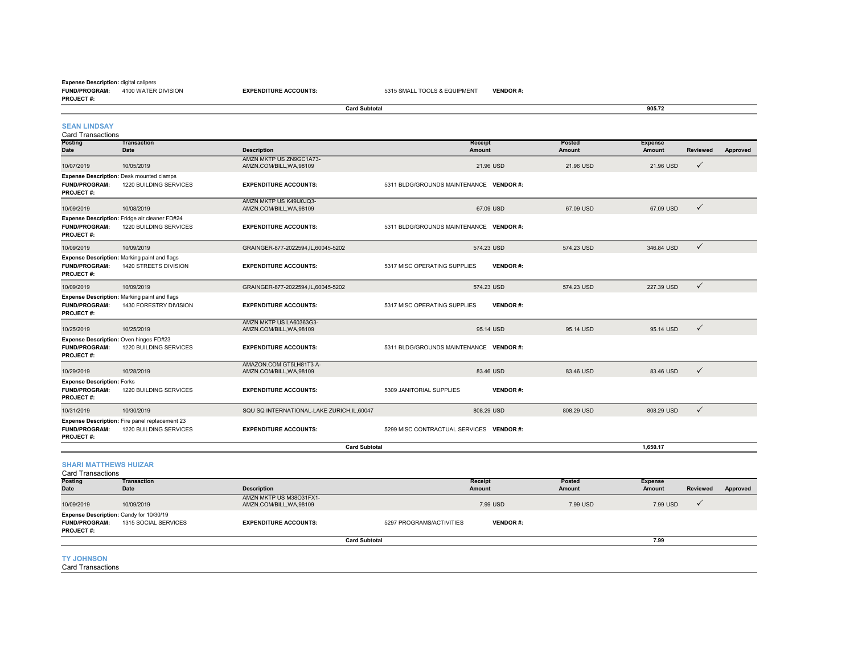#### **FUND/PROGRAM:** 4100 WATER DIVISION**PROJECT #:Expense Description:** digital calipers

**EXPENDITURE ACCOUNTS:** 5315 SMALL TOOLS & EQUIPMENT **VENDOR** #:

|                                                                                    |                                                                           |                                                     | 905.72                                          |                                |                          |              |          |
|------------------------------------------------------------------------------------|---------------------------------------------------------------------------|-----------------------------------------------------|-------------------------------------------------|--------------------------------|--------------------------|--------------|----------|
| <b>SEAN LINDSAY</b><br><b>Card Transactions</b>                                    |                                                                           |                                                     |                                                 |                                |                          |              |          |
| Posting<br>Date                                                                    | <b>Transaction</b><br>Date                                                | <b>Description</b>                                  | <b>Receipt</b><br><b>Amount</b>                 | <b>Posted</b><br><b>Amount</b> | <b>Expense</b><br>Amount | Reviewed     | Approved |
| 10/07/2019                                                                         | 10/05/2019                                                                | AMZN MKTP US ZN9GC1A73-<br>AMZN.COM/BILL, WA, 98109 | 21,96 USD                                       | 21.96 USD                      | 21.96 USD                | $\checkmark$ |          |
| <b>FUND/PROGRAM:</b><br>PROJECT#:                                                  | <b>Expense Description: Desk mounted clamps</b><br>1220 BUILDING SERVICES | <b>EXPENDITURE ACCOUNTS:</b>                        | 5311 BLDG/GROUNDS MAINTENANCE VENDOR #:         |                                |                          |              |          |
| 10/09/2019                                                                         | 10/08/2019                                                                | AMZN MKTP US K49IJ0JQ3-<br>AMZN.COM/BILL, WA, 98109 | 67.09 USD                                       | 67.09 USD                      | 67.09 USD                | $\checkmark$ |          |
| <b>FUND/PROGRAM:</b><br><b>PROJECT#:</b>                                           | Expense Description: Fridge air cleaner FD#24<br>1220 BUILDING SERVICES   | <b>EXPENDITURE ACCOUNTS:</b>                        | 5311 BLDG/GROUNDS MAINTENANCE VENDOR #:         |                                |                          |              |          |
| 10/09/2019                                                                         | 10/09/2019                                                                | GRAINGER-877-2022594,IL,60045-5202                  | 574.23 USD                                      | 574.23 USD                     | 346.84 USD               | $\checkmark$ |          |
| <b>FUND/PROGRAM:</b><br><b>PROJECT#:</b>                                           | Expense Description: Marking paint and flags<br>1420 STREETS DIVISION     | <b>EXPENDITURE ACCOUNTS:</b>                        | 5317 MISC OPERATING SUPPLIES<br><b>VENDOR#:</b> |                                |                          |              |          |
| 10/09/2019                                                                         | 10/09/2019                                                                | GRAINGER-877-2022594,IL,60045-5202                  | 574.23 USD                                      | 574.23 USD                     | 227.39 USD               | $\checkmark$ |          |
| <b>FUND/PROGRAM:</b><br><b>PROJECT#:</b>                                           | Expense Description: Marking paint and flags<br>1430 FORESTRY DIVISION    | <b>EXPENDITURE ACCOUNTS:</b>                        | <b>VENDOR#:</b><br>5317 MISC OPERATING SUPPLIES |                                |                          |              |          |
| 10/25/2019                                                                         | 10/25/2019                                                                | AMZN MKTP US LA60363G3-<br>AMZN.COM/BILL, WA, 98109 | 95.14 USD                                       | 95.14 USD                      | 95.14 USD                | $\checkmark$ |          |
| Expense Description: Oven hinges FD#23<br><b>FUND/PROGRAM:</b><br><b>PROJECT#:</b> | 1220 BUILDING SERVICES                                                    | <b>EXPENDITURE ACCOUNTS:</b>                        | 5311 BLDG/GROUNDS MAINTENANCE VENDOR #:         |                                |                          |              |          |
| 10/29/2019                                                                         | 10/28/2019                                                                | AMAZON.COM GT5LH81T3 A-<br>AMZN.COM/BILL, WA, 98109 | 83.46 USD                                       | 83.46 USD                      | 83.46 USD                | $\checkmark$ |          |
| <b>Expense Description: Forks</b><br><b>FUND/PROGRAM:</b><br><b>PROJECT#:</b>      | 1220 BUILDING SERVICES                                                    | <b>EXPENDITURE ACCOUNTS:</b>                        | <b>VENDOR#:</b><br>5309 JANITORIAL SUPPLIES     |                                |                          |              |          |
| 10/31/2019                                                                         | 10/30/2019                                                                | SQU SQ INTERNATIONAL-LAKE ZURICH.IL.60047           | 808.29 USD                                      | 808.29 USD                     | 808.29 USD               | $\checkmark$ |          |
| <b>FUND/PROGRAM:</b><br><b>PROJECT#:</b>                                           | Expense Description: Fire panel replacement 23<br>1220 BUILDING SERVICES  | <b>EXPENDITURE ACCOUNTS:</b>                        | 5299 MISC CONTRACTUAL SERVICES VENDOR #:        |                                |                          |              |          |
|                                                                                    |                                                                           | <b>Card Subtotal</b>                                |                                                 |                                | 1.650.17                 |              |          |

#### **SHARI MATTHEWS HUIZAR**

**Posting Date TransactionDescription Receipt Amount Posted Amount Expense Amount Reviewed Approved** 10/09/2019 10/09/2019 AMZN MKTP US M38O31FX1- AMZN.COM/BILL,WA,98109 7.99 USD 7.99 USD 7.99 USD **FUND/PROGRAM:** 1315 SOCIAL SERVICES**EXPENDITURE ACCOUNTS:** 5297 PROGRAMS/ACTIVITIES **VENDOR #: PROJECT #:**Card Transactions **Expense Description:** Candy for 10/30/19 **Card Subtotal 7.99** $7.99$ 

#### **TY JOHNSON**

Card Transactions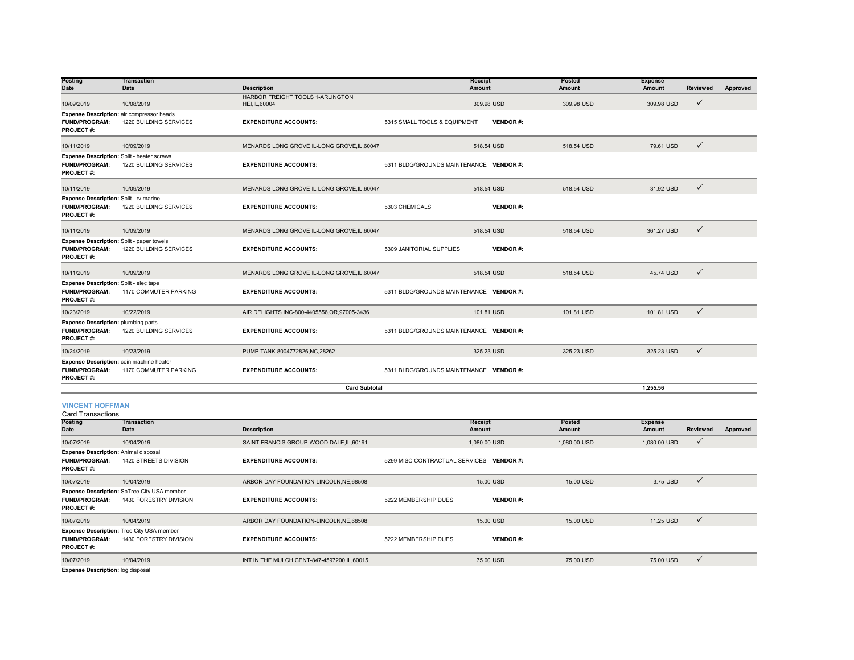| Posting<br><b>Date</b>                                                                    | <b>Transaction</b><br><b>Date</b> | <b>Description</b>                               |                                         | Receipt<br><b>Amount</b> | Posted<br><b>Amount</b> | <b>Expense</b><br><b>Amount</b> | <b>Reviewed</b> | Approved |
|-------------------------------------------------------------------------------------------|-----------------------------------|--------------------------------------------------|-----------------------------------------|--------------------------|-------------------------|---------------------------------|-----------------|----------|
| 10/09/2019                                                                                | 10/08/2019                        | HARBOR FREIGHT TOOLS 1-ARLINGTON<br>HEI.IL.60004 |                                         | 309.98 USD               | 309.98 USD              | 309.98 USD                      | $\checkmark$    |          |
| Expense Description: air compressor heads<br><b>FUND/PROGRAM:</b><br><b>PROJECT#:</b>     | 1220 BUILDING SERVICES            | <b>EXPENDITURE ACCOUNTS:</b>                     | 5315 SMALL TOOLS & EQUIPMENT            | <b>VENDOR#:</b>          |                         |                                 |                 |          |
| 10/11/2019                                                                                | 10/09/2019                        | MENARDS LONG GROVE IL-LONG GROVE.IL.60047        |                                         | 518.54 USD               | 518,54 USD              | 79.61 USD                       | $\checkmark$    |          |
| Expense Description: Split - heater screws<br><b>FUND/PROGRAM:</b><br>PROJECT#:           | 1220 BUILDING SERVICES            | <b>EXPENDITURE ACCOUNTS:</b>                     | 5311 BLDG/GROUNDS MAINTENANCE VENDOR #: |                          |                         |                                 |                 |          |
| 10/11/2019                                                                                | 10/09/2019                        | MENARDS LONG GROVE IL-LONG GROVE, IL, 60047      |                                         | 518.54 USD               | 518.54 USD              | 31.92 USD                       | $\checkmark$    |          |
| <b>Expense Description: Split - rv marine</b><br><b>FUND/PROGRAM:</b><br><b>PROJECT#:</b> | 1220 BUILDING SERVICES            | <b>EXPENDITURE ACCOUNTS:</b>                     | 5303 CHEMICALS                          | <b>VENDOR#:</b>          |                         |                                 |                 |          |
| 10/11/2019                                                                                | 10/09/2019                        | MENARDS LONG GROVE IL-LONG GROVE, IL, 60047      |                                         | 518.54 USD               | 518.54 USD              | 361.27 USD                      | $\checkmark$    |          |
| Expense Description: Split - paper towels<br>FUND/PROGRAM:<br>PROJECT#:                   | 1220 BUILDING SERVICES            | <b>EXPENDITURE ACCOUNTS:</b>                     | 5309 JANITORIAL SUPPLIES                | <b>VENDOR#:</b>          |                         |                                 |                 |          |
| 10/11/2019                                                                                | 10/09/2019                        | MENARDS LONG GROVE IL-LONG GROVE, IL, 60047      |                                         | 518.54 USD               | 518.54 USD              | 45.74 USD                       | $\checkmark$    |          |
| Expense Description: Split - elec tape<br><b>FUND/PROGRAM:</b><br>PROJECT#:               | 1170 COMMUTER PARKING             | <b>EXPENDITURE ACCOUNTS:</b>                     | 5311 BLDG/GROUNDS MAINTENANCE VENDOR #: |                          |                         |                                 |                 |          |
| 10/23/2019                                                                                | 10/22/2019                        | AIR DELIGHTS INC-800-4405556, OR, 97005-3436     |                                         | 101.81 USD               | 101.81 USD              | 101.81 USD                      | $\checkmark$    |          |
| <b>Expense Description: plumbing parts</b><br><b>FUND/PROGRAM:</b><br><b>PROJECT#:</b>    | 1220 BUILDING SERVICES            | <b>EXPENDITURE ACCOUNTS:</b>                     | 5311 BLDG/GROUNDS MAINTENANCE VENDOR #: |                          |                         |                                 |                 |          |
| 10/24/2019                                                                                | 10/23/2019                        | PUMP TANK-8004772826, NC, 28262                  |                                         | 325.23 USD               | 325.23 USD              | 325.23 USD                      | $\checkmark$    |          |
| Expense Description: coin machine heater<br>FUND/PROGRAM:<br><b>PROJECT#:</b>             | 1170 COMMUTER PARKING             | <b>EXPENDITURE ACCOUNTS:</b>                     | 5311 BLDG/GROUNDS MAINTENANCE VENDOR #: |                          |                         |                                 |                 |          |
|                                                                                           |                                   | <b>Card Subtotal</b>                             |                                         |                          |                         | 1,255.56                        |                 |          |
| <b>VINCENT HOFFMAN</b><br><b>Card Transactions</b>                                        |                                   |                                                  |                                         |                          |                         |                                 |                 |          |

| Posting<br><b>Date</b>                                                                  | Transaction<br>Date                                                        | <b>Description</b>                           |                                          | Receipt<br><b>Amount</b> | Posted<br><b>Amount</b> | <b>Expense</b><br>Amount | Reviewed     | Approved |
|-----------------------------------------------------------------------------------------|----------------------------------------------------------------------------|----------------------------------------------|------------------------------------------|--------------------------|-------------------------|--------------------------|--------------|----------|
| 10/07/2019                                                                              | 10/04/2019                                                                 | SAINT FRANCIS GROUP-WOOD DALE, IL, 60191     |                                          | 1,080.00 USD             | 1,080.00 USD            | 1,080.00 USD             | $\checkmark$ |          |
| <b>Expense Description: Animal disposal</b><br><b>FUND/PROGRAM:</b><br><b>PROJECT#:</b> | 1420 STREETS DIVISION                                                      | <b>EXPENDITURE ACCOUNTS:</b>                 | 5299 MISC CONTRACTUAL SERVICES VENDOR #: |                          |                         |                          |              |          |
| 10/07/2019                                                                              | 10/04/2019                                                                 | ARBOR DAY FOUNDATION-LINCOLN, NE, 68508      |                                          | 15.00 USD                | 15,00 USD               | 3.75 USD                 | $\checkmark$ |          |
| <b>FUND/PROGRAM:</b><br><b>PROJECT#:</b>                                                | Expense Description: SpTree City USA member<br>1430 FORESTRY DIVISION      | <b>EXPENDITURE ACCOUNTS:</b>                 | 5222 MEMBERSHIP DUES                     | <b>VENDOR#:</b>          |                         |                          |              |          |
| 10/07/2019                                                                              | 10/04/2019                                                                 | ARBOR DAY FOUNDATION-LINCOLN, NE, 68508      |                                          | 15.00 USD                | 15,00 USD               | 11.25 USD                | $\checkmark$ |          |
| <b>FUND/PROGRAM:</b><br><b>PROJECT#:</b>                                                | <b>Expense Description: Tree City USA member</b><br>1430 FORESTRY DIVISION | <b>EXPENDITURE ACCOUNTS:</b>                 | 5222 MEMBERSHIP DUES                     | <b>VENDOR#:</b>          |                         |                          |              |          |
| 10/07/2019                                                                              | 10/04/2019                                                                 | INT IN THE MULCH CENT-847-4597200, IL, 60015 |                                          | 75.00 USD                | 75,00 USD               | 75.00 USD                | $\checkmark$ |          |
| Expanse Description: log disposal                                                       |                                                                            |                                              |                                          |                          |                         |                          |              |          |

**Expense Description:** log disposal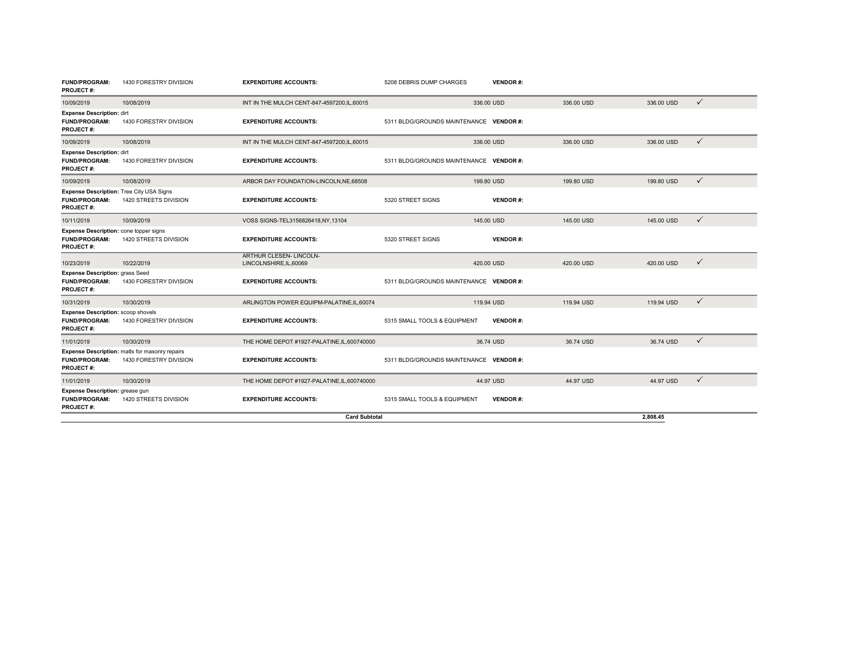| <b>FUND/PROGRAM:</b><br><b>PROJECT#:</b>                                                    | 1430 FORESTRY DIVISION                                                   | <b>EXPENDITURE ACCOUNTS:</b>                            | 5208 DEBRIS DUMP CHARGES                | <b>VENDOR#:</b> |            |            |              |
|---------------------------------------------------------------------------------------------|--------------------------------------------------------------------------|---------------------------------------------------------|-----------------------------------------|-----------------|------------|------------|--------------|
| 10/09/2019                                                                                  | 10/08/2019                                                               | INT IN THE MULCH CENT-847-4597200, IL, 60015            |                                         | 336.00 USD      | 336.00 USD | 336.00 USD | $\checkmark$ |
| Expense Description: dirt<br><b>FUND/PROGRAM:</b><br><b>PROJECT#:</b>                       | 1430 FORESTRY DIVISION                                                   | <b>EXPENDITURE ACCOUNTS:</b>                            | 5311 BLDG/GROUNDS MAINTENANCE VENDOR #: |                 |            |            |              |
| 10/09/2019                                                                                  | 10/08/2019                                                               | INT IN THE MULCH CENT-847-4597200, IL, 60015            |                                         | 336,00 USD      | 336.00 USD | 336,00 USD | $\checkmark$ |
| Expense Description: dirt<br><b>FUND/PROGRAM:</b><br><b>PROJECT#:</b>                       | 1430 FORESTRY DIVISION                                                   | <b>EXPENDITURE ACCOUNTS:</b>                            | 5311 BLDG/GROUNDS MAINTENANCE VENDOR #: |                 |            |            |              |
| 10/09/2019                                                                                  | 10/08/2019                                                               | ARBOR DAY FOUNDATION-LINCOLN.NE.68508                   |                                         | 199.80 USD      | 199.80 USD | 199.80 USD | $\checkmark$ |
| <b>Expense Description: Tree City USA Signs</b><br><b>FUND/PROGRAM:</b><br><b>PROJECT#:</b> | 1420 STREETS DIVISION                                                    | <b>EXPENDITURE ACCOUNTS:</b>                            | 5320 STREET SIGNS                       | <b>VENDOR#:</b> |            |            |              |
| 10/11/2019                                                                                  | 10/09/2019                                                               | VOSS SIGNS-TEL3156826418,NY,13104                       |                                         | 145.00 USD      | 145,00 USD | 145,00 USD | $\checkmark$ |
| Expense Description: cone topper signs<br><b>FUND/PROGRAM:</b><br><b>PROJECT#:</b>          | 1420 STREETS DIVISION                                                    | <b>EXPENDITURE ACCOUNTS:</b>                            | 5320 STREET SIGNS                       | <b>VENDOR#:</b> |            |            |              |
| 10/23/2019                                                                                  | 10/22/2019                                                               | <b>ARTHUR CLESEN- LINCOLN-</b><br>LINCOLNSHIRE.IL.60069 |                                         | 420.00 USD      | 420.00 USD | 420.00 USD | $\checkmark$ |
| <b>Expense Description: grass Seed</b><br><b>FUND/PROGRAM:</b><br><b>PROJECT#:</b>          | 1430 FORESTRY DIVISION                                                   | <b>EXPENDITURE ACCOUNTS:</b>                            | 5311 BLDG/GROUNDS MAINTENANCE VENDOR #: |                 |            |            |              |
| 10/31/2019                                                                                  | 10/30/2019                                                               | ARLINGTON POWER EQUIPM-PALATINE, IL, 60074              |                                         | 119.94 USD      | 119.94 USD | 119.94 USD | $\checkmark$ |
| <b>Expense Description: scoop shovels</b><br>FUND/PROGRAM:<br><b>PROJECT#:</b>              | 1430 FORESTRY DIVISION                                                   | <b>EXPENDITURE ACCOUNTS:</b>                            | 5315 SMALL TOOLS & EQUIPMENT            | <b>VENDOR#:</b> |            |            |              |
| 11/01/2019                                                                                  | 10/30/2019                                                               | THE HOME DEPOT #1927-PALATINE, IL, 600740000            |                                         | 36.74 USD       | 36.74 USD  | 36.74 USD  | $\checkmark$ |
| <b>FUND/PROGRAM:</b><br><b>PROJECT#:</b>                                                    | Expense Description: matls for masonry repairs<br>1430 FORESTRY DIVISION | <b>EXPENDITURE ACCOUNTS:</b>                            | 5311 BLDG/GROUNDS MAINTENANCE VENDOR #: |                 |            |            |              |
| 11/01/2019                                                                                  | 10/30/2019                                                               | THE HOME DEPOT #1927-PALATINE, IL, 600740000            |                                         | 44.97 USD       | 44.97 USD  | 44.97 USD  | $\checkmark$ |
| Expense Description: grease gun<br>FUND/PROGRAM:<br><b>PROJECT#:</b>                        | 1420 STREETS DIVISION                                                    | <b>EXPENDITURE ACCOUNTS:</b>                            | 5315 SMALL TOOLS & EQUIPMENT            | <b>VENDOR#:</b> |            |            |              |
|                                                                                             |                                                                          | <b>Card Subtotal</b>                                    |                                         |                 |            | 2.808.45   |              |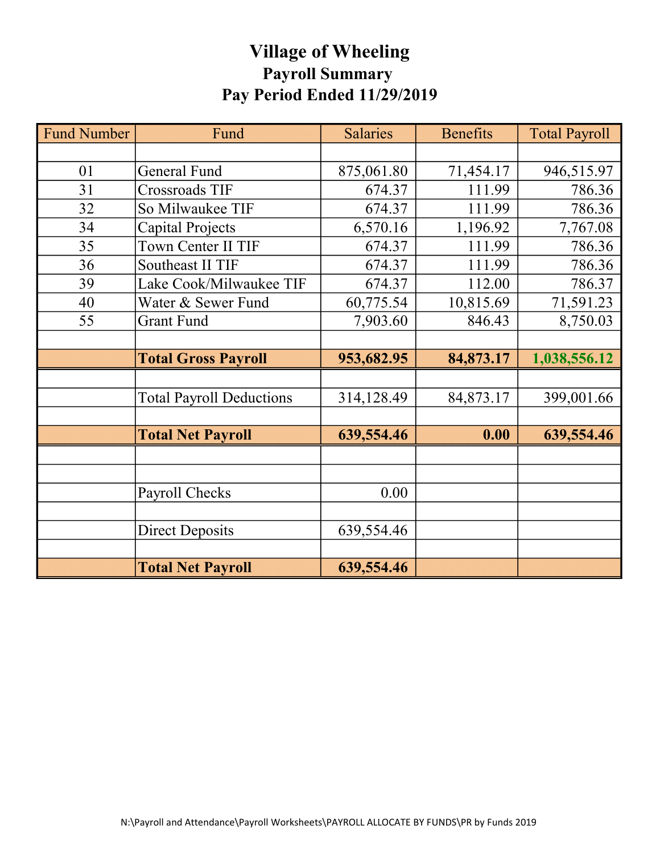# Village of Wheeling Payroll Summary Pay Period Ended 11/29/2019

| <b>Fund Number</b> | Fund                            | <b>Salaries</b> | <b>Benefits</b> | <b>Total Payroll</b> |
|--------------------|---------------------------------|-----------------|-----------------|----------------------|
|                    |                                 |                 |                 |                      |
| 01                 | <b>General Fund</b>             | 875,061.80      | 71,454.17       | 946,515.97           |
| 31                 | <b>Crossroads TIF</b>           | 674.37          | 111.99          | 786.36               |
| 32                 | So Milwaukee TIF                | 674.37          | 111.99          | 786.36               |
| 34                 | Capital Projects                | 6,570.16        | 1,196.92        | 7,767.08             |
| 35                 | Town Center II TIF              | 674.37          | 111.99          | 786.36               |
| 36                 | Southeast II TIF                | 674.37          | 111.99          | 786.36               |
| 39                 | Lake Cook/Milwaukee TIF         | 674.37          | 112.00          | 786.37               |
| 40                 | Water & Sewer Fund              | 60,775.54       | 10,815.69       | 71,591.23            |
| 55                 | <b>Grant Fund</b>               | 7,903.60        | 846.43          | 8,750.03             |
|                    |                                 |                 |                 |                      |
|                    | <b>Total Gross Payroll</b>      | 953,682.95      | 84,873.17       | 1,038,556.12         |
|                    |                                 |                 |                 |                      |
|                    | <b>Total Payroll Deductions</b> | 314,128.49      | 84,873.17       | 399,001.66           |
|                    |                                 |                 |                 |                      |
|                    | <b>Total Net Payroll</b>        | 639,554.46      | 0.00            | 639,554.46           |
|                    |                                 |                 |                 |                      |
|                    |                                 |                 |                 |                      |
|                    | Payroll Checks                  | 0.00            |                 |                      |
|                    |                                 |                 |                 |                      |
|                    | <b>Direct Deposits</b>          | 639,554.46      |                 |                      |
|                    |                                 |                 |                 |                      |
|                    | <b>Total Net Payroll</b>        | 639,554.46      |                 |                      |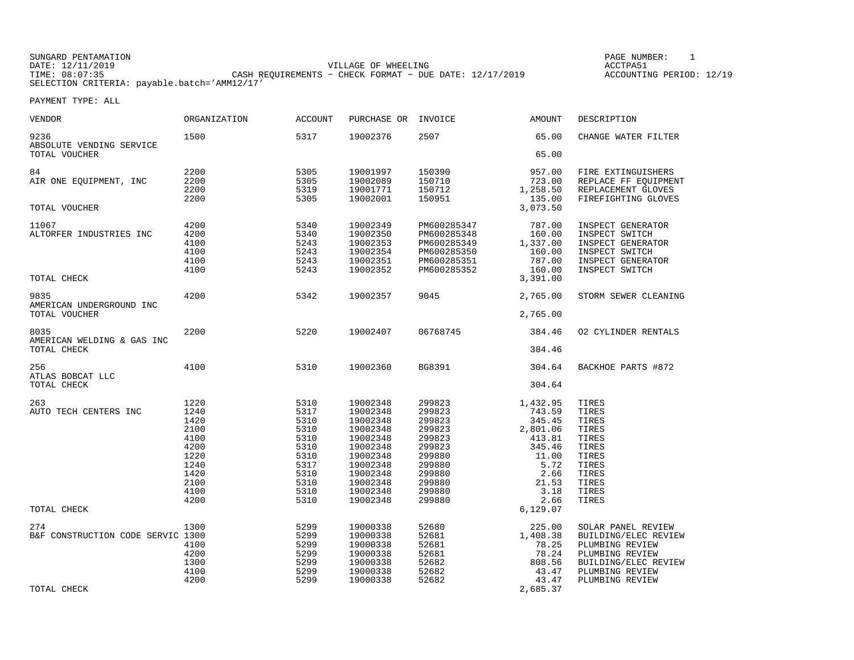#### SUNGARD PENTAMATION SUNGARD PENTAMATION SUNG PAGE NUMBER: 1 SUNGARD PENTAMATION SUNG PAGE NUMBER: 1 SUNG PAGE NUMBER: 1 SUNG PAGE NUMBER: 1 SUNG PAGE NUMBER: 1 SUNG PAGE NUMBER: 1 SUNG PAGE NUMBER: 1 SUNG PAGE NUMBER: 1 SU VILLAGE OF WHEELING **ACCTPA51** TIME: 08:07:35 CASH REQUIREMENTS − CHECK FORMAT − DUE DATE: 12/17/2019 SELECTION CRITERIA: payable.batch='AMM12/17'

ACCOUNTING PERIOD: 12/19

| <b>VENDOR</b>                                           | ORGANIZATION                                                                                 | <b>ACCOUNT</b>                                                                               | PURCHASE OR                                                                                                                                  | INVOICE                                                                                                              | <b>AMOUNT</b>                                                                                                  | DESCRIPTION                                                                                                                                    |
|---------------------------------------------------------|----------------------------------------------------------------------------------------------|----------------------------------------------------------------------------------------------|----------------------------------------------------------------------------------------------------------------------------------------------|----------------------------------------------------------------------------------------------------------------------|----------------------------------------------------------------------------------------------------------------|------------------------------------------------------------------------------------------------------------------------------------------------|
| 9236<br>ABSOLUTE VENDING SERVICE                        | 1500                                                                                         | 5317                                                                                         | 19002376                                                                                                                                     | 2507                                                                                                                 | 65.00                                                                                                          | CHANGE WATER FILTER                                                                                                                            |
| TOTAL VOUCHER                                           |                                                                                              |                                                                                              |                                                                                                                                              |                                                                                                                      | 65.00                                                                                                          |                                                                                                                                                |
| 84<br>AIR ONE EQUIPMENT, INC                            | 2200<br>2200<br>2200                                                                         | 5305<br>5305<br>5319                                                                         | 19001997<br>19002089<br>19001771                                                                                                             | 150390<br>150710<br>150712                                                                                           | 957.00<br>723.00<br>1,258.50                                                                                   | FIRE EXTINGUISHERS<br>REPLACE FF EQUIPMENT<br>REPLACEMENT GLOVES                                                                               |
| TOTAL VOUCHER                                           | 2200                                                                                         | 5305                                                                                         | 19002001                                                                                                                                     | 150951                                                                                                               | 135.00<br>3,073.50                                                                                             | FIREFIGHTING GLOVES                                                                                                                            |
| 11067<br>ALTORFER INDUSTRIES INC                        | 4200<br>4200<br>4100<br>4100<br>4100<br>4100                                                 | 5340<br>5340<br>5243<br>5243<br>5243<br>5243                                                 | 19002349<br>19002350<br>19002353<br>19002354<br>19002351<br>19002352                                                                         | PM600285347<br>PM600285348<br>PM600285349<br>PM600285350<br>PM600285351<br>PM600285352                               | 787.00<br>160.00<br>1,337.00<br>160.00<br>787.00<br>160.00                                                     | INSPECT GENERATOR<br>INSPECT SWITCH<br>INSPECT GENERATOR<br>INSPECT SWITCH<br>INSPECT GENERATOR<br>INSPECT SWITCH                              |
| TOTAL CHECK                                             |                                                                                              |                                                                                              |                                                                                                                                              |                                                                                                                      | 3,391.00                                                                                                       |                                                                                                                                                |
| 9835<br>AMERICAN UNDERGROUND INC<br>TOTAL VOUCHER       | 4200                                                                                         | 5342                                                                                         | 19002357                                                                                                                                     | 9045                                                                                                                 | 2,765.00<br>2,765.00                                                                                           | STORM SEWER CLEANING                                                                                                                           |
|                                                         |                                                                                              |                                                                                              |                                                                                                                                              |                                                                                                                      |                                                                                                                |                                                                                                                                                |
| 8035<br>AMERICAN WELDING & GAS INC<br>TOTAL CHECK       | 2200                                                                                         | 5220                                                                                         | 19002407                                                                                                                                     | 06768745                                                                                                             | 384.46<br>384.46                                                                                               | 02 CYLINDER RENTALS                                                                                                                            |
| 256<br>ATLAS BOBCAT LLC<br>TOTAL CHECK                  | 4100                                                                                         | 5310                                                                                         | 19002360                                                                                                                                     | BG8391                                                                                                               | 304.64<br>304.64                                                                                               | BACKHOE PARTS #872                                                                                                                             |
|                                                         |                                                                                              |                                                                                              |                                                                                                                                              |                                                                                                                      |                                                                                                                |                                                                                                                                                |
| 263<br>AUTO TECH CENTERS INC                            | 1220<br>1240<br>1420<br>2100<br>4100<br>4200<br>1220<br>1240<br>1420<br>2100<br>4100<br>4200 | 5310<br>5317<br>5310<br>5310<br>5310<br>5310<br>5310<br>5317<br>5310<br>5310<br>5310<br>5310 | 19002348<br>19002348<br>19002348<br>19002348<br>19002348<br>19002348<br>19002348<br>19002348<br>19002348<br>19002348<br>19002348<br>19002348 | 299823<br>299823<br>299823<br>299823<br>299823<br>299823<br>299880<br>299880<br>299880<br>299880<br>299880<br>299880 | 1,432.95<br>743.59<br>345.45<br>2,801.06<br>413.81<br>345.46<br>11.00<br>5.72<br>2.66<br>21.53<br>3.18<br>2.66 | TIRES<br>TIRES<br>TIRES<br>TIRES<br>TIRES<br>TIRES<br>TIRES<br>TIRES<br>TIRES<br>TIRES<br>TIRES<br>TIRES                                       |
| TOTAL CHECK                                             |                                                                                              |                                                                                              |                                                                                                                                              |                                                                                                                      | 6,129.07                                                                                                       |                                                                                                                                                |
| 274<br>B&F CONSTRUCTION CODE SERVIC 1300<br>TOTAL CHECK | 1300<br>4100<br>4200<br>1300<br>4100<br>4200                                                 | 5299<br>5299<br>5299<br>5299<br>5299<br>5299<br>5299                                         | 19000338<br>19000338<br>19000338<br>19000338<br>19000338<br>19000338<br>19000338                                                             | 52680<br>52681<br>52681<br>52681<br>52682<br>52682<br>52682                                                          | 225.00<br>1,408.38<br>78.25<br>78.24<br>808.56<br>43.47<br>43.47<br>2,685.37                                   | SOLAR PANEL REVIEW<br>BUILDING/ELEC REVIEW<br>PLUMBING REVIEW<br>PLUMBING REVIEW<br>BUILDING/ELEC REVIEW<br>PLUMBING REVIEW<br>PLUMBING REVIEW |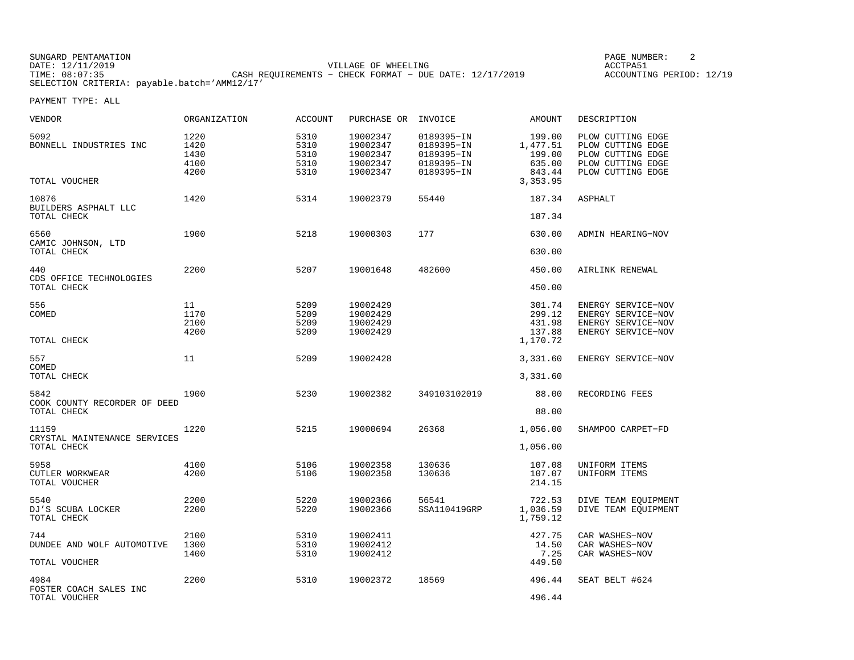SUNGARD PENTAMATION SUNGARD PENTAMATION SUNG PAGE NUMBER: 2 VILLAGE OF WHEELING **ACCTPA51** TIME: 08:07:35 CASH REQUIREMENTS − CHECK FORMAT − DUE DATE: 12/17/2019 SELECTION CRITERIA: payable.batch='AMM12/17'

ACCOUNTING PERIOD: 12/19

| VENDOR                                               | ORGANIZATION                         | <b>ACCOUNT</b>                       | PURCHASE OR                                              | INVOICE                                                            | AMOUNT                                                        | DESCRIPTION                                                                                           |
|------------------------------------------------------|--------------------------------------|--------------------------------------|----------------------------------------------------------|--------------------------------------------------------------------|---------------------------------------------------------------|-------------------------------------------------------------------------------------------------------|
| 5092<br>BONNELL INDUSTRIES INC<br>TOTAL VOUCHER      | 1220<br>1420<br>1430<br>4100<br>4200 | 5310<br>5310<br>5310<br>5310<br>5310 | 19002347<br>19002347<br>19002347<br>19002347<br>19002347 | 0189395-IN<br>0189395-IN<br>0189395-IN<br>0189395-IN<br>0189395-IN | 199.00<br>1,477.51<br>199.00<br>635.00<br>843.44<br>3, 353.95 | PLOW CUTTING EDGE<br>PLOW CUTTING EDGE<br>PLOW CUTTING EDGE<br>PLOW CUTTING EDGE<br>PLOW CUTTING EDGE |
| 10876                                                | 1420                                 | 5314                                 | 19002379                                                 | 55440                                                              | 187.34                                                        | ASPHALT                                                                                               |
| BUILDERS ASPHALT LLC<br>TOTAL CHECK                  |                                      |                                      |                                                          |                                                                    | 187.34                                                        |                                                                                                       |
| 6560<br>CAMIC JOHNSON, LTD<br>TOTAL CHECK            | 1900                                 | 5218                                 | 19000303                                                 | 177                                                                | 630.00<br>630.00                                              | ADMIN HEARING-NOV                                                                                     |
| 440                                                  | 2200                                 | 5207                                 | 19001648                                                 | 482600                                                             | 450.00                                                        | AIRLINK RENEWAL                                                                                       |
| CDS OFFICE TECHNOLOGIES<br>TOTAL CHECK               |                                      |                                      |                                                          |                                                                    | 450.00                                                        |                                                                                                       |
| 556<br>COMED                                         | 11<br>1170<br>2100<br>4200           | 5209<br>5209<br>5209<br>5209         | 19002429<br>19002429<br>19002429<br>19002429             |                                                                    | 301.74<br>299.12<br>431.98<br>137.88                          | ENERGY SERVICE-NOV<br>ENERGY SERVICE-NOV<br>ENERGY SERVICE-NOV<br>ENERGY SERVICE-NOV                  |
| TOTAL CHECK                                          |                                      |                                      |                                                          |                                                                    | 1,170.72                                                      |                                                                                                       |
| 557<br>COMED<br>TOTAL CHECK                          | 11                                   | 5209                                 | 19002428                                                 |                                                                    | 3,331.60<br>3,331.60                                          | ENERGY SERVICE-NOV                                                                                    |
| 5842<br>COOK COUNTY RECORDER OF DEED<br>TOTAL CHECK  | 1900                                 | 5230                                 | 19002382                                                 | 349103102019                                                       | 88.00<br>88.00                                                | RECORDING FEES                                                                                        |
| 11159<br>CRYSTAL MAINTENANCE SERVICES<br>TOTAL CHECK | 1220                                 | 5215                                 | 19000694                                                 | 26368                                                              | 1,056.00<br>1,056.00                                          | SHAMPOO CARPET-FD                                                                                     |
| 5958<br>CUTLER WORKWEAR<br>TOTAL VOUCHER             | 4100<br>4200                         | 5106<br>5106                         | 19002358<br>19002358                                     | 130636<br>130636                                                   | 107.08<br>107.07<br>214.15                                    | UNIFORM ITEMS<br>UNIFORM ITEMS                                                                        |
| 5540<br>DJ'S SCUBA LOCKER<br>TOTAL CHECK             | 2200<br>2200                         | 5220<br>5220                         | 19002366<br>19002366                                     | 56541<br>SSA110419GRP                                              | 722.53<br>1,036.59<br>1,759.12                                | DIVE TEAM EQUIPMENT<br>DIVE TEAM EQUIPMENT                                                            |
| 744<br>DUNDEE AND WOLF AUTOMOTIVE<br>TOTAL VOUCHER   | 2100<br>1300<br>1400                 | 5310<br>5310<br>5310                 | 19002411<br>19002412<br>19002412                         |                                                                    | 427.75<br>14.50<br>7.25<br>449.50                             | CAR WASHES-NOV<br>CAR WASHES-NOV<br>CAR WASHES-NOV                                                    |
| 4984<br>FOSTER COACH SALES INC<br>TOTAL VOUCHER      | 2200                                 | 5310                                 | 19002372                                                 | 18569                                                              | 496.44<br>496.44                                              | SEAT BELT #624                                                                                        |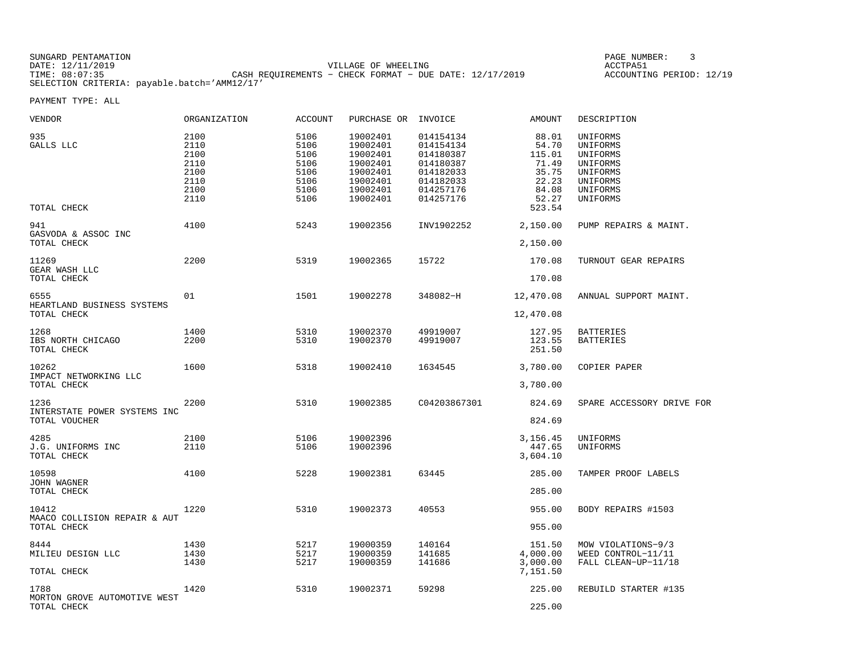SUNGARD PENTAMATION SUNGARD PENTAMATION SUNG PAGE NUMBER: 3 SENSIS PAGE NUMBER: 3 SENSIS PAGE NUMBER: 3 SENSIS PAGE NUMBER: 3 SENSIS PAGE NUMBER: 3 SENSIS PAGE NUMBER: 3 SENSIS PAGE NUMBER: 3 SENSIS PAGE NUMBER: 3 SENSIS P VILLAGE OF WHEELING **ACCTPA51** TIME: 08:07:35 CASH REQUIREMENTS − CHECK FORMAT − DUE DATE: 12/17/2019 SELECTION CRITERIA: payable.batch='AMM12/17'

ACCOUNTING PERIOD: 12/19

| VENDOR                                                | ORGANIZATION                                                 | <b>ACCOUNT</b>                                               | PURCHASE OR                                                                                  | INVOICE                                                                                              | AMOUNT                                                                          | DESCRIPTION                                                                                  |
|-------------------------------------------------------|--------------------------------------------------------------|--------------------------------------------------------------|----------------------------------------------------------------------------------------------|------------------------------------------------------------------------------------------------------|---------------------------------------------------------------------------------|----------------------------------------------------------------------------------------------|
| 935<br>GALLS LLC<br>TOTAL CHECK                       | 2100<br>2110<br>2100<br>2110<br>2100<br>2110<br>2100<br>2110 | 5106<br>5106<br>5106<br>5106<br>5106<br>5106<br>5106<br>5106 | 19002401<br>19002401<br>19002401<br>19002401<br>19002401<br>19002401<br>19002401<br>19002401 | 014154134<br>014154134<br>014180387<br>014180387<br>014182033<br>014182033<br>014257176<br>014257176 | 88.01<br>54.70<br>115.01<br>71.49<br>35.75<br>22.23<br>84.08<br>52.27<br>523.54 | UNIFORMS<br>UNIFORMS<br>UNIFORMS<br>UNIFORMS<br>UNIFORMS<br>UNIFORMS<br>UNIFORMS<br>UNIFORMS |
| 941<br>GASVODA & ASSOC INC<br>TOTAL CHECK             | 4100                                                         | 5243                                                         | 19002356                                                                                     | INV1902252                                                                                           | 2,150.00<br>2,150.00                                                            | PUMP REPAIRS & MAINT.                                                                        |
| 11269<br>GEAR WASH LLC<br>TOTAL CHECK                 | 2200                                                         | 5319                                                         | 19002365                                                                                     | 15722                                                                                                | 170.08<br>170.08                                                                | TURNOUT GEAR REPAIRS                                                                         |
| 6555<br>HEARTLAND BUSINESS SYSTEMS<br>TOTAL CHECK     | 01                                                           | 1501                                                         | 19002278                                                                                     | 348082-H                                                                                             | 12,470.08<br>12,470.08                                                          | ANNUAL SUPPORT MAINT.                                                                        |
| 1268<br>IBS NORTH CHICAGO<br>TOTAL CHECK              | 1400<br>2200                                                 | 5310<br>5310                                                 | 19002370<br>19002370                                                                         | 49919007<br>49919007                                                                                 | 127.95<br>123.55<br>251.50                                                      | BATTERIES<br>BATTERIES                                                                       |
| 10262<br>IMPACT NETWORKING LLC<br>TOTAL CHECK         | 1600                                                         | 5318                                                         | 19002410                                                                                     | 1634545                                                                                              | 3,780.00<br>3,780.00                                                            | COPIER PAPER                                                                                 |
| 1236<br>INTERSTATE POWER SYSTEMS INC<br>TOTAL VOUCHER | 2200                                                         | 5310                                                         | 19002385                                                                                     | C04203867301                                                                                         | 824.69<br>824.69                                                                | SPARE ACCESSORY DRIVE FOR                                                                    |
| 4285<br>J.G. UNIFORMS INC<br>TOTAL CHECK              | 2100<br>2110                                                 | 5106<br>5106                                                 | 19002396<br>19002396                                                                         |                                                                                                      | 3,156.45<br>447.65<br>3,604.10                                                  | UNIFORMS<br>UNIFORMS                                                                         |
| 10598<br><b>JOHN WAGNER</b><br>TOTAL CHECK            | 4100                                                         | 5228                                                         | 19002381                                                                                     | 63445                                                                                                | 285.00<br>285.00                                                                | TAMPER PROOF LABELS                                                                          |
| 10412<br>MAACO COLLISION REPAIR & AUT<br>TOTAL CHECK  | 1220                                                         | 5310                                                         | 19002373                                                                                     | 40553                                                                                                | 955.00<br>955.00                                                                | BODY REPAIRS #1503                                                                           |
| 8444<br>MILIEU DESIGN LLC<br>TOTAL CHECK              | 1430<br>1430<br>1430                                         | 5217<br>5217<br>5217                                         | 19000359<br>19000359<br>19000359                                                             | 140164<br>141685<br>141686                                                                           | 151.50<br>4,000.00<br>3,000.00<br>7,151.50                                      | MOW VIOLATIONS-9/3<br>WEED CONTROL-11/11<br>FALL CLEAN-UP-11/18                              |
| 1788<br>MORTON GROVE AUTOMOTIVE WEST<br>TOTAL CHECK   | 1420                                                         | 5310                                                         | 19002371                                                                                     | 59298                                                                                                | 225.00<br>225.00                                                                | REBUILD STARTER #135                                                                         |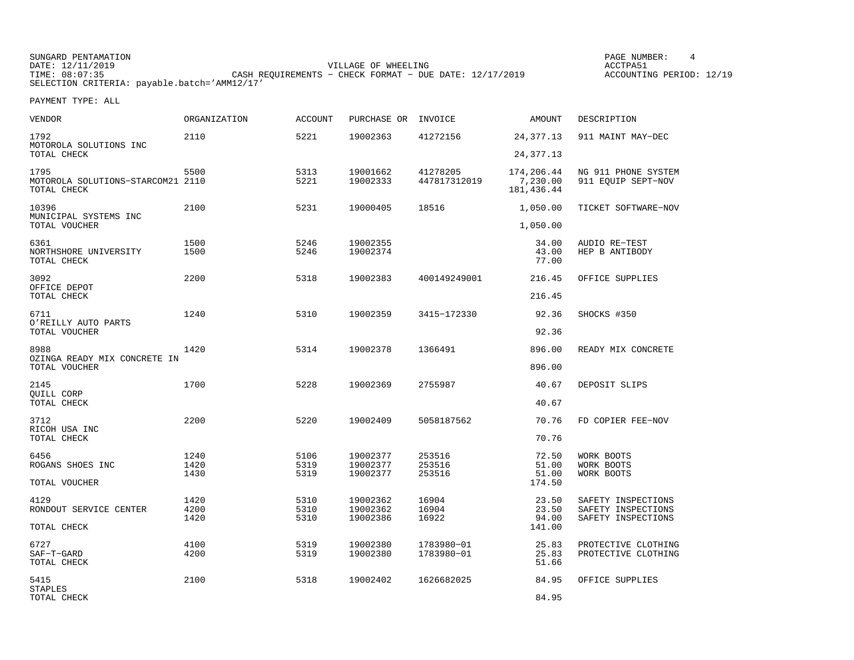SUNGARD PENTAMATION SUNGARD PENTAMATION SUNG PAGE NUMBER: 4 VILLAGE OF WHEELING **ACCTPA51** TIME: 08:07:35 CASH REQUIREMENTS − CHECK FORMAT − DUE DATE: 12/17/2019 SELECTION CRITERIA: payable.batch='AMM12/17'

ACCOUNTING PERIOD: 12/19

| VENDOR                                                   | ORGANIZATION         | <b>ACCOUNT</b>       | PURCHASE OR                      | INVOICE                    | AMOUNT                                | DESCRIPTION                                                    |
|----------------------------------------------------------|----------------------|----------------------|----------------------------------|----------------------------|---------------------------------------|----------------------------------------------------------------|
| 1792<br>MOTOROLA SOLUTIONS INC                           | 2110                 | 5221                 | 19002363                         | 41272156                   | 24, 377. 13                           | 911 MAINT MAY-DEC                                              |
| TOTAL CHECK                                              |                      |                      |                                  |                            | 24, 377. 13                           |                                                                |
| 1795<br>MOTOROLA SOLUTIONS-STARCOM21 2110<br>TOTAL CHECK | 5500                 | 5313<br>5221         | 19001662<br>19002333             | 41278205<br>447817312019   | 174,206.44<br>7,230.00<br>181, 436.44 | NG 911 PHONE SYSTEM<br>911 EOUIP SEPT-NOV                      |
| 10396<br>MUNICIPAL SYSTEMS INC                           | 2100                 | 5231                 | 19000405                         | 18516                      | 1,050.00                              | TICKET SOFTWARE-NOV                                            |
| TOTAL VOUCHER                                            |                      |                      |                                  |                            | 1,050.00                              |                                                                |
| 6361<br>NORTHSHORE UNIVERSITY<br>TOTAL CHECK             | 1500<br>1500         | 5246<br>5246         | 19002355<br>19002374             |                            | 34.00<br>43.00<br>77.00               | AUDIO RE-TEST<br>HEP B ANTIBODY                                |
| 3092<br>OFFICE DEPOT                                     | 2200                 | 5318                 | 19002383                         | 400149249001               | 216.45                                | OFFICE SUPPLIES                                                |
| TOTAL CHECK                                              |                      |                      |                                  |                            | 216.45                                |                                                                |
| 6711<br>O'REILLY AUTO PARTS                              | 1240                 | 5310                 | 19002359                         | 3415-172330                | 92.36                                 | SHOCKS #350                                                    |
| TOTAL VOUCHER                                            |                      |                      |                                  |                            | 92.36                                 |                                                                |
| 8988<br>OZINGA READY MIX CONCRETE IN<br>TOTAL VOUCHER    | 1420                 | 5314                 | 19002378                         | 1366491                    | 896.00<br>896.00                      | READY MIX CONCRETE                                             |
|                                                          |                      |                      |                                  |                            |                                       |                                                                |
| 2145<br>QUILL CORP<br>TOTAL CHECK                        | 1700                 | 5228                 | 19002369                         | 2755987                    | 40.67<br>40.67                        | DEPOSIT SLIPS                                                  |
|                                                          |                      |                      |                                  |                            |                                       |                                                                |
| 3712<br>RICOH USA INC<br>TOTAL CHECK                     | 2200                 | 5220                 | 19002409                         | 5058187562                 | 70.76<br>70.76                        | FD COPIER FEE-NOV                                              |
|                                                          |                      |                      |                                  |                            |                                       |                                                                |
| 6456<br>ROGANS SHOES INC                                 | 1240<br>1420<br>1430 | 5106<br>5319<br>5319 | 19002377<br>19002377<br>19002377 | 253516<br>253516<br>253516 | 72.50<br>51.00<br>51.00               | WORK BOOTS<br>WORK BOOTS<br>WORK BOOTS                         |
| TOTAL VOUCHER                                            |                      |                      |                                  |                            | 174.50                                |                                                                |
| 4129<br>RONDOUT SERVICE CENTER                           | 1420<br>4200<br>1420 | 5310<br>5310<br>5310 | 19002362<br>19002362<br>19002386 | 16904<br>16904<br>16922    | 23.50<br>23.50<br>94.00               | SAFETY INSPECTIONS<br>SAFETY INSPECTIONS<br>SAFETY INSPECTIONS |
| TOTAL CHECK                                              |                      |                      |                                  |                            | 141.00                                |                                                                |
| 6727<br>SAF-T-GARD<br>TOTAL CHECK                        | 4100<br>4200         | 5319<br>5319         | 19002380<br>19002380             | 1783980-01<br>1783980-01   | 25.83<br>25.83<br>51.66               | PROTECTIVE CLOTHING<br>PROTECTIVE CLOTHING                     |
| 5415                                                     | 2100                 | 5318                 | 19002402                         | 1626682025                 | 84.95                                 | OFFICE SUPPLIES                                                |
| STAPLES<br>TOTAL CHECK                                   |                      |                      |                                  |                            | 84.95                                 |                                                                |